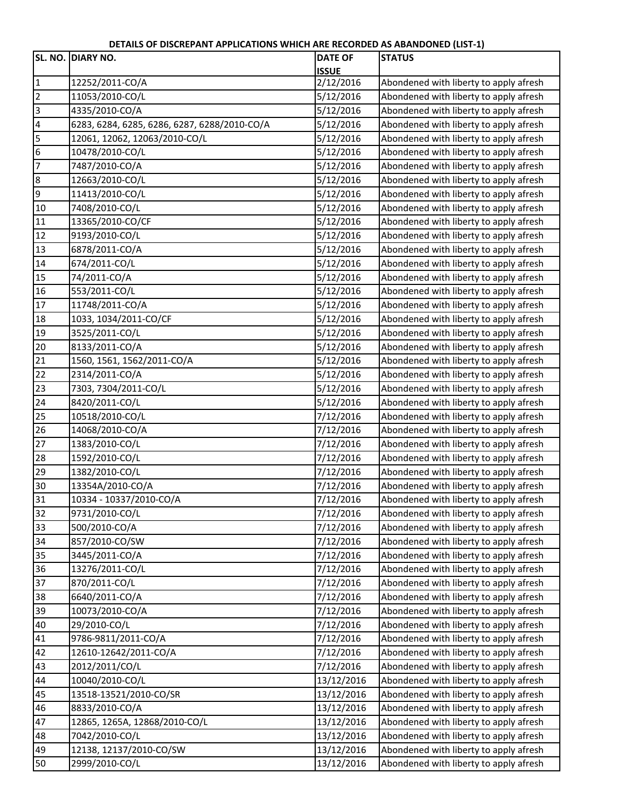**DETAILS OF DISCREPANT APPLICATIONS WHICH ARE RECORDED AS ABANDONED (LIST‐1)**

|                | SL. NO. DIARY NO.                            | <b>DATE OF</b> | <b>STATUS</b>                          |
|----------------|----------------------------------------------|----------------|----------------------------------------|
|                |                                              | <b>ISSUE</b>   |                                        |
| $\mathbf{1}$   | 12252/2011-CO/A                              | 2/12/2016      | Abondened with liberty to apply afresh |
| $\overline{2}$ | 11053/2010-CO/L                              | 5/12/2016      | Abondened with liberty to apply afresh |
| 3              | 4335/2010-CO/A                               | 5/12/2016      | Abondened with liberty to apply afresh |
| 4              | 6283, 6284, 6285, 6286, 6287, 6288/2010-CO/A | 5/12/2016      | Abondened with liberty to apply afresh |
| 5              | 12061, 12062, 12063/2010-CO/L                | 5/12/2016      | Abondened with liberty to apply afresh |
| 6              | 10478/2010-CO/L                              | 5/12/2016      | Abondened with liberty to apply afresh |
| $\overline{7}$ | 7487/2010-CO/A                               | 5/12/2016      | Abondened with liberty to apply afresh |
| $\bf 8$        | 12663/2010-CO/L                              | 5/12/2016      | Abondened with liberty to apply afresh |
| 9              | 11413/2010-CO/L                              | 5/12/2016      | Abondened with liberty to apply afresh |
| 10             | 7408/2010-CO/L                               | 5/12/2016      | Abondened with liberty to apply afresh |
| 11             | 13365/2010-CO/CF                             | 5/12/2016      | Abondened with liberty to apply afresh |
| 12             | 9193/2010-CO/L                               | 5/12/2016      | Abondened with liberty to apply afresh |
| 13             | 6878/2011-CO/A                               | 5/12/2016      | Abondened with liberty to apply afresh |
| 14             | 674/2011-CO/L                                | 5/12/2016      | Abondened with liberty to apply afresh |
| 15             | 74/2011-CO/A                                 | 5/12/2016      | Abondened with liberty to apply afresh |
| 16             | 553/2011-CO/L                                | 5/12/2016      | Abondened with liberty to apply afresh |
| 17             | 11748/2011-CO/A                              | 5/12/2016      | Abondened with liberty to apply afresh |
| 18             | 1033, 1034/2011-CO/CF                        | 5/12/2016      | Abondened with liberty to apply afresh |
| 19             | 3525/2011-CO/L                               | 5/12/2016      | Abondened with liberty to apply afresh |
| 20             | 8133/2011-CO/A                               | 5/12/2016      | Abondened with liberty to apply afresh |
| 21             | 1560, 1561, 1562/2011-CO/A                   | 5/12/2016      | Abondened with liberty to apply afresh |
| 22             | 2314/2011-CO/A                               | 5/12/2016      | Abondened with liberty to apply afresh |
| 23             | 7303, 7304/2011-CO/L                         | 5/12/2016      | Abondened with liberty to apply afresh |
| 24             | 8420/2011-CO/L                               | 5/12/2016      | Abondened with liberty to apply afresh |
| 25             | 10518/2010-CO/L                              | 7/12/2016      | Abondened with liberty to apply afresh |
| 26             | 14068/2010-CO/A                              | 7/12/2016      | Abondened with liberty to apply afresh |
| 27             | 1383/2010-CO/L                               | 7/12/2016      | Abondened with liberty to apply afresh |
| 28             | 1592/2010-CO/L                               | 7/12/2016      | Abondened with liberty to apply afresh |
| 29             | 1382/2010-CO/L                               | 7/12/2016      | Abondened with liberty to apply afresh |
| 30             | 13354A/2010-CO/A                             | 7/12/2016      | Abondened with liberty to apply afresh |
| 31             | 10334 - 10337/2010-CO/A                      | 7/12/2016      | Abondened with liberty to apply afresh |
| 32             | 9731/2010-CO/L                               | 7/12/2016      | Abondened with liberty to apply afresh |
| 33             | 500/2010-CO/A                                | 7/12/2016      | Abondened with liberty to apply afresh |
| 34             | 857/2010-CO/SW                               | 7/12/2016      | Abondened with liberty to apply afresh |
| 35             | 3445/2011-CO/A                               | 7/12/2016      | Abondened with liberty to apply afresh |
| 36             | 13276/2011-CO/L                              | 7/12/2016      | Abondened with liberty to apply afresh |
| 37             | 870/2011-CO/L                                | 7/12/2016      | Abondened with liberty to apply afresh |
| 38             | 6640/2011-CO/A                               | 7/12/2016      | Abondened with liberty to apply afresh |
| 39             | 10073/2010-CO/A                              | 7/12/2016      | Abondened with liberty to apply afresh |
| 40             | 29/2010-CO/L                                 | 7/12/2016      | Abondened with liberty to apply afresh |
| 41             | 9786-9811/2011-CO/A                          | 7/12/2016      | Abondened with liberty to apply afresh |
| 42             | 12610-12642/2011-CO/A                        | 7/12/2016      | Abondened with liberty to apply afresh |
| 43             | 2012/2011/CO/L                               | 7/12/2016      | Abondened with liberty to apply afresh |
| 44             | 10040/2010-CO/L                              | 13/12/2016     | Abondened with liberty to apply afresh |
| 45             | 13518-13521/2010-CO/SR                       | 13/12/2016     | Abondened with liberty to apply afresh |
| 46             | 8833/2010-CO/A                               | 13/12/2016     | Abondened with liberty to apply afresh |
| 47             | 12865, 1265A, 12868/2010-CO/L                | 13/12/2016     | Abondened with liberty to apply afresh |
| 48             | 7042/2010-CO/L                               | 13/12/2016     | Abondened with liberty to apply afresh |
| 49             | 12138, 12137/2010-CO/SW                      | 13/12/2016     | Abondened with liberty to apply afresh |
| 50             | 2999/2010-CO/L                               | 13/12/2016     | Abondened with liberty to apply afresh |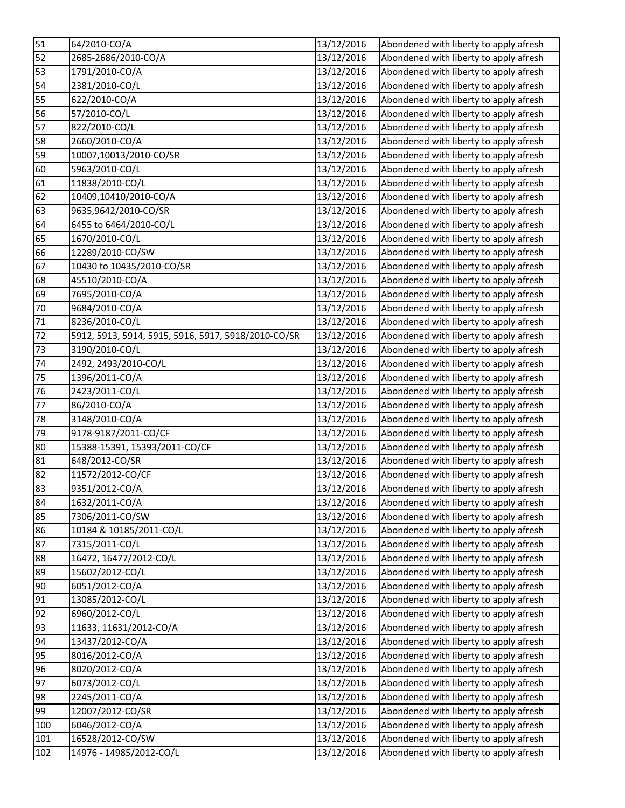| 51              | 64/2010-CO/A                                        | 13/12/2016 | Abondened with liberty to apply afresh |
|-----------------|-----------------------------------------------------|------------|----------------------------------------|
| 52              | 2685-2686/2010-CO/A                                 | 13/12/2016 | Abondened with liberty to apply afresh |
| 53              | 1791/2010-CO/A                                      | 13/12/2016 | Abondened with liberty to apply afresh |
| 54              | 2381/2010-CO/L                                      | 13/12/2016 | Abondened with liberty to apply afresh |
| 55              | 622/2010-CO/A                                       | 13/12/2016 | Abondened with liberty to apply afresh |
| 56              | 57/2010-CO/L                                        | 13/12/2016 | Abondened with liberty to apply afresh |
| 57              | 822/2010-CO/L                                       | 13/12/2016 | Abondened with liberty to apply afresh |
| 58              | 2660/2010-CO/A                                      | 13/12/2016 | Abondened with liberty to apply afresh |
| 59              | 10007,10013/2010-CO/SR                              | 13/12/2016 | Abondened with liberty to apply afresh |
| 60              | 5963/2010-CO/L                                      | 13/12/2016 | Abondened with liberty to apply afresh |
| 61              | 11838/2010-CO/L                                     | 13/12/2016 | Abondened with liberty to apply afresh |
| 62              | 10409,10410/2010-CO/A                               | 13/12/2016 | Abondened with liberty to apply afresh |
| 63              | 9635,9642/2010-CO/SR                                | 13/12/2016 | Abondened with liberty to apply afresh |
| 64              | 6455 to 6464/2010-CO/L                              | 13/12/2016 | Abondened with liberty to apply afresh |
| 65              | 1670/2010-CO/L                                      | 13/12/2016 | Abondened with liberty to apply afresh |
| 66              | 12289/2010-CO/SW                                    | 13/12/2016 | Abondened with liberty to apply afresh |
| 67              | 10430 to 10435/2010-CO/SR                           | 13/12/2016 | Abondened with liberty to apply afresh |
| 68              | 45510/2010-CO/A                                     | 13/12/2016 | Abondened with liberty to apply afresh |
| 69              | 7695/2010-CO/A                                      | 13/12/2016 | Abondened with liberty to apply afresh |
| 70              | 9684/2010-CO/A                                      | 13/12/2016 | Abondened with liberty to apply afresh |
| 71              | 8236/2010-CO/L                                      | 13/12/2016 | Abondened with liberty to apply afresh |
| 72              | 5912, 5913, 5914, 5915, 5916, 5917, 5918/2010-CO/SR | 13/12/2016 | Abondened with liberty to apply afresh |
| 73              | 3190/2010-CO/L                                      | 13/12/2016 | Abondened with liberty to apply afresh |
| $\overline{7}4$ | 2492, 2493/2010-CO/L                                | 13/12/2016 | Abondened with liberty to apply afresh |
| 75              | 1396/2011-CO/A                                      | 13/12/2016 | Abondened with liberty to apply afresh |
| 76              | 2423/2011-CO/L                                      | 13/12/2016 | Abondened with liberty to apply afresh |
| 77              | 86/2010-CO/A                                        | 13/12/2016 | Abondened with liberty to apply afresh |
| 78              | 3148/2010-CO/A                                      | 13/12/2016 | Abondened with liberty to apply afresh |
| 79              | 9178-9187/2011-CO/CF                                | 13/12/2016 | Abondened with liberty to apply afresh |
| 80              | 15388-15391, 15393/2011-CO/CF                       | 13/12/2016 | Abondened with liberty to apply afresh |
| 81              | 648/2012-CO/SR                                      | 13/12/2016 | Abondened with liberty to apply afresh |
| 82              | 11572/2012-CO/CF                                    | 13/12/2016 | Abondened with liberty to apply afresh |
| 83              | 9351/2012-CO/A                                      | 13/12/2016 | Abondened with liberty to apply afresh |
| 84              | 1632/2011-CO/A                                      | 13/12/2016 | Abondened with liberty to apply afresh |
| 85              | 7306/2011-CO/SW                                     | 13/12/2016 | Abondened with liberty to apply afresh |
| 86              | 10184 & 10185/2011-CO/L                             | 13/12/2016 | Abondened with liberty to apply afresh |
| 87              | 7315/2011-CO/L                                      | 13/12/2016 | Abondened with liberty to apply afresh |
| 88              | 16472, 16477/2012-CO/L                              | 13/12/2016 | Abondened with liberty to apply afresh |
| 89              | 15602/2012-CO/L                                     | 13/12/2016 | Abondened with liberty to apply afresh |
| 90              | 6051/2012-CO/A                                      | 13/12/2016 | Abondened with liberty to apply afresh |
| 91              | 13085/2012-CO/L                                     | 13/12/2016 | Abondened with liberty to apply afresh |
| 92              | 6960/2012-CO/L                                      | 13/12/2016 | Abondened with liberty to apply afresh |
| 93              | 11633, 11631/2012-CO/A                              | 13/12/2016 | Abondened with liberty to apply afresh |
| 94              | 13437/2012-CO/A                                     | 13/12/2016 | Abondened with liberty to apply afresh |
| 95              | 8016/2012-CO/A                                      | 13/12/2016 | Abondened with liberty to apply afresh |
| 96              | 8020/2012-CO/A                                      | 13/12/2016 | Abondened with liberty to apply afresh |
| 97              | 6073/2012-CO/L                                      | 13/12/2016 | Abondened with liberty to apply afresh |
| 98              | 2245/2011-CO/A                                      | 13/12/2016 | Abondened with liberty to apply afresh |
| 99              | 12007/2012-CO/SR                                    | 13/12/2016 | Abondened with liberty to apply afresh |
| 100             | 6046/2012-CO/A                                      | 13/12/2016 | Abondened with liberty to apply afresh |
| 101             | 16528/2012-CO/SW                                    | 13/12/2016 | Abondened with liberty to apply afresh |
| 102             | 14976 - 14985/2012-CO/L                             | 13/12/2016 | Abondened with liberty to apply afresh |
|                 |                                                     |            |                                        |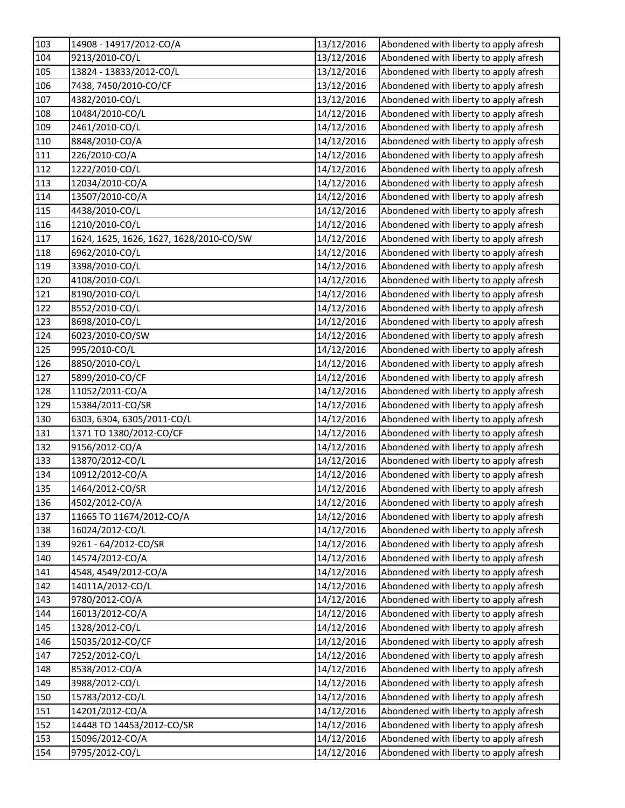| 103 | 14908 - 14917/2012-CO/A                 | 13/12/2016 | Abondened with liberty to apply afresh |
|-----|-----------------------------------------|------------|----------------------------------------|
| 104 | 9213/2010-CO/L                          | 13/12/2016 | Abondened with liberty to apply afresh |
| 105 | 13824 - 13833/2012-CO/L                 | 13/12/2016 | Abondened with liberty to apply afresh |
| 106 | 7438, 7450/2010-CO/CF                   | 13/12/2016 | Abondened with liberty to apply afresh |
| 107 | 4382/2010-CO/L                          | 13/12/2016 | Abondened with liberty to apply afresh |
| 108 | 10484/2010-CO/L                         | 14/12/2016 | Abondened with liberty to apply afresh |
| 109 | 2461/2010-CO/L                          | 14/12/2016 | Abondened with liberty to apply afresh |
| 110 | 8848/2010-CO/A                          | 14/12/2016 | Abondened with liberty to apply afresh |
| 111 | 226/2010-CO/A                           | 14/12/2016 | Abondened with liberty to apply afresh |
| 112 | 1222/2010-CO/L                          | 14/12/2016 | Abondened with liberty to apply afresh |
| 113 | 12034/2010-CO/A                         | 14/12/2016 | Abondened with liberty to apply afresh |
| 114 | 13507/2010-CO/A                         | 14/12/2016 | Abondened with liberty to apply afresh |
| 115 | 4438/2010-CO/L                          | 14/12/2016 | Abondened with liberty to apply afresh |
| 116 | 1210/2010-CO/L                          | 14/12/2016 | Abondened with liberty to apply afresh |
| 117 | 1624, 1625, 1626, 1627, 1628/2010-CO/SW | 14/12/2016 | Abondened with liberty to apply afresh |
| 118 | 6962/2010-CO/L                          | 14/12/2016 | Abondened with liberty to apply afresh |
| 119 | 3398/2010-CO/L                          | 14/12/2016 | Abondened with liberty to apply afresh |
| 120 | 4108/2010-CO/L                          | 14/12/2016 | Abondened with liberty to apply afresh |
| 121 | 8190/2010-CO/L                          | 14/12/2016 | Abondened with liberty to apply afresh |
| 122 | 8552/2010-CO/L                          | 14/12/2016 | Abondened with liberty to apply afresh |
| 123 | 8698/2010-CO/L                          | 14/12/2016 | Abondened with liberty to apply afresh |
| 124 | 6023/2010-CO/SW                         | 14/12/2016 | Abondened with liberty to apply afresh |
| 125 | 995/2010-CO/L                           | 14/12/2016 | Abondened with liberty to apply afresh |
| 126 | 8850/2010-CO/L                          | 14/12/2016 | Abondened with liberty to apply afresh |
| 127 | 5899/2010-CO/CF                         | 14/12/2016 | Abondened with liberty to apply afresh |
| 128 | 11052/2011-CO/A                         | 14/12/2016 | Abondened with liberty to apply afresh |
| 129 | 15384/2011-CO/SR                        | 14/12/2016 | Abondened with liberty to apply afresh |
| 130 | 6303, 6304, 6305/2011-CO/L              | 14/12/2016 | Abondened with liberty to apply afresh |
| 131 | 1371 TO 1380/2012-CO/CF                 | 14/12/2016 | Abondened with liberty to apply afresh |
| 132 | 9156/2012-CO/A                          | 14/12/2016 | Abondened with liberty to apply afresh |
| 133 | 13870/2012-CO/L                         | 14/12/2016 | Abondened with liberty to apply afresh |
| 134 | 10912/2012-CO/A                         | 14/12/2016 | Abondened with liberty to apply afresh |
| 135 | 1464/2012-CO/SR                         | 14/12/2016 | Abondened with liberty to apply afresh |
| 136 | 4502/2012-CO/A                          | 14/12/2016 | Abondened with liberty to apply afresh |
| 137 | 11665 TO 11674/2012-CO/A                | 14/12/2016 | Abondened with liberty to apply afresh |
| 138 | 16024/2012-CO/L                         | 14/12/2016 | Abondened with liberty to apply afresh |
| 139 | 9261 - 64/2012-CO/SR                    | 14/12/2016 | Abondened with liberty to apply afresh |
| 140 | 14574/2012-CO/A                         | 14/12/2016 | Abondened with liberty to apply afresh |
| 141 | 4548, 4549/2012-CO/A                    | 14/12/2016 | Abondened with liberty to apply afresh |
| 142 | 14011A/2012-CO/L                        | 14/12/2016 | Abondened with liberty to apply afresh |
| 143 | 9780/2012-CO/A                          | 14/12/2016 | Abondened with liberty to apply afresh |
| 144 | 16013/2012-CO/A                         | 14/12/2016 | Abondened with liberty to apply afresh |
| 145 | 1328/2012-CO/L                          | 14/12/2016 | Abondened with liberty to apply afresh |
| 146 | 15035/2012-CO/CF                        | 14/12/2016 | Abondened with liberty to apply afresh |
| 147 | 7252/2012-CO/L                          | 14/12/2016 | Abondened with liberty to apply afresh |
| 148 | 8538/2012-CO/A                          | 14/12/2016 | Abondened with liberty to apply afresh |
| 149 | 3988/2012-CO/L                          | 14/12/2016 | Abondened with liberty to apply afresh |
| 150 | 15783/2012-CO/L                         | 14/12/2016 | Abondened with liberty to apply afresh |
| 151 | 14201/2012-CO/A                         | 14/12/2016 | Abondened with liberty to apply afresh |
| 152 | 14448 TO 14453/2012-CO/SR               | 14/12/2016 | Abondened with liberty to apply afresh |
| 153 | 15096/2012-CO/A                         | 14/12/2016 | Abondened with liberty to apply afresh |
| 154 | 9795/2012-CO/L                          | 14/12/2016 | Abondened with liberty to apply afresh |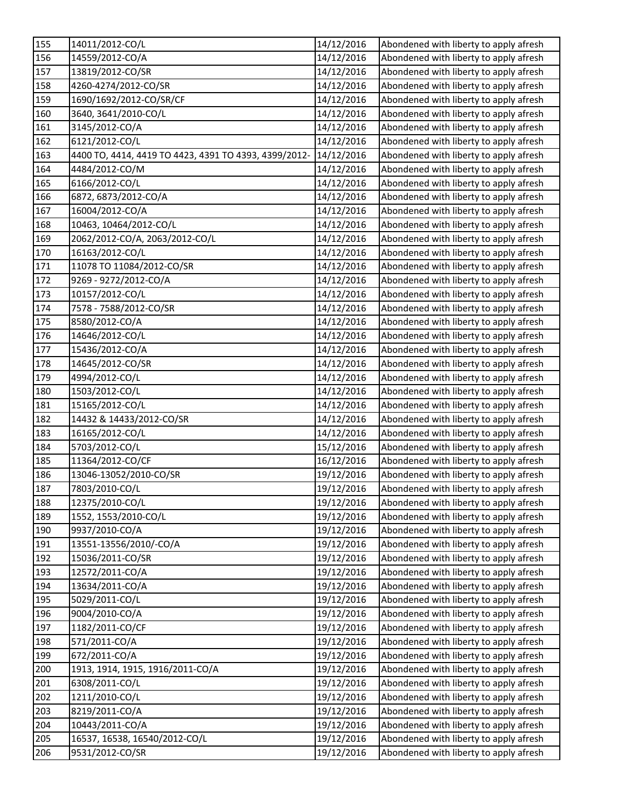| 155 | 14011/2012-CO/L                                       | 14/12/2016 | Abondened with liberty to apply afresh |
|-----|-------------------------------------------------------|------------|----------------------------------------|
| 156 | 14559/2012-CO/A                                       | 14/12/2016 | Abondened with liberty to apply afresh |
| 157 | 13819/2012-CO/SR                                      | 14/12/2016 | Abondened with liberty to apply afresh |
| 158 | 4260-4274/2012-CO/SR                                  | 14/12/2016 | Abondened with liberty to apply afresh |
| 159 | 1690/1692/2012-CO/SR/CF                               | 14/12/2016 | Abondened with liberty to apply afresh |
| 160 | 3640, 3641/2010-CO/L                                  | 14/12/2016 | Abondened with liberty to apply afresh |
| 161 | 3145/2012-CO/A                                        | 14/12/2016 | Abondened with liberty to apply afresh |
| 162 | 6121/2012-CO/L                                        | 14/12/2016 | Abondened with liberty to apply afresh |
| 163 | 4400 TO, 4414, 4419 TO 4423, 4391 TO 4393, 4399/2012- | 14/12/2016 | Abondened with liberty to apply afresh |
| 164 | 4484/2012-CO/M                                        | 14/12/2016 | Abondened with liberty to apply afresh |
| 165 | 6166/2012-CO/L                                        | 14/12/2016 | Abondened with liberty to apply afresh |
| 166 | 6872, 6873/2012-CO/A                                  | 14/12/2016 | Abondened with liberty to apply afresh |
| 167 | 16004/2012-CO/A                                       | 14/12/2016 | Abondened with liberty to apply afresh |
| 168 | 10463, 10464/2012-CO/L                                | 14/12/2016 | Abondened with liberty to apply afresh |
| 169 | 2062/2012-CO/A, 2063/2012-CO/L                        | 14/12/2016 | Abondened with liberty to apply afresh |
| 170 | 16163/2012-CO/L                                       | 14/12/2016 | Abondened with liberty to apply afresh |
| 171 | 11078 TO 11084/2012-CO/SR                             | 14/12/2016 | Abondened with liberty to apply afresh |
| 172 | 9269 - 9272/2012-CO/A                                 | 14/12/2016 | Abondened with liberty to apply afresh |
| 173 | 10157/2012-CO/L                                       | 14/12/2016 | Abondened with liberty to apply afresh |
| 174 | 7578 - 7588/2012-CO/SR                                | 14/12/2016 | Abondened with liberty to apply afresh |
| 175 | 8580/2012-CO/A                                        | 14/12/2016 | Abondened with liberty to apply afresh |
| 176 | 14646/2012-CO/L                                       | 14/12/2016 | Abondened with liberty to apply afresh |
| 177 | 15436/2012-CO/A                                       | 14/12/2016 | Abondened with liberty to apply afresh |
| 178 | 14645/2012-CO/SR                                      | 14/12/2016 | Abondened with liberty to apply afresh |
| 179 | 4994/2012-CO/L                                        | 14/12/2016 | Abondened with liberty to apply afresh |
| 180 | 1503/2012-CO/L                                        | 14/12/2016 | Abondened with liberty to apply afresh |
| 181 | 15165/2012-CO/L                                       | 14/12/2016 | Abondened with liberty to apply afresh |
| 182 | 14432 & 14433/2012-CO/SR                              | 14/12/2016 | Abondened with liberty to apply afresh |
| 183 | 16165/2012-CO/L                                       | 14/12/2016 | Abondened with liberty to apply afresh |
| 184 | 5703/2012-CO/L                                        | 15/12/2016 | Abondened with liberty to apply afresh |
| 185 | 11364/2012-CO/CF                                      | 16/12/2016 | Abondened with liberty to apply afresh |
| 186 | 13046-13052/2010-CO/SR                                | 19/12/2016 | Abondened with liberty to apply afresh |
| 187 | 7803/2010-CO/L                                        | 19/12/2016 | Abondened with liberty to apply afresh |
| 188 | 12375/2010-CO/L                                       | 19/12/2016 | Abondened with liberty to apply afresh |
| 189 | 1552, 1553/2010-CO/L                                  | 19/12/2016 | Abondened with liberty to apply afresh |
| 190 | 9937/2010-CO/A                                        | 19/12/2016 | Abondened with liberty to apply afresh |
| 191 | 13551-13556/2010/-CO/A                                | 19/12/2016 | Abondened with liberty to apply afresh |
| 192 | 15036/2011-CO/SR                                      | 19/12/2016 | Abondened with liberty to apply afresh |
| 193 | 12572/2011-CO/A                                       | 19/12/2016 | Abondened with liberty to apply afresh |
| 194 | 13634/2011-CO/A                                       | 19/12/2016 | Abondened with liberty to apply afresh |
| 195 | 5029/2011-CO/L                                        | 19/12/2016 | Abondened with liberty to apply afresh |
| 196 | 9004/2010-CO/A                                        | 19/12/2016 | Abondened with liberty to apply afresh |
| 197 | 1182/2011-CO/CF                                       | 19/12/2016 | Abondened with liberty to apply afresh |
| 198 | 571/2011-CO/A                                         | 19/12/2016 | Abondened with liberty to apply afresh |
| 199 | 672/2011-CO/A                                         | 19/12/2016 | Abondened with liberty to apply afresh |
| 200 | 1913, 1914, 1915, 1916/2011-CO/A                      | 19/12/2016 | Abondened with liberty to apply afresh |
| 201 | 6308/2011-CO/L                                        | 19/12/2016 | Abondened with liberty to apply afresh |
| 202 | 1211/2010-CO/L                                        | 19/12/2016 | Abondened with liberty to apply afresh |
| 203 | 8219/2011-CO/A                                        | 19/12/2016 | Abondened with liberty to apply afresh |
| 204 | 10443/2011-CO/A                                       | 19/12/2016 | Abondened with liberty to apply afresh |
| 205 | 16537, 16538, 16540/2012-CO/L                         | 19/12/2016 | Abondened with liberty to apply afresh |
| 206 | 9531/2012-CO/SR                                       | 19/12/2016 | Abondened with liberty to apply afresh |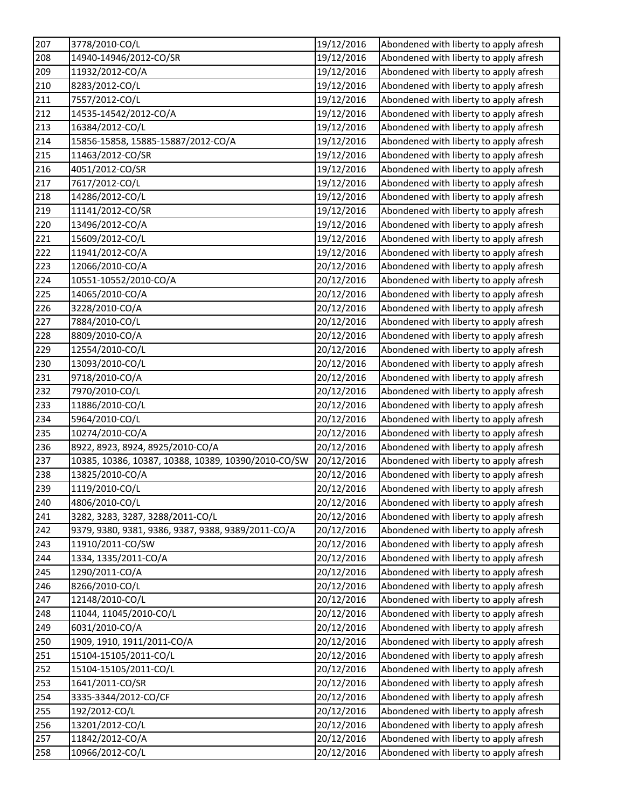| 207 | 3778/2010-CO/L                                      | 19/12/2016 | Abondened with liberty to apply afresh |
|-----|-----------------------------------------------------|------------|----------------------------------------|
| 208 | 14940-14946/2012-CO/SR                              | 19/12/2016 | Abondened with liberty to apply afresh |
| 209 | 11932/2012-CO/A                                     | 19/12/2016 | Abondened with liberty to apply afresh |
| 210 | 8283/2012-CO/L                                      | 19/12/2016 | Abondened with liberty to apply afresh |
| 211 | 7557/2012-CO/L                                      | 19/12/2016 | Abondened with liberty to apply afresh |
| 212 | 14535-14542/2012-CO/A                               | 19/12/2016 | Abondened with liberty to apply afresh |
| 213 | 16384/2012-CO/L                                     | 19/12/2016 | Abondened with liberty to apply afresh |
| 214 | 15856-15858, 15885-15887/2012-CO/A                  | 19/12/2016 | Abondened with liberty to apply afresh |
| 215 | 11463/2012-CO/SR                                    | 19/12/2016 | Abondened with liberty to apply afresh |
| 216 | 4051/2012-CO/SR                                     | 19/12/2016 | Abondened with liberty to apply afresh |
| 217 | 7617/2012-CO/L                                      | 19/12/2016 | Abondened with liberty to apply afresh |
| 218 | 14286/2012-CO/L                                     | 19/12/2016 | Abondened with liberty to apply afresh |
| 219 | 11141/2012-CO/SR                                    | 19/12/2016 | Abondened with liberty to apply afresh |
| 220 | 13496/2012-CO/A                                     | 19/12/2016 | Abondened with liberty to apply afresh |
| 221 | 15609/2012-CO/L                                     | 19/12/2016 | Abondened with liberty to apply afresh |
| 222 | 11941/2012-CO/A                                     | 19/12/2016 | Abondened with liberty to apply afresh |
| 223 | 12066/2010-CO/A                                     | 20/12/2016 | Abondened with liberty to apply afresh |
| 224 | 10551-10552/2010-CO/A                               | 20/12/2016 | Abondened with liberty to apply afresh |
| 225 | 14065/2010-CO/A                                     | 20/12/2016 | Abondened with liberty to apply afresh |
| 226 | 3228/2010-CO/A                                      | 20/12/2016 | Abondened with liberty to apply afresh |
| 227 | 7884/2010-CO/L                                      | 20/12/2016 | Abondened with liberty to apply afresh |
| 228 | 8809/2010-CO/A                                      | 20/12/2016 | Abondened with liberty to apply afresh |
| 229 | 12554/2010-CO/L                                     | 20/12/2016 | Abondened with liberty to apply afresh |
| 230 | 13093/2010-CO/L                                     | 20/12/2016 | Abondened with liberty to apply afresh |
| 231 | 9718/2010-CO/A                                      | 20/12/2016 | Abondened with liberty to apply afresh |
| 232 | 7970/2010-CO/L                                      | 20/12/2016 | Abondened with liberty to apply afresh |
| 233 | 11886/2010-CO/L                                     | 20/12/2016 | Abondened with liberty to apply afresh |
| 234 | 5964/2010-CO/L                                      | 20/12/2016 | Abondened with liberty to apply afresh |
| 235 | 10274/2010-CO/A                                     | 20/12/2016 | Abondened with liberty to apply afresh |
| 236 | 8922, 8923, 8924, 8925/2010-CO/A                    | 20/12/2016 | Abondened with liberty to apply afresh |
| 237 | 10385, 10386, 10387, 10388, 10389, 10390/2010-CO/SW | 20/12/2016 | Abondened with liberty to apply afresh |
| 238 | 13825/2010-CO/A                                     | 20/12/2016 | Abondened with liberty to apply afresh |
| 239 | 1119/2010-CO/L                                      | 20/12/2016 | Abondened with liberty to apply afresh |
| 240 | 4806/2010-CO/L                                      | 20/12/2016 | Abondened with liberty to apply afresh |
| 241 | 3282, 3283, 3287, 3288/2011-CO/L                    | 20/12/2016 | Abondened with liberty to apply afresh |
| 242 | 9379, 9380, 9381, 9386, 9387, 9388, 9389/2011-CO/A  | 20/12/2016 | Abondened with liberty to apply afresh |
| 243 | 11910/2011-CO/SW                                    | 20/12/2016 | Abondened with liberty to apply afresh |
| 244 | 1334, 1335/2011-CO/A                                | 20/12/2016 | Abondened with liberty to apply afresh |
| 245 | 1290/2011-CO/A                                      | 20/12/2016 | Abondened with liberty to apply afresh |
| 246 | 8266/2010-CO/L                                      | 20/12/2016 | Abondened with liberty to apply afresh |
| 247 | 12148/2010-CO/L                                     | 20/12/2016 | Abondened with liberty to apply afresh |
| 248 | 11044, 11045/2010-CO/L                              | 20/12/2016 | Abondened with liberty to apply afresh |
| 249 | 6031/2010-CO/A                                      | 20/12/2016 | Abondened with liberty to apply afresh |
| 250 | 1909, 1910, 1911/2011-CO/A                          | 20/12/2016 | Abondened with liberty to apply afresh |
| 251 | 15104-15105/2011-CO/L                               | 20/12/2016 | Abondened with liberty to apply afresh |
| 252 | 15104-15105/2011-CO/L                               | 20/12/2016 | Abondened with liberty to apply afresh |
| 253 | 1641/2011-CO/SR                                     | 20/12/2016 | Abondened with liberty to apply afresh |
| 254 | 3335-3344/2012-CO/CF                                | 20/12/2016 | Abondened with liberty to apply afresh |
| 255 | 192/2012-CO/L                                       | 20/12/2016 | Abondened with liberty to apply afresh |
| 256 | 13201/2012-CO/L                                     | 20/12/2016 | Abondened with liberty to apply afresh |
| 257 | 11842/2012-CO/A                                     | 20/12/2016 | Abondened with liberty to apply afresh |
| 258 | 10966/2012-CO/L                                     | 20/12/2016 | Abondened with liberty to apply afresh |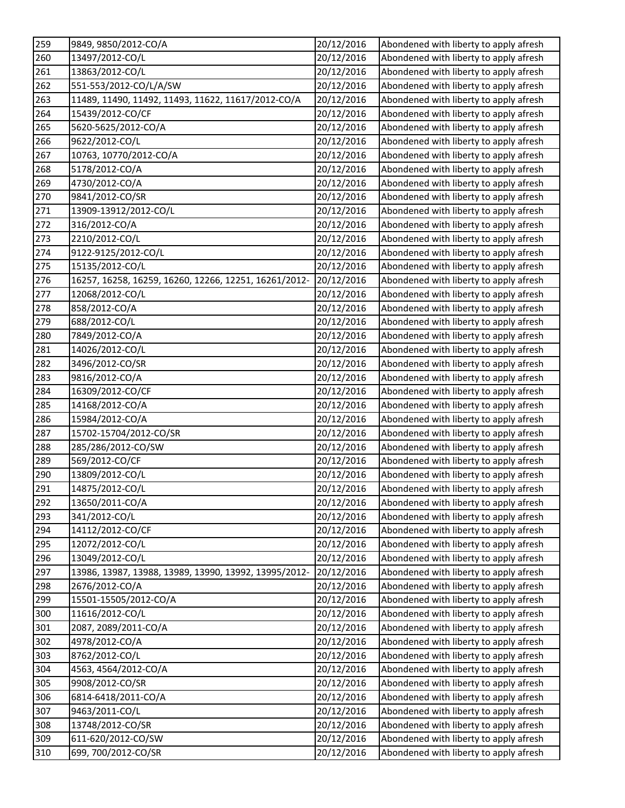| 260<br>13497/2012-CO/L<br>20/12/2016<br>Abondened with liberty to apply afresh<br>261<br>13863/2012-CO/L<br>20/12/2016<br>Abondened with liberty to apply afresh<br>262<br>551-553/2012-CO/L/A/SW<br>Abondened with liberty to apply afresh<br>20/12/2016<br>263<br>11489, 11490, 11492, 11493, 11622, 11617/2012-CO/A<br>20/12/2016<br>Abondened with liberty to apply afresh<br>264<br>15439/2012-CO/CF<br>20/12/2016<br>Abondened with liberty to apply afresh<br>265<br>5620-5625/2012-CO/A<br>20/12/2016<br>Abondened with liberty to apply afresh<br>266<br>20/12/2016<br>9622/2012-CO/L<br>Abondened with liberty to apply afresh<br>10763, 10770/2012-CO/A<br>267<br>20/12/2016<br>Abondened with liberty to apply afresh<br>5178/2012-CO/A<br>268<br>20/12/2016<br>Abondened with liberty to apply afresh<br>269<br>4730/2012-CO/A<br>Abondened with liberty to apply afresh<br>20/12/2016<br>270<br>9841/2012-CO/SR<br>20/12/2016<br>Abondened with liberty to apply afresh<br>271<br>Abondened with liberty to apply afresh<br>13909-13912/2012-CO/L<br>20/12/2016<br>272<br>316/2012-CO/A<br>20/12/2016<br>Abondened with liberty to apply afresh<br>273<br>2210/2012-CO/L<br>20/12/2016<br>Abondened with liberty to apply afresh<br>274<br>9122-9125/2012-CO/L<br>20/12/2016<br>Abondened with liberty to apply afresh<br>275<br>15135/2012-CO/L<br>20/12/2016<br>Abondened with liberty to apply afresh<br>276<br>16257, 16258, 16259, 16260, 12266, 12251, 16261/2012-<br>Abondened with liberty to apply afresh<br>20/12/2016<br>277<br>Abondened with liberty to apply afresh<br>12068/2012-CO/L<br>20/12/2016<br>278<br>858/2012-CO/A<br>20/12/2016<br>Abondened with liberty to apply afresh<br>279<br>688/2012-CO/L<br>20/12/2016<br>Abondened with liberty to apply afresh<br>280<br>7849/2012-CO/A<br>20/12/2016<br>Abondened with liberty to apply afresh<br>281<br>20/12/2016<br>Abondened with liberty to apply afresh<br>14026/2012-CO/L<br>282<br>3496/2012-CO/SR<br>20/12/2016<br>Abondened with liberty to apply afresh<br>283<br>9816/2012-CO/A<br>20/12/2016<br>Abondened with liberty to apply afresh<br>284<br>16309/2012-CO/CF<br>20/12/2016<br>Abondened with liberty to apply afresh<br>285<br>20/12/2016<br>Abondened with liberty to apply afresh<br>14168/2012-CO/A<br>286<br>15984/2012-CO/A<br>20/12/2016<br>Abondened with liberty to apply afresh<br>287<br>15702-15704/2012-CO/SR<br>Abondened with liberty to apply afresh<br>20/12/2016<br>288<br>285/286/2012-CO/SW<br>20/12/2016<br>Abondened with liberty to apply afresh<br>289<br>569/2012-CO/CF<br>20/12/2016<br>Abondened with liberty to apply afresh<br>13809/2012-CO/L<br>Abondened with liberty to apply afresh<br>290<br>20/12/2016<br>291<br>14875/2012-CO/L<br>20/12/2016<br>Abondened with liberty to apply afresh<br>292<br>13650/2011-CO/A<br>20/12/2016<br>Abondened with liberty to apply afresh<br>293<br>20/12/2016<br>Abondened with liberty to apply afresh<br>341/2012-CO/L<br>294<br>Abondened with liberty to apply afresh<br>14112/2012-CO/CF<br>20/12/2016<br>295<br>Abondened with liberty to apply afresh<br>12072/2012-CO/L<br>20/12/2016<br>296<br>13049/2012-CO/L<br>20/12/2016<br>Abondened with liberty to apply afresh<br>297<br>Abondened with liberty to apply afresh<br>13986, 13987, 13988, 13989, 13990, 13992, 13995/2012-<br>20/12/2016<br>298<br>2676/2012-CO/A<br>Abondened with liberty to apply afresh<br>20/12/2016<br>299<br>15501-15505/2012-CO/A<br>20/12/2016<br>Abondened with liberty to apply afresh<br>300<br>11616/2012-CO/L<br>20/12/2016<br>Abondened with liberty to apply afresh<br>301<br>Abondened with liberty to apply afresh<br>2087, 2089/2011-CO/A<br>20/12/2016<br>Abondened with liberty to apply afresh<br>302<br>4978/2012-CO/A<br>20/12/2016<br>Abondened with liberty to apply afresh<br>303<br>8762/2012-CO/L<br>20/12/2016 | 259 | 9849, 9850/2012-CO/A | 20/12/2016 | Abondened with liberty to apply afresh |
|-------------------------------------------------------------------------------------------------------------------------------------------------------------------------------------------------------------------------------------------------------------------------------------------------------------------------------------------------------------------------------------------------------------------------------------------------------------------------------------------------------------------------------------------------------------------------------------------------------------------------------------------------------------------------------------------------------------------------------------------------------------------------------------------------------------------------------------------------------------------------------------------------------------------------------------------------------------------------------------------------------------------------------------------------------------------------------------------------------------------------------------------------------------------------------------------------------------------------------------------------------------------------------------------------------------------------------------------------------------------------------------------------------------------------------------------------------------------------------------------------------------------------------------------------------------------------------------------------------------------------------------------------------------------------------------------------------------------------------------------------------------------------------------------------------------------------------------------------------------------------------------------------------------------------------------------------------------------------------------------------------------------------------------------------------------------------------------------------------------------------------------------------------------------------------------------------------------------------------------------------------------------------------------------------------------------------------------------------------------------------------------------------------------------------------------------------------------------------------------------------------------------------------------------------------------------------------------------------------------------------------------------------------------------------------------------------------------------------------------------------------------------------------------------------------------------------------------------------------------------------------------------------------------------------------------------------------------------------------------------------------------------------------------------------------------------------------------------------------------------------------------------------------------------------------------------------------------------------------------------------------------------------------------------------------------------------------------------------------------------------------------------------------------------------------------------------------------------------------------------------------------------------------------------------------------------------------------------------------------------------------------------------------------------------------------------------------------------------------------------------------------------------------------------------------------------------------------------------------------------------------------------------------|-----|----------------------|------------|----------------------------------------|
|                                                                                                                                                                                                                                                                                                                                                                                                                                                                                                                                                                                                                                                                                                                                                                                                                                                                                                                                                                                                                                                                                                                                                                                                                                                                                                                                                                                                                                                                                                                                                                                                                                                                                                                                                                                                                                                                                                                                                                                                                                                                                                                                                                                                                                                                                                                                                                                                                                                                                                                                                                                                                                                                                                                                                                                                                                                                                                                                                                                                                                                                                                                                                                                                                                                                                                                                                                                                                                                                                                                                                                                                                                                                                                                                                                                                                                                                                                       |     |                      |            |                                        |
|                                                                                                                                                                                                                                                                                                                                                                                                                                                                                                                                                                                                                                                                                                                                                                                                                                                                                                                                                                                                                                                                                                                                                                                                                                                                                                                                                                                                                                                                                                                                                                                                                                                                                                                                                                                                                                                                                                                                                                                                                                                                                                                                                                                                                                                                                                                                                                                                                                                                                                                                                                                                                                                                                                                                                                                                                                                                                                                                                                                                                                                                                                                                                                                                                                                                                                                                                                                                                                                                                                                                                                                                                                                                                                                                                                                                                                                                                                       |     |                      |            |                                        |
|                                                                                                                                                                                                                                                                                                                                                                                                                                                                                                                                                                                                                                                                                                                                                                                                                                                                                                                                                                                                                                                                                                                                                                                                                                                                                                                                                                                                                                                                                                                                                                                                                                                                                                                                                                                                                                                                                                                                                                                                                                                                                                                                                                                                                                                                                                                                                                                                                                                                                                                                                                                                                                                                                                                                                                                                                                                                                                                                                                                                                                                                                                                                                                                                                                                                                                                                                                                                                                                                                                                                                                                                                                                                                                                                                                                                                                                                                                       |     |                      |            |                                        |
|                                                                                                                                                                                                                                                                                                                                                                                                                                                                                                                                                                                                                                                                                                                                                                                                                                                                                                                                                                                                                                                                                                                                                                                                                                                                                                                                                                                                                                                                                                                                                                                                                                                                                                                                                                                                                                                                                                                                                                                                                                                                                                                                                                                                                                                                                                                                                                                                                                                                                                                                                                                                                                                                                                                                                                                                                                                                                                                                                                                                                                                                                                                                                                                                                                                                                                                                                                                                                                                                                                                                                                                                                                                                                                                                                                                                                                                                                                       |     |                      |            |                                        |
|                                                                                                                                                                                                                                                                                                                                                                                                                                                                                                                                                                                                                                                                                                                                                                                                                                                                                                                                                                                                                                                                                                                                                                                                                                                                                                                                                                                                                                                                                                                                                                                                                                                                                                                                                                                                                                                                                                                                                                                                                                                                                                                                                                                                                                                                                                                                                                                                                                                                                                                                                                                                                                                                                                                                                                                                                                                                                                                                                                                                                                                                                                                                                                                                                                                                                                                                                                                                                                                                                                                                                                                                                                                                                                                                                                                                                                                                                                       |     |                      |            |                                        |
|                                                                                                                                                                                                                                                                                                                                                                                                                                                                                                                                                                                                                                                                                                                                                                                                                                                                                                                                                                                                                                                                                                                                                                                                                                                                                                                                                                                                                                                                                                                                                                                                                                                                                                                                                                                                                                                                                                                                                                                                                                                                                                                                                                                                                                                                                                                                                                                                                                                                                                                                                                                                                                                                                                                                                                                                                                                                                                                                                                                                                                                                                                                                                                                                                                                                                                                                                                                                                                                                                                                                                                                                                                                                                                                                                                                                                                                                                                       |     |                      |            |                                        |
|                                                                                                                                                                                                                                                                                                                                                                                                                                                                                                                                                                                                                                                                                                                                                                                                                                                                                                                                                                                                                                                                                                                                                                                                                                                                                                                                                                                                                                                                                                                                                                                                                                                                                                                                                                                                                                                                                                                                                                                                                                                                                                                                                                                                                                                                                                                                                                                                                                                                                                                                                                                                                                                                                                                                                                                                                                                                                                                                                                                                                                                                                                                                                                                                                                                                                                                                                                                                                                                                                                                                                                                                                                                                                                                                                                                                                                                                                                       |     |                      |            |                                        |
|                                                                                                                                                                                                                                                                                                                                                                                                                                                                                                                                                                                                                                                                                                                                                                                                                                                                                                                                                                                                                                                                                                                                                                                                                                                                                                                                                                                                                                                                                                                                                                                                                                                                                                                                                                                                                                                                                                                                                                                                                                                                                                                                                                                                                                                                                                                                                                                                                                                                                                                                                                                                                                                                                                                                                                                                                                                                                                                                                                                                                                                                                                                                                                                                                                                                                                                                                                                                                                                                                                                                                                                                                                                                                                                                                                                                                                                                                                       |     |                      |            |                                        |
|                                                                                                                                                                                                                                                                                                                                                                                                                                                                                                                                                                                                                                                                                                                                                                                                                                                                                                                                                                                                                                                                                                                                                                                                                                                                                                                                                                                                                                                                                                                                                                                                                                                                                                                                                                                                                                                                                                                                                                                                                                                                                                                                                                                                                                                                                                                                                                                                                                                                                                                                                                                                                                                                                                                                                                                                                                                                                                                                                                                                                                                                                                                                                                                                                                                                                                                                                                                                                                                                                                                                                                                                                                                                                                                                                                                                                                                                                                       |     |                      |            |                                        |
|                                                                                                                                                                                                                                                                                                                                                                                                                                                                                                                                                                                                                                                                                                                                                                                                                                                                                                                                                                                                                                                                                                                                                                                                                                                                                                                                                                                                                                                                                                                                                                                                                                                                                                                                                                                                                                                                                                                                                                                                                                                                                                                                                                                                                                                                                                                                                                                                                                                                                                                                                                                                                                                                                                                                                                                                                                                                                                                                                                                                                                                                                                                                                                                                                                                                                                                                                                                                                                                                                                                                                                                                                                                                                                                                                                                                                                                                                                       |     |                      |            |                                        |
|                                                                                                                                                                                                                                                                                                                                                                                                                                                                                                                                                                                                                                                                                                                                                                                                                                                                                                                                                                                                                                                                                                                                                                                                                                                                                                                                                                                                                                                                                                                                                                                                                                                                                                                                                                                                                                                                                                                                                                                                                                                                                                                                                                                                                                                                                                                                                                                                                                                                                                                                                                                                                                                                                                                                                                                                                                                                                                                                                                                                                                                                                                                                                                                                                                                                                                                                                                                                                                                                                                                                                                                                                                                                                                                                                                                                                                                                                                       |     |                      |            |                                        |
|                                                                                                                                                                                                                                                                                                                                                                                                                                                                                                                                                                                                                                                                                                                                                                                                                                                                                                                                                                                                                                                                                                                                                                                                                                                                                                                                                                                                                                                                                                                                                                                                                                                                                                                                                                                                                                                                                                                                                                                                                                                                                                                                                                                                                                                                                                                                                                                                                                                                                                                                                                                                                                                                                                                                                                                                                                                                                                                                                                                                                                                                                                                                                                                                                                                                                                                                                                                                                                                                                                                                                                                                                                                                                                                                                                                                                                                                                                       |     |                      |            |                                        |
|                                                                                                                                                                                                                                                                                                                                                                                                                                                                                                                                                                                                                                                                                                                                                                                                                                                                                                                                                                                                                                                                                                                                                                                                                                                                                                                                                                                                                                                                                                                                                                                                                                                                                                                                                                                                                                                                                                                                                                                                                                                                                                                                                                                                                                                                                                                                                                                                                                                                                                                                                                                                                                                                                                                                                                                                                                                                                                                                                                                                                                                                                                                                                                                                                                                                                                                                                                                                                                                                                                                                                                                                                                                                                                                                                                                                                                                                                                       |     |                      |            |                                        |
|                                                                                                                                                                                                                                                                                                                                                                                                                                                                                                                                                                                                                                                                                                                                                                                                                                                                                                                                                                                                                                                                                                                                                                                                                                                                                                                                                                                                                                                                                                                                                                                                                                                                                                                                                                                                                                                                                                                                                                                                                                                                                                                                                                                                                                                                                                                                                                                                                                                                                                                                                                                                                                                                                                                                                                                                                                                                                                                                                                                                                                                                                                                                                                                                                                                                                                                                                                                                                                                                                                                                                                                                                                                                                                                                                                                                                                                                                                       |     |                      |            |                                        |
|                                                                                                                                                                                                                                                                                                                                                                                                                                                                                                                                                                                                                                                                                                                                                                                                                                                                                                                                                                                                                                                                                                                                                                                                                                                                                                                                                                                                                                                                                                                                                                                                                                                                                                                                                                                                                                                                                                                                                                                                                                                                                                                                                                                                                                                                                                                                                                                                                                                                                                                                                                                                                                                                                                                                                                                                                                                                                                                                                                                                                                                                                                                                                                                                                                                                                                                                                                                                                                                                                                                                                                                                                                                                                                                                                                                                                                                                                                       |     |                      |            |                                        |
|                                                                                                                                                                                                                                                                                                                                                                                                                                                                                                                                                                                                                                                                                                                                                                                                                                                                                                                                                                                                                                                                                                                                                                                                                                                                                                                                                                                                                                                                                                                                                                                                                                                                                                                                                                                                                                                                                                                                                                                                                                                                                                                                                                                                                                                                                                                                                                                                                                                                                                                                                                                                                                                                                                                                                                                                                                                                                                                                                                                                                                                                                                                                                                                                                                                                                                                                                                                                                                                                                                                                                                                                                                                                                                                                                                                                                                                                                                       |     |                      |            |                                        |
|                                                                                                                                                                                                                                                                                                                                                                                                                                                                                                                                                                                                                                                                                                                                                                                                                                                                                                                                                                                                                                                                                                                                                                                                                                                                                                                                                                                                                                                                                                                                                                                                                                                                                                                                                                                                                                                                                                                                                                                                                                                                                                                                                                                                                                                                                                                                                                                                                                                                                                                                                                                                                                                                                                                                                                                                                                                                                                                                                                                                                                                                                                                                                                                                                                                                                                                                                                                                                                                                                                                                                                                                                                                                                                                                                                                                                                                                                                       |     |                      |            |                                        |
|                                                                                                                                                                                                                                                                                                                                                                                                                                                                                                                                                                                                                                                                                                                                                                                                                                                                                                                                                                                                                                                                                                                                                                                                                                                                                                                                                                                                                                                                                                                                                                                                                                                                                                                                                                                                                                                                                                                                                                                                                                                                                                                                                                                                                                                                                                                                                                                                                                                                                                                                                                                                                                                                                                                                                                                                                                                                                                                                                                                                                                                                                                                                                                                                                                                                                                                                                                                                                                                                                                                                                                                                                                                                                                                                                                                                                                                                                                       |     |                      |            |                                        |
|                                                                                                                                                                                                                                                                                                                                                                                                                                                                                                                                                                                                                                                                                                                                                                                                                                                                                                                                                                                                                                                                                                                                                                                                                                                                                                                                                                                                                                                                                                                                                                                                                                                                                                                                                                                                                                                                                                                                                                                                                                                                                                                                                                                                                                                                                                                                                                                                                                                                                                                                                                                                                                                                                                                                                                                                                                                                                                                                                                                                                                                                                                                                                                                                                                                                                                                                                                                                                                                                                                                                                                                                                                                                                                                                                                                                                                                                                                       |     |                      |            |                                        |
|                                                                                                                                                                                                                                                                                                                                                                                                                                                                                                                                                                                                                                                                                                                                                                                                                                                                                                                                                                                                                                                                                                                                                                                                                                                                                                                                                                                                                                                                                                                                                                                                                                                                                                                                                                                                                                                                                                                                                                                                                                                                                                                                                                                                                                                                                                                                                                                                                                                                                                                                                                                                                                                                                                                                                                                                                                                                                                                                                                                                                                                                                                                                                                                                                                                                                                                                                                                                                                                                                                                                                                                                                                                                                                                                                                                                                                                                                                       |     |                      |            |                                        |
|                                                                                                                                                                                                                                                                                                                                                                                                                                                                                                                                                                                                                                                                                                                                                                                                                                                                                                                                                                                                                                                                                                                                                                                                                                                                                                                                                                                                                                                                                                                                                                                                                                                                                                                                                                                                                                                                                                                                                                                                                                                                                                                                                                                                                                                                                                                                                                                                                                                                                                                                                                                                                                                                                                                                                                                                                                                                                                                                                                                                                                                                                                                                                                                                                                                                                                                                                                                                                                                                                                                                                                                                                                                                                                                                                                                                                                                                                                       |     |                      |            |                                        |
|                                                                                                                                                                                                                                                                                                                                                                                                                                                                                                                                                                                                                                                                                                                                                                                                                                                                                                                                                                                                                                                                                                                                                                                                                                                                                                                                                                                                                                                                                                                                                                                                                                                                                                                                                                                                                                                                                                                                                                                                                                                                                                                                                                                                                                                                                                                                                                                                                                                                                                                                                                                                                                                                                                                                                                                                                                                                                                                                                                                                                                                                                                                                                                                                                                                                                                                                                                                                                                                                                                                                                                                                                                                                                                                                                                                                                                                                                                       |     |                      |            |                                        |
|                                                                                                                                                                                                                                                                                                                                                                                                                                                                                                                                                                                                                                                                                                                                                                                                                                                                                                                                                                                                                                                                                                                                                                                                                                                                                                                                                                                                                                                                                                                                                                                                                                                                                                                                                                                                                                                                                                                                                                                                                                                                                                                                                                                                                                                                                                                                                                                                                                                                                                                                                                                                                                                                                                                                                                                                                                                                                                                                                                                                                                                                                                                                                                                                                                                                                                                                                                                                                                                                                                                                                                                                                                                                                                                                                                                                                                                                                                       |     |                      |            |                                        |
|                                                                                                                                                                                                                                                                                                                                                                                                                                                                                                                                                                                                                                                                                                                                                                                                                                                                                                                                                                                                                                                                                                                                                                                                                                                                                                                                                                                                                                                                                                                                                                                                                                                                                                                                                                                                                                                                                                                                                                                                                                                                                                                                                                                                                                                                                                                                                                                                                                                                                                                                                                                                                                                                                                                                                                                                                                                                                                                                                                                                                                                                                                                                                                                                                                                                                                                                                                                                                                                                                                                                                                                                                                                                                                                                                                                                                                                                                                       |     |                      |            |                                        |
|                                                                                                                                                                                                                                                                                                                                                                                                                                                                                                                                                                                                                                                                                                                                                                                                                                                                                                                                                                                                                                                                                                                                                                                                                                                                                                                                                                                                                                                                                                                                                                                                                                                                                                                                                                                                                                                                                                                                                                                                                                                                                                                                                                                                                                                                                                                                                                                                                                                                                                                                                                                                                                                                                                                                                                                                                                                                                                                                                                                                                                                                                                                                                                                                                                                                                                                                                                                                                                                                                                                                                                                                                                                                                                                                                                                                                                                                                                       |     |                      |            |                                        |
|                                                                                                                                                                                                                                                                                                                                                                                                                                                                                                                                                                                                                                                                                                                                                                                                                                                                                                                                                                                                                                                                                                                                                                                                                                                                                                                                                                                                                                                                                                                                                                                                                                                                                                                                                                                                                                                                                                                                                                                                                                                                                                                                                                                                                                                                                                                                                                                                                                                                                                                                                                                                                                                                                                                                                                                                                                                                                                                                                                                                                                                                                                                                                                                                                                                                                                                                                                                                                                                                                                                                                                                                                                                                                                                                                                                                                                                                                                       |     |                      |            |                                        |
|                                                                                                                                                                                                                                                                                                                                                                                                                                                                                                                                                                                                                                                                                                                                                                                                                                                                                                                                                                                                                                                                                                                                                                                                                                                                                                                                                                                                                                                                                                                                                                                                                                                                                                                                                                                                                                                                                                                                                                                                                                                                                                                                                                                                                                                                                                                                                                                                                                                                                                                                                                                                                                                                                                                                                                                                                                                                                                                                                                                                                                                                                                                                                                                                                                                                                                                                                                                                                                                                                                                                                                                                                                                                                                                                                                                                                                                                                                       |     |                      |            |                                        |
|                                                                                                                                                                                                                                                                                                                                                                                                                                                                                                                                                                                                                                                                                                                                                                                                                                                                                                                                                                                                                                                                                                                                                                                                                                                                                                                                                                                                                                                                                                                                                                                                                                                                                                                                                                                                                                                                                                                                                                                                                                                                                                                                                                                                                                                                                                                                                                                                                                                                                                                                                                                                                                                                                                                                                                                                                                                                                                                                                                                                                                                                                                                                                                                                                                                                                                                                                                                                                                                                                                                                                                                                                                                                                                                                                                                                                                                                                                       |     |                      |            |                                        |
|                                                                                                                                                                                                                                                                                                                                                                                                                                                                                                                                                                                                                                                                                                                                                                                                                                                                                                                                                                                                                                                                                                                                                                                                                                                                                                                                                                                                                                                                                                                                                                                                                                                                                                                                                                                                                                                                                                                                                                                                                                                                                                                                                                                                                                                                                                                                                                                                                                                                                                                                                                                                                                                                                                                                                                                                                                                                                                                                                                                                                                                                                                                                                                                                                                                                                                                                                                                                                                                                                                                                                                                                                                                                                                                                                                                                                                                                                                       |     |                      |            |                                        |
|                                                                                                                                                                                                                                                                                                                                                                                                                                                                                                                                                                                                                                                                                                                                                                                                                                                                                                                                                                                                                                                                                                                                                                                                                                                                                                                                                                                                                                                                                                                                                                                                                                                                                                                                                                                                                                                                                                                                                                                                                                                                                                                                                                                                                                                                                                                                                                                                                                                                                                                                                                                                                                                                                                                                                                                                                                                                                                                                                                                                                                                                                                                                                                                                                                                                                                                                                                                                                                                                                                                                                                                                                                                                                                                                                                                                                                                                                                       |     |                      |            |                                        |
|                                                                                                                                                                                                                                                                                                                                                                                                                                                                                                                                                                                                                                                                                                                                                                                                                                                                                                                                                                                                                                                                                                                                                                                                                                                                                                                                                                                                                                                                                                                                                                                                                                                                                                                                                                                                                                                                                                                                                                                                                                                                                                                                                                                                                                                                                                                                                                                                                                                                                                                                                                                                                                                                                                                                                                                                                                                                                                                                                                                                                                                                                                                                                                                                                                                                                                                                                                                                                                                                                                                                                                                                                                                                                                                                                                                                                                                                                                       |     |                      |            |                                        |
|                                                                                                                                                                                                                                                                                                                                                                                                                                                                                                                                                                                                                                                                                                                                                                                                                                                                                                                                                                                                                                                                                                                                                                                                                                                                                                                                                                                                                                                                                                                                                                                                                                                                                                                                                                                                                                                                                                                                                                                                                                                                                                                                                                                                                                                                                                                                                                                                                                                                                                                                                                                                                                                                                                                                                                                                                                                                                                                                                                                                                                                                                                                                                                                                                                                                                                                                                                                                                                                                                                                                                                                                                                                                                                                                                                                                                                                                                                       |     |                      |            |                                        |
|                                                                                                                                                                                                                                                                                                                                                                                                                                                                                                                                                                                                                                                                                                                                                                                                                                                                                                                                                                                                                                                                                                                                                                                                                                                                                                                                                                                                                                                                                                                                                                                                                                                                                                                                                                                                                                                                                                                                                                                                                                                                                                                                                                                                                                                                                                                                                                                                                                                                                                                                                                                                                                                                                                                                                                                                                                                                                                                                                                                                                                                                                                                                                                                                                                                                                                                                                                                                                                                                                                                                                                                                                                                                                                                                                                                                                                                                                                       |     |                      |            |                                        |
|                                                                                                                                                                                                                                                                                                                                                                                                                                                                                                                                                                                                                                                                                                                                                                                                                                                                                                                                                                                                                                                                                                                                                                                                                                                                                                                                                                                                                                                                                                                                                                                                                                                                                                                                                                                                                                                                                                                                                                                                                                                                                                                                                                                                                                                                                                                                                                                                                                                                                                                                                                                                                                                                                                                                                                                                                                                                                                                                                                                                                                                                                                                                                                                                                                                                                                                                                                                                                                                                                                                                                                                                                                                                                                                                                                                                                                                                                                       |     |                      |            |                                        |
|                                                                                                                                                                                                                                                                                                                                                                                                                                                                                                                                                                                                                                                                                                                                                                                                                                                                                                                                                                                                                                                                                                                                                                                                                                                                                                                                                                                                                                                                                                                                                                                                                                                                                                                                                                                                                                                                                                                                                                                                                                                                                                                                                                                                                                                                                                                                                                                                                                                                                                                                                                                                                                                                                                                                                                                                                                                                                                                                                                                                                                                                                                                                                                                                                                                                                                                                                                                                                                                                                                                                                                                                                                                                                                                                                                                                                                                                                                       |     |                      |            |                                        |
|                                                                                                                                                                                                                                                                                                                                                                                                                                                                                                                                                                                                                                                                                                                                                                                                                                                                                                                                                                                                                                                                                                                                                                                                                                                                                                                                                                                                                                                                                                                                                                                                                                                                                                                                                                                                                                                                                                                                                                                                                                                                                                                                                                                                                                                                                                                                                                                                                                                                                                                                                                                                                                                                                                                                                                                                                                                                                                                                                                                                                                                                                                                                                                                                                                                                                                                                                                                                                                                                                                                                                                                                                                                                                                                                                                                                                                                                                                       |     |                      |            |                                        |
|                                                                                                                                                                                                                                                                                                                                                                                                                                                                                                                                                                                                                                                                                                                                                                                                                                                                                                                                                                                                                                                                                                                                                                                                                                                                                                                                                                                                                                                                                                                                                                                                                                                                                                                                                                                                                                                                                                                                                                                                                                                                                                                                                                                                                                                                                                                                                                                                                                                                                                                                                                                                                                                                                                                                                                                                                                                                                                                                                                                                                                                                                                                                                                                                                                                                                                                                                                                                                                                                                                                                                                                                                                                                                                                                                                                                                                                                                                       |     |                      |            |                                        |
|                                                                                                                                                                                                                                                                                                                                                                                                                                                                                                                                                                                                                                                                                                                                                                                                                                                                                                                                                                                                                                                                                                                                                                                                                                                                                                                                                                                                                                                                                                                                                                                                                                                                                                                                                                                                                                                                                                                                                                                                                                                                                                                                                                                                                                                                                                                                                                                                                                                                                                                                                                                                                                                                                                                                                                                                                                                                                                                                                                                                                                                                                                                                                                                                                                                                                                                                                                                                                                                                                                                                                                                                                                                                                                                                                                                                                                                                                                       |     |                      |            |                                        |
|                                                                                                                                                                                                                                                                                                                                                                                                                                                                                                                                                                                                                                                                                                                                                                                                                                                                                                                                                                                                                                                                                                                                                                                                                                                                                                                                                                                                                                                                                                                                                                                                                                                                                                                                                                                                                                                                                                                                                                                                                                                                                                                                                                                                                                                                                                                                                                                                                                                                                                                                                                                                                                                                                                                                                                                                                                                                                                                                                                                                                                                                                                                                                                                                                                                                                                                                                                                                                                                                                                                                                                                                                                                                                                                                                                                                                                                                                                       |     |                      |            |                                        |
|                                                                                                                                                                                                                                                                                                                                                                                                                                                                                                                                                                                                                                                                                                                                                                                                                                                                                                                                                                                                                                                                                                                                                                                                                                                                                                                                                                                                                                                                                                                                                                                                                                                                                                                                                                                                                                                                                                                                                                                                                                                                                                                                                                                                                                                                                                                                                                                                                                                                                                                                                                                                                                                                                                                                                                                                                                                                                                                                                                                                                                                                                                                                                                                                                                                                                                                                                                                                                                                                                                                                                                                                                                                                                                                                                                                                                                                                                                       |     |                      |            |                                        |
|                                                                                                                                                                                                                                                                                                                                                                                                                                                                                                                                                                                                                                                                                                                                                                                                                                                                                                                                                                                                                                                                                                                                                                                                                                                                                                                                                                                                                                                                                                                                                                                                                                                                                                                                                                                                                                                                                                                                                                                                                                                                                                                                                                                                                                                                                                                                                                                                                                                                                                                                                                                                                                                                                                                                                                                                                                                                                                                                                                                                                                                                                                                                                                                                                                                                                                                                                                                                                                                                                                                                                                                                                                                                                                                                                                                                                                                                                                       |     |                      |            |                                        |
|                                                                                                                                                                                                                                                                                                                                                                                                                                                                                                                                                                                                                                                                                                                                                                                                                                                                                                                                                                                                                                                                                                                                                                                                                                                                                                                                                                                                                                                                                                                                                                                                                                                                                                                                                                                                                                                                                                                                                                                                                                                                                                                                                                                                                                                                                                                                                                                                                                                                                                                                                                                                                                                                                                                                                                                                                                                                                                                                                                                                                                                                                                                                                                                                                                                                                                                                                                                                                                                                                                                                                                                                                                                                                                                                                                                                                                                                                                       |     |                      |            |                                        |
|                                                                                                                                                                                                                                                                                                                                                                                                                                                                                                                                                                                                                                                                                                                                                                                                                                                                                                                                                                                                                                                                                                                                                                                                                                                                                                                                                                                                                                                                                                                                                                                                                                                                                                                                                                                                                                                                                                                                                                                                                                                                                                                                                                                                                                                                                                                                                                                                                                                                                                                                                                                                                                                                                                                                                                                                                                                                                                                                                                                                                                                                                                                                                                                                                                                                                                                                                                                                                                                                                                                                                                                                                                                                                                                                                                                                                                                                                                       |     |                      |            |                                        |
|                                                                                                                                                                                                                                                                                                                                                                                                                                                                                                                                                                                                                                                                                                                                                                                                                                                                                                                                                                                                                                                                                                                                                                                                                                                                                                                                                                                                                                                                                                                                                                                                                                                                                                                                                                                                                                                                                                                                                                                                                                                                                                                                                                                                                                                                                                                                                                                                                                                                                                                                                                                                                                                                                                                                                                                                                                                                                                                                                                                                                                                                                                                                                                                                                                                                                                                                                                                                                                                                                                                                                                                                                                                                                                                                                                                                                                                                                                       |     |                      |            |                                        |
|                                                                                                                                                                                                                                                                                                                                                                                                                                                                                                                                                                                                                                                                                                                                                                                                                                                                                                                                                                                                                                                                                                                                                                                                                                                                                                                                                                                                                                                                                                                                                                                                                                                                                                                                                                                                                                                                                                                                                                                                                                                                                                                                                                                                                                                                                                                                                                                                                                                                                                                                                                                                                                                                                                                                                                                                                                                                                                                                                                                                                                                                                                                                                                                                                                                                                                                                                                                                                                                                                                                                                                                                                                                                                                                                                                                                                                                                                                       | 304 | 4563, 4564/2012-CO/A | 20/12/2016 | Abondened with liberty to apply afresh |
| 305<br>9908/2012-CO/SR<br>Abondened with liberty to apply afresh<br>20/12/2016                                                                                                                                                                                                                                                                                                                                                                                                                                                                                                                                                                                                                                                                                                                                                                                                                                                                                                                                                                                                                                                                                                                                                                                                                                                                                                                                                                                                                                                                                                                                                                                                                                                                                                                                                                                                                                                                                                                                                                                                                                                                                                                                                                                                                                                                                                                                                                                                                                                                                                                                                                                                                                                                                                                                                                                                                                                                                                                                                                                                                                                                                                                                                                                                                                                                                                                                                                                                                                                                                                                                                                                                                                                                                                                                                                                                                        |     |                      |            |                                        |
| 306<br>6814-6418/2011-CO/A<br>20/12/2016<br>Abondened with liberty to apply afresh                                                                                                                                                                                                                                                                                                                                                                                                                                                                                                                                                                                                                                                                                                                                                                                                                                                                                                                                                                                                                                                                                                                                                                                                                                                                                                                                                                                                                                                                                                                                                                                                                                                                                                                                                                                                                                                                                                                                                                                                                                                                                                                                                                                                                                                                                                                                                                                                                                                                                                                                                                                                                                                                                                                                                                                                                                                                                                                                                                                                                                                                                                                                                                                                                                                                                                                                                                                                                                                                                                                                                                                                                                                                                                                                                                                                                    |     |                      |            |                                        |
| Abondened with liberty to apply afresh<br>307<br>9463/2011-CO/L<br>20/12/2016                                                                                                                                                                                                                                                                                                                                                                                                                                                                                                                                                                                                                                                                                                                                                                                                                                                                                                                                                                                                                                                                                                                                                                                                                                                                                                                                                                                                                                                                                                                                                                                                                                                                                                                                                                                                                                                                                                                                                                                                                                                                                                                                                                                                                                                                                                                                                                                                                                                                                                                                                                                                                                                                                                                                                                                                                                                                                                                                                                                                                                                                                                                                                                                                                                                                                                                                                                                                                                                                                                                                                                                                                                                                                                                                                                                                                         |     |                      |            |                                        |
| Abondened with liberty to apply afresh<br>13748/2012-CO/SR<br>20/12/2016<br>308                                                                                                                                                                                                                                                                                                                                                                                                                                                                                                                                                                                                                                                                                                                                                                                                                                                                                                                                                                                                                                                                                                                                                                                                                                                                                                                                                                                                                                                                                                                                                                                                                                                                                                                                                                                                                                                                                                                                                                                                                                                                                                                                                                                                                                                                                                                                                                                                                                                                                                                                                                                                                                                                                                                                                                                                                                                                                                                                                                                                                                                                                                                                                                                                                                                                                                                                                                                                                                                                                                                                                                                                                                                                                                                                                                                                                       |     |                      |            |                                        |
| 309<br>611-620/2012-CO/SW<br>20/12/2016<br>Abondened with liberty to apply afresh                                                                                                                                                                                                                                                                                                                                                                                                                                                                                                                                                                                                                                                                                                                                                                                                                                                                                                                                                                                                                                                                                                                                                                                                                                                                                                                                                                                                                                                                                                                                                                                                                                                                                                                                                                                                                                                                                                                                                                                                                                                                                                                                                                                                                                                                                                                                                                                                                                                                                                                                                                                                                                                                                                                                                                                                                                                                                                                                                                                                                                                                                                                                                                                                                                                                                                                                                                                                                                                                                                                                                                                                                                                                                                                                                                                                                     |     |                      |            |                                        |
| 310<br>699, 700/2012-CO/SR<br>20/12/2016<br>Abondened with liberty to apply afresh                                                                                                                                                                                                                                                                                                                                                                                                                                                                                                                                                                                                                                                                                                                                                                                                                                                                                                                                                                                                                                                                                                                                                                                                                                                                                                                                                                                                                                                                                                                                                                                                                                                                                                                                                                                                                                                                                                                                                                                                                                                                                                                                                                                                                                                                                                                                                                                                                                                                                                                                                                                                                                                                                                                                                                                                                                                                                                                                                                                                                                                                                                                                                                                                                                                                                                                                                                                                                                                                                                                                                                                                                                                                                                                                                                                                                    |     |                      |            |                                        |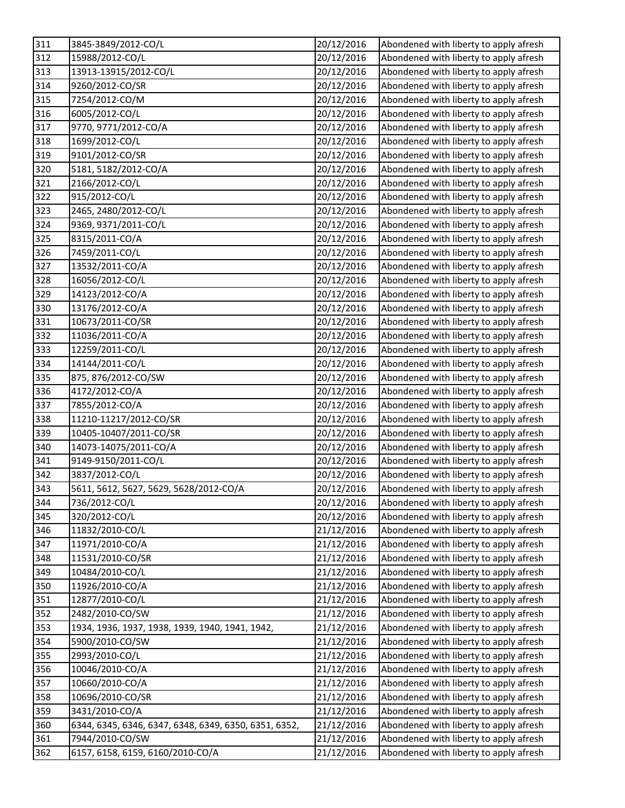| 311 | 3845-3849/2012-CO/L                                   | 20/12/2016 | Abondened with liberty to apply afresh |
|-----|-------------------------------------------------------|------------|----------------------------------------|
| 312 | 15988/2012-CO/L                                       | 20/12/2016 | Abondened with liberty to apply afresh |
| 313 | 13913-13915/2012-CO/L                                 | 20/12/2016 | Abondened with liberty to apply afresh |
| 314 | 9260/2012-CO/SR                                       | 20/12/2016 | Abondened with liberty to apply afresh |
| 315 | 7254/2012-CO/M                                        | 20/12/2016 | Abondened with liberty to apply afresh |
| 316 | 6005/2012-CO/L                                        | 20/12/2016 | Abondened with liberty to apply afresh |
| 317 | 9770, 9771/2012-CO/A                                  | 20/12/2016 | Abondened with liberty to apply afresh |
| 318 | 1699/2012-CO/L                                        | 20/12/2016 | Abondened with liberty to apply afresh |
| 319 | 9101/2012-CO/SR                                       | 20/12/2016 | Abondened with liberty to apply afresh |
| 320 | 5181, 5182/2012-CO/A                                  | 20/12/2016 | Abondened with liberty to apply afresh |
| 321 | 2166/2012-CO/L                                        | 20/12/2016 | Abondened with liberty to apply afresh |
| 322 | 915/2012-CO/L                                         | 20/12/2016 | Abondened with liberty to apply afresh |
| 323 | 2465, 2480/2012-CO/L                                  | 20/12/2016 | Abondened with liberty to apply afresh |
| 324 | 9369, 9371/2011-CO/L                                  | 20/12/2016 | Abondened with liberty to apply afresh |
| 325 | 8315/2011-CO/A                                        | 20/12/2016 | Abondened with liberty to apply afresh |
| 326 | 7459/2011-CO/L                                        | 20/12/2016 | Abondened with liberty to apply afresh |
| 327 | 13532/2011-CO/A                                       | 20/12/2016 | Abondened with liberty to apply afresh |
| 328 | 16056/2012-CO/L                                       | 20/12/2016 | Abondened with liberty to apply afresh |
| 329 | 14123/2012-CO/A                                       | 20/12/2016 | Abondened with liberty to apply afresh |
| 330 | 13176/2012-CO/A                                       | 20/12/2016 | Abondened with liberty to apply afresh |
| 331 | 10673/2011-CO/SR                                      | 20/12/2016 | Abondened with liberty to apply afresh |
| 332 | 11036/2011-CO/A                                       | 20/12/2016 | Abondened with liberty to apply afresh |
| 333 | 12259/2011-CO/L                                       | 20/12/2016 | Abondened with liberty to apply afresh |
| 334 | 14144/2011-CO/L                                       | 20/12/2016 | Abondened with liberty to apply afresh |
| 335 | 875, 876/2012-CO/SW                                   | 20/12/2016 | Abondened with liberty to apply afresh |
| 336 | 4172/2012-CO/A                                        | 20/12/2016 | Abondened with liberty to apply afresh |
| 337 | 7855/2012-CO/A                                        | 20/12/2016 | Abondened with liberty to apply afresh |
| 338 | 11210-11217/2012-CO/SR                                | 20/12/2016 | Abondened with liberty to apply afresh |
| 339 | 10405-10407/2011-CO/SR                                | 20/12/2016 | Abondened with liberty to apply afresh |
| 340 | 14073-14075/2011-CO/A                                 | 20/12/2016 | Abondened with liberty to apply afresh |
| 341 | 9149-9150/2011-CO/L                                   | 20/12/2016 | Abondened with liberty to apply afresh |
| 342 | 3837/2012-CO/L                                        | 20/12/2016 | Abondened with liberty to apply afresh |
| 343 | 5611, 5612, 5627, 5629, 5628/2012-CO/A                | 20/12/2016 | Abondened with liberty to apply afresh |
| 344 | 736/2012-CO/L                                         | 20/12/2016 | Abondened with liberty to apply afresh |
| 345 | 320/2012-CO/L                                         | 20/12/2016 | Abondened with liberty to apply afresh |
| 346 | 11832/2010-CO/L                                       | 21/12/2016 | Abondened with liberty to apply afresh |
| 347 | 11971/2010-CO/A                                       | 21/12/2016 | Abondened with liberty to apply afresh |
| 348 | 11531/2010-CO/SR                                      | 21/12/2016 | Abondened with liberty to apply afresh |
| 349 | 10484/2010-CO/L                                       | 21/12/2016 | Abondened with liberty to apply afresh |
| 350 | 11926/2010-CO/A                                       | 21/12/2016 | Abondened with liberty to apply afresh |
| 351 | 12877/2010-CO/L                                       | 21/12/2016 | Abondened with liberty to apply afresh |
| 352 | 2482/2010-CO/SW                                       | 21/12/2016 | Abondened with liberty to apply afresh |
| 353 | 1934, 1936, 1937, 1938, 1939, 1940, 1941, 1942,       | 21/12/2016 | Abondened with liberty to apply afresh |
| 354 | 5900/2010-CO/SW                                       | 21/12/2016 | Abondened with liberty to apply afresh |
| 355 | 2993/2010-CO/L                                        | 21/12/2016 | Abondened with liberty to apply afresh |
| 356 | 10046/2010-CO/A                                       | 21/12/2016 | Abondened with liberty to apply afresh |
| 357 | 10660/2010-CO/A                                       | 21/12/2016 | Abondened with liberty to apply afresh |
| 358 | 10696/2010-CO/SR                                      | 21/12/2016 | Abondened with liberty to apply afresh |
| 359 | 3431/2010-CO/A                                        | 21/12/2016 | Abondened with liberty to apply afresh |
| 360 | 6344, 6345, 6346, 6347, 6348, 6349, 6350, 6351, 6352, | 21/12/2016 | Abondened with liberty to apply afresh |
| 361 | 7944/2010-CO/SW                                       | 21/12/2016 | Abondened with liberty to apply afresh |
| 362 | 6157, 6158, 6159, 6160/2010-CO/A                      | 21/12/2016 | Abondened with liberty to apply afresh |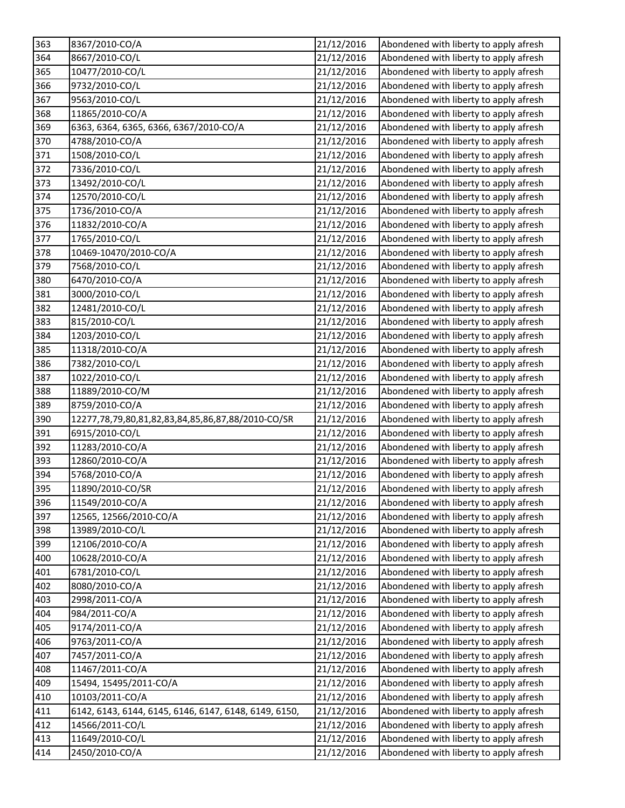| 363 | 8367/2010-CO/A                                        | 21/12/2016 | Abondened with liberty to apply afresh |
|-----|-------------------------------------------------------|------------|----------------------------------------|
| 364 | 8667/2010-CO/L                                        | 21/12/2016 | Abondened with liberty to apply afresh |
| 365 | 10477/2010-CO/L                                       | 21/12/2016 | Abondened with liberty to apply afresh |
| 366 | 9732/2010-CO/L                                        | 21/12/2016 | Abondened with liberty to apply afresh |
| 367 | 9563/2010-CO/L                                        | 21/12/2016 | Abondened with liberty to apply afresh |
| 368 | 11865/2010-CO/A                                       | 21/12/2016 | Abondened with liberty to apply afresh |
| 369 | 6363, 6364, 6365, 6366, 6367/2010-CO/A                | 21/12/2016 | Abondened with liberty to apply afresh |
| 370 | 4788/2010-CO/A                                        | 21/12/2016 | Abondened with liberty to apply afresh |
| 371 | 1508/2010-CO/L                                        | 21/12/2016 | Abondened with liberty to apply afresh |
| 372 | 7336/2010-CO/L                                        | 21/12/2016 | Abondened with liberty to apply afresh |
| 373 | 13492/2010-CO/L                                       | 21/12/2016 | Abondened with liberty to apply afresh |
| 374 | 12570/2010-CO/L                                       | 21/12/2016 | Abondened with liberty to apply afresh |
| 375 | 1736/2010-CO/A                                        | 21/12/2016 | Abondened with liberty to apply afresh |
| 376 | 11832/2010-CO/A                                       | 21/12/2016 | Abondened with liberty to apply afresh |
| 377 | 1765/2010-CO/L                                        | 21/12/2016 | Abondened with liberty to apply afresh |
| 378 | 10469-10470/2010-CO/A                                 | 21/12/2016 | Abondened with liberty to apply afresh |
| 379 | 7568/2010-CO/L                                        | 21/12/2016 | Abondened with liberty to apply afresh |
| 380 | 6470/2010-CO/A                                        | 21/12/2016 | Abondened with liberty to apply afresh |
| 381 | 3000/2010-CO/L                                        | 21/12/2016 | Abondened with liberty to apply afresh |
| 382 | 12481/2010-CO/L                                       | 21/12/2016 | Abondened with liberty to apply afresh |
| 383 | 815/2010-CO/L                                         | 21/12/2016 | Abondened with liberty to apply afresh |
| 384 | 1203/2010-CO/L                                        | 21/12/2016 | Abondened with liberty to apply afresh |
| 385 | 11318/2010-CO/A                                       | 21/12/2016 | Abondened with liberty to apply afresh |
| 386 | 7382/2010-CO/L                                        | 21/12/2016 | Abondened with liberty to apply afresh |
| 387 | 1022/2010-CO/L                                        | 21/12/2016 | Abondened with liberty to apply afresh |
| 388 | 11889/2010-CO/M                                       | 21/12/2016 | Abondened with liberty to apply afresh |
| 389 | 8759/2010-CO/A                                        | 21/12/2016 | Abondened with liberty to apply afresh |
| 390 | 12277,78,79,80,81,82,83,84,85,86,87,88/2010-CO/SR     | 21/12/2016 | Abondened with liberty to apply afresh |
| 391 | 6915/2010-CO/L                                        | 21/12/2016 | Abondened with liberty to apply afresh |
| 392 | 11283/2010-CO/A                                       | 21/12/2016 | Abondened with liberty to apply afresh |
| 393 | 12860/2010-CO/A                                       | 21/12/2016 | Abondened with liberty to apply afresh |
| 394 | 5768/2010-CO/A                                        | 21/12/2016 | Abondened with liberty to apply afresh |
| 395 | 11890/2010-CO/SR                                      | 21/12/2016 | Abondened with liberty to apply afresh |
| 396 | 11549/2010-CO/A                                       | 21/12/2016 | Abondened with liberty to apply afresh |
| 397 | 12565, 12566/2010-CO/A                                | 21/12/2016 | Abondened with liberty to apply afresh |
| 398 | 13989/2010-CO/L                                       | 21/12/2016 | Abondened with liberty to apply afresh |
| 399 | 12106/2010-CO/A                                       | 21/12/2016 | Abondened with liberty to apply afresh |
| 400 | 10628/2010-CO/A                                       | 21/12/2016 | Abondened with liberty to apply afresh |
| 401 | 6781/2010-CO/L                                        | 21/12/2016 | Abondened with liberty to apply afresh |
| 402 | 8080/2010-CO/A                                        | 21/12/2016 | Abondened with liberty to apply afresh |
| 403 | 2998/2011-CO/A                                        | 21/12/2016 | Abondened with liberty to apply afresh |
| 404 | 984/2011-CO/A                                         | 21/12/2016 | Abondened with liberty to apply afresh |
| 405 | 9174/2011-CO/A                                        | 21/12/2016 | Abondened with liberty to apply afresh |
| 406 | 9763/2011-CO/A                                        | 21/12/2016 | Abondened with liberty to apply afresh |
| 407 | 7457/2011-CO/A                                        | 21/12/2016 | Abondened with liberty to apply afresh |
| 408 | 11467/2011-CO/A                                       | 21/12/2016 | Abondened with liberty to apply afresh |
| 409 | 15494, 15495/2011-CO/A                                | 21/12/2016 | Abondened with liberty to apply afresh |
| 410 | 10103/2011-CO/A                                       | 21/12/2016 | Abondened with liberty to apply afresh |
| 411 | 6142, 6143, 6144, 6145, 6146, 6147, 6148, 6149, 6150, | 21/12/2016 | Abondened with liberty to apply afresh |
| 412 | 14566/2011-CO/L                                       | 21/12/2016 | Abondened with liberty to apply afresh |
| 413 | 11649/2010-CO/L                                       | 21/12/2016 | Abondened with liberty to apply afresh |
| 414 | 2450/2010-CO/A                                        | 21/12/2016 | Abondened with liberty to apply afresh |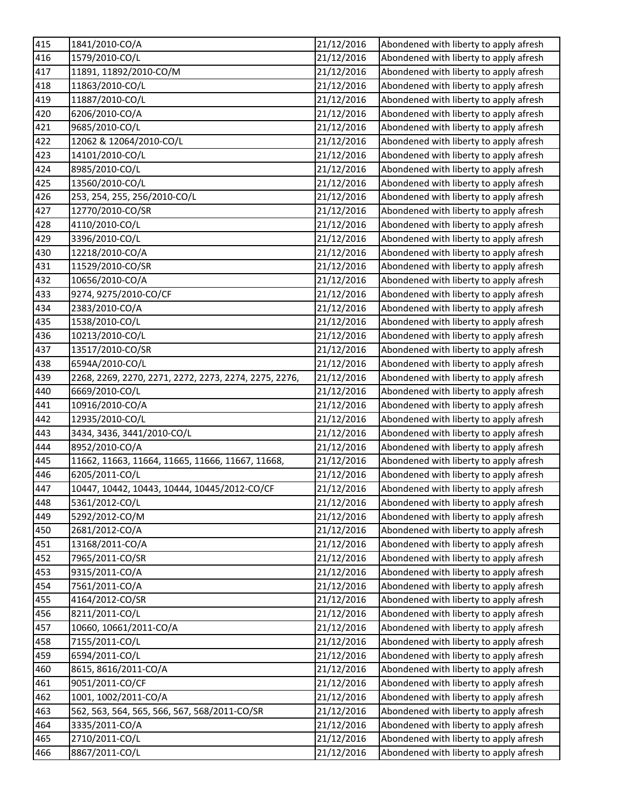| 415 | 1841/2010-CO/A                                        | 21/12/2016 | Abondened with liberty to apply afresh |
|-----|-------------------------------------------------------|------------|----------------------------------------|
| 416 | 1579/2010-CO/L                                        | 21/12/2016 | Abondened with liberty to apply afresh |
| 417 | 11891, 11892/2010-CO/M                                | 21/12/2016 | Abondened with liberty to apply afresh |
| 418 | 11863/2010-CO/L                                       | 21/12/2016 | Abondened with liberty to apply afresh |
| 419 | 11887/2010-CO/L                                       | 21/12/2016 | Abondened with liberty to apply afresh |
| 420 | 6206/2010-CO/A                                        | 21/12/2016 | Abondened with liberty to apply afresh |
| 421 | 9685/2010-CO/L                                        | 21/12/2016 | Abondened with liberty to apply afresh |
| 422 | 12062 & 12064/2010-CO/L                               | 21/12/2016 | Abondened with liberty to apply afresh |
| 423 | 14101/2010-CO/L                                       | 21/12/2016 | Abondened with liberty to apply afresh |
| 424 | 8985/2010-CO/L                                        | 21/12/2016 | Abondened with liberty to apply afresh |
| 425 | 13560/2010-CO/L                                       | 21/12/2016 | Abondened with liberty to apply afresh |
| 426 | 253, 254, 255, 256/2010-CO/L                          | 21/12/2016 | Abondened with liberty to apply afresh |
| 427 | 12770/2010-CO/SR                                      | 21/12/2016 | Abondened with liberty to apply afresh |
| 428 | 4110/2010-CO/L                                        | 21/12/2016 | Abondened with liberty to apply afresh |
| 429 | 3396/2010-CO/L                                        | 21/12/2016 | Abondened with liberty to apply afresh |
| 430 | 12218/2010-CO/A                                       | 21/12/2016 | Abondened with liberty to apply afresh |
| 431 | 11529/2010-CO/SR                                      | 21/12/2016 | Abondened with liberty to apply afresh |
| 432 | 10656/2010-CO/A                                       | 21/12/2016 | Abondened with liberty to apply afresh |
| 433 | 9274, 9275/2010-CO/CF                                 | 21/12/2016 | Abondened with liberty to apply afresh |
| 434 | 2383/2010-CO/A                                        | 21/12/2016 | Abondened with liberty to apply afresh |
| 435 | 1538/2010-CO/L                                        | 21/12/2016 | Abondened with liberty to apply afresh |
| 436 | 10213/2010-CO/L                                       | 21/12/2016 | Abondened with liberty to apply afresh |
| 437 | 13517/2010-CO/SR                                      | 21/12/2016 | Abondened with liberty to apply afresh |
| 438 | 6594A/2010-CO/L                                       | 21/12/2016 | Abondened with liberty to apply afresh |
| 439 | 2268, 2269, 2270, 2271, 2272, 2273, 2274, 2275, 2276, | 21/12/2016 | Abondened with liberty to apply afresh |
| 440 | 6669/2010-CO/L                                        | 21/12/2016 | Abondened with liberty to apply afresh |
| 441 | 10916/2010-CO/A                                       | 21/12/2016 | Abondened with liberty to apply afresh |
| 442 | 12935/2010-CO/L                                       | 21/12/2016 | Abondened with liberty to apply afresh |
| 443 | 3434, 3436, 3441/2010-CO/L                            | 21/12/2016 | Abondened with liberty to apply afresh |
| 444 | 8952/2010-CO/A                                        | 21/12/2016 | Abondened with liberty to apply afresh |
| 445 | 11662, 11663, 11664, 11665, 11666, 11667, 11668,      | 21/12/2016 | Abondened with liberty to apply afresh |
| 446 | 6205/2011-CO/L                                        | 21/12/2016 | Abondened with liberty to apply afresh |
| 447 | 10447, 10442, 10443, 10444, 10445/2012-CO/CF          | 21/12/2016 | Abondened with liberty to apply afresh |
| 448 | 5361/2012-CO/L                                        | 21/12/2016 | Abondened with liberty to apply afresh |
| 449 | 5292/2012-CO/M                                        | 21/12/2016 | Abondened with liberty to apply afresh |
| 450 | 2681/2012-CO/A                                        | 21/12/2016 | Abondened with liberty to apply afresh |
| 451 | 13168/2011-CO/A                                       | 21/12/2016 | Abondened with liberty to apply afresh |
| 452 | 7965/2011-CO/SR                                       | 21/12/2016 | Abondened with liberty to apply afresh |
| 453 | 9315/2011-CO/A                                        | 21/12/2016 | Abondened with liberty to apply afresh |
| 454 | 7561/2011-CO/A                                        | 21/12/2016 | Abondened with liberty to apply afresh |
| 455 | 4164/2012-CO/SR                                       | 21/12/2016 | Abondened with liberty to apply afresh |
| 456 | 8211/2011-CO/L                                        | 21/12/2016 | Abondened with liberty to apply afresh |
| 457 | 10660, 10661/2011-CO/A                                | 21/12/2016 | Abondened with liberty to apply afresh |
| 458 | 7155/2011-CO/L                                        | 21/12/2016 | Abondened with liberty to apply afresh |
| 459 | 6594/2011-CO/L                                        | 21/12/2016 | Abondened with liberty to apply afresh |
| 460 | 8615, 8616/2011-CO/A                                  | 21/12/2016 | Abondened with liberty to apply afresh |
| 461 | 9051/2011-CO/CF                                       | 21/12/2016 | Abondened with liberty to apply afresh |
| 462 | 1001, 1002/2011-CO/A                                  | 21/12/2016 | Abondened with liberty to apply afresh |
| 463 | 562, 563, 564, 565, 566, 567, 568/2011-CO/SR          | 21/12/2016 | Abondened with liberty to apply afresh |
| 464 | 3335/2011-CO/A                                        | 21/12/2016 | Abondened with liberty to apply afresh |
| 465 | 2710/2011-CO/L                                        | 21/12/2016 | Abondened with liberty to apply afresh |
| 466 | 8867/2011-CO/L                                        | 21/12/2016 | Abondened with liberty to apply afresh |
|     |                                                       |            |                                        |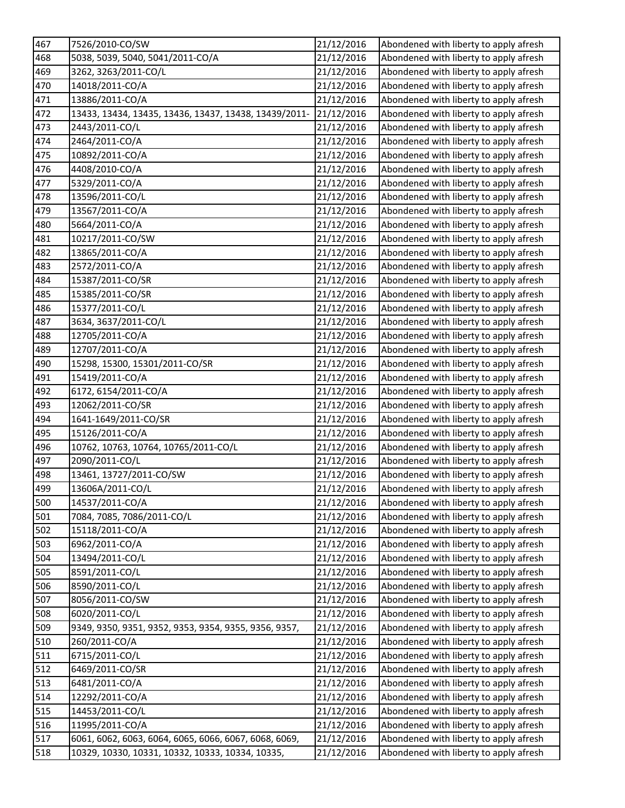| 467 | 7526/2010-CO/SW                                       | 21/12/2016 | Abondened with liberty to apply afresh |
|-----|-------------------------------------------------------|------------|----------------------------------------|
| 468 | 5038, 5039, 5040, 5041/2011-CO/A                      | 21/12/2016 | Abondened with liberty to apply afresh |
| 469 | 3262, 3263/2011-CO/L                                  | 21/12/2016 | Abondened with liberty to apply afresh |
| 470 | 14018/2011-CO/A                                       | 21/12/2016 | Abondened with liberty to apply afresh |
| 471 | 13886/2011-CO/A                                       | 21/12/2016 | Abondened with liberty to apply afresh |
| 472 | 13433, 13434, 13435, 13436, 13437, 13438, 13439/2011- | 21/12/2016 | Abondened with liberty to apply afresh |
| 473 | 2443/2011-CO/L                                        | 21/12/2016 | Abondened with liberty to apply afresh |
| 474 | 2464/2011-CO/A                                        | 21/12/2016 | Abondened with liberty to apply afresh |
| 475 | 10892/2011-CO/A                                       | 21/12/2016 | Abondened with liberty to apply afresh |
| 476 | 4408/2010-CO/A                                        | 21/12/2016 | Abondened with liberty to apply afresh |
| 477 | 5329/2011-CO/A                                        | 21/12/2016 | Abondened with liberty to apply afresh |
| 478 | 13596/2011-CO/L                                       | 21/12/2016 | Abondened with liberty to apply afresh |
| 479 | 13567/2011-CO/A                                       | 21/12/2016 | Abondened with liberty to apply afresh |
| 480 | 5664/2011-CO/A                                        | 21/12/2016 | Abondened with liberty to apply afresh |
| 481 | 10217/2011-CO/SW                                      | 21/12/2016 | Abondened with liberty to apply afresh |
| 482 | 13865/2011-CO/A                                       | 21/12/2016 | Abondened with liberty to apply afresh |
| 483 | 2572/2011-CO/A                                        | 21/12/2016 | Abondened with liberty to apply afresh |
| 484 | 15387/2011-CO/SR                                      | 21/12/2016 | Abondened with liberty to apply afresh |
| 485 | 15385/2011-CO/SR                                      | 21/12/2016 | Abondened with liberty to apply afresh |
| 486 | 15377/2011-CO/L                                       | 21/12/2016 | Abondened with liberty to apply afresh |
| 487 | 3634, 3637/2011-CO/L                                  | 21/12/2016 | Abondened with liberty to apply afresh |
| 488 | 12705/2011-CO/A                                       | 21/12/2016 | Abondened with liberty to apply afresh |
| 489 | 12707/2011-CO/A                                       | 21/12/2016 | Abondened with liberty to apply afresh |
| 490 | 15298, 15300, 15301/2011-CO/SR                        | 21/12/2016 | Abondened with liberty to apply afresh |
| 491 | 15419/2011-CO/A                                       | 21/12/2016 | Abondened with liberty to apply afresh |
| 492 | 6172, 6154/2011-CO/A                                  | 21/12/2016 | Abondened with liberty to apply afresh |
| 493 | 12062/2011-CO/SR                                      | 21/12/2016 | Abondened with liberty to apply afresh |
| 494 | 1641-1649/2011-CO/SR                                  | 21/12/2016 | Abondened with liberty to apply afresh |
| 495 | 15126/2011-CO/A                                       | 21/12/2016 | Abondened with liberty to apply afresh |
| 496 | 10762, 10763, 10764, 10765/2011-CO/L                  | 21/12/2016 | Abondened with liberty to apply afresh |
| 497 | 2090/2011-CO/L                                        | 21/12/2016 | Abondened with liberty to apply afresh |
| 498 | 13461, 13727/2011-CO/SW                               | 21/12/2016 | Abondened with liberty to apply afresh |
| 499 | 13606A/2011-CO/L                                      | 21/12/2016 | Abondened with liberty to apply afresh |
| 500 | 14537/2011-CO/A                                       | 21/12/2016 | Abondened with liberty to apply afresh |
| 501 | 7084, 7085, 7086/2011-CO/L                            | 21/12/2016 | Abondened with liberty to apply afresh |
| 502 | 15118/2011-CO/A                                       | 21/12/2016 | Abondened with liberty to apply afresh |
| 503 | 6962/2011-CO/A                                        | 21/12/2016 | Abondened with liberty to apply afresh |
| 504 | 13494/2011-CO/L                                       | 21/12/2016 | Abondened with liberty to apply afresh |
| 505 | 8591/2011-CO/L                                        | 21/12/2016 | Abondened with liberty to apply afresh |
| 506 | 8590/2011-CO/L                                        | 21/12/2016 | Abondened with liberty to apply afresh |
| 507 | 8056/2011-CO/SW                                       | 21/12/2016 | Abondened with liberty to apply afresh |
| 508 | 6020/2011-CO/L                                        | 21/12/2016 | Abondened with liberty to apply afresh |
| 509 | 9349, 9350, 9351, 9352, 9353, 9354, 9355, 9356, 9357, | 21/12/2016 | Abondened with liberty to apply afresh |
| 510 | 260/2011-CO/A                                         | 21/12/2016 | Abondened with liberty to apply afresh |
| 511 | 6715/2011-CO/L                                        | 21/12/2016 | Abondened with liberty to apply afresh |
| 512 | 6469/2011-CO/SR                                       | 21/12/2016 | Abondened with liberty to apply afresh |
| 513 | 6481/2011-CO/A                                        | 21/12/2016 | Abondened with liberty to apply afresh |
| 514 | 12292/2011-CO/A                                       | 21/12/2016 | Abondened with liberty to apply afresh |
| 515 | 14453/2011-CO/L                                       | 21/12/2016 | Abondened with liberty to apply afresh |
| 516 | 11995/2011-CO/A                                       | 21/12/2016 | Abondened with liberty to apply afresh |
| 517 | 6061, 6062, 6063, 6064, 6065, 6066, 6067, 6068, 6069, | 21/12/2016 | Abondened with liberty to apply afresh |
| 518 | 10329, 10330, 10331, 10332, 10333, 10334, 10335,      | 21/12/2016 | Abondened with liberty to apply afresh |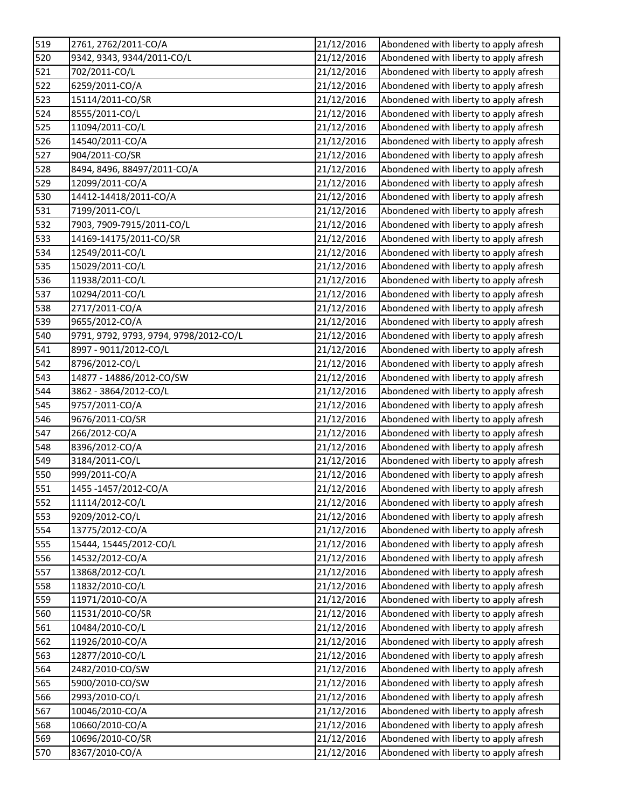| 519 | 2761, 2762/2011-CO/A                   | 21/12/2016 | Abondened with liberty to apply afresh |
|-----|----------------------------------------|------------|----------------------------------------|
| 520 | 9342, 9343, 9344/2011-CO/L             | 21/12/2016 | Abondened with liberty to apply afresh |
| 521 | 702/2011-CO/L                          | 21/12/2016 | Abondened with liberty to apply afresh |
| 522 | 6259/2011-CO/A                         | 21/12/2016 | Abondened with liberty to apply afresh |
| 523 | 15114/2011-CO/SR                       | 21/12/2016 | Abondened with liberty to apply afresh |
| 524 | 8555/2011-CO/L                         | 21/12/2016 | Abondened with liberty to apply afresh |
| 525 | 11094/2011-CO/L                        | 21/12/2016 | Abondened with liberty to apply afresh |
| 526 | 14540/2011-CO/A                        | 21/12/2016 | Abondened with liberty to apply afresh |
| 527 | 904/2011-CO/SR                         | 21/12/2016 | Abondened with liberty to apply afresh |
| 528 | 8494, 8496, 88497/2011-CO/A            | 21/12/2016 | Abondened with liberty to apply afresh |
| 529 | 12099/2011-CO/A                        | 21/12/2016 | Abondened with liberty to apply afresh |
| 530 | 14412-14418/2011-CO/A                  | 21/12/2016 | Abondened with liberty to apply afresh |
| 531 | 7199/2011-CO/L                         | 21/12/2016 | Abondened with liberty to apply afresh |
| 532 | 7903, 7909-7915/2011-CO/L              | 21/12/2016 | Abondened with liberty to apply afresh |
| 533 | 14169-14175/2011-CO/SR                 | 21/12/2016 | Abondened with liberty to apply afresh |
| 534 | 12549/2011-CO/L                        | 21/12/2016 | Abondened with liberty to apply afresh |
| 535 | 15029/2011-CO/L                        | 21/12/2016 | Abondened with liberty to apply afresh |
| 536 | 11938/2011-CO/L                        | 21/12/2016 | Abondened with liberty to apply afresh |
| 537 | 10294/2011-CO/L                        | 21/12/2016 | Abondened with liberty to apply afresh |
| 538 | 2717/2011-CO/A                         | 21/12/2016 | Abondened with liberty to apply afresh |
| 539 | 9655/2012-CO/A                         | 21/12/2016 | Abondened with liberty to apply afresh |
| 540 | 9791, 9792, 9793, 9794, 9798/2012-CO/L | 21/12/2016 | Abondened with liberty to apply afresh |
| 541 | 8997 - 9011/2012-CO/L                  | 21/12/2016 | Abondened with liberty to apply afresh |
| 542 | 8796/2012-CO/L                         | 21/12/2016 | Abondened with liberty to apply afresh |
| 543 | 14877 - 14886/2012-CO/SW               | 21/12/2016 | Abondened with liberty to apply afresh |
| 544 | 3862 - 3864/2012-CO/L                  | 21/12/2016 | Abondened with liberty to apply afresh |
| 545 | 9757/2011-CO/A                         | 21/12/2016 | Abondened with liberty to apply afresh |
| 546 | 9676/2011-CO/SR                        | 21/12/2016 | Abondened with liberty to apply afresh |
| 547 | 266/2012-CO/A                          | 21/12/2016 | Abondened with liberty to apply afresh |
| 548 | 8396/2012-CO/A                         | 21/12/2016 | Abondened with liberty to apply afresh |
| 549 | 3184/2011-CO/L                         | 21/12/2016 | Abondened with liberty to apply afresh |
| 550 | 999/2011-CO/A                          | 21/12/2016 | Abondened with liberty to apply afresh |
| 551 | 1455-1457/2012-CO/A                    | 21/12/2016 | Abondened with liberty to apply afresh |
| 552 | 11114/2012-CO/L                        | 21/12/2016 | Abondened with liberty to apply afresh |
| 553 | 9209/2012-CO/L                         | 21/12/2016 | Abondened with liberty to apply afresh |
| 554 | 13775/2012-CO/A                        | 21/12/2016 | Abondened with liberty to apply afresh |
| 555 | 15444, 15445/2012-CO/L                 | 21/12/2016 | Abondened with liberty to apply afresh |
| 556 | 14532/2012-CO/A                        | 21/12/2016 | Abondened with liberty to apply afresh |
| 557 | 13868/2012-CO/L                        | 21/12/2016 | Abondened with liberty to apply afresh |
| 558 | 11832/2010-CO/L                        | 21/12/2016 | Abondened with liberty to apply afresh |
| 559 | 11971/2010-CO/A                        | 21/12/2016 | Abondened with liberty to apply afresh |
| 560 | 11531/2010-CO/SR                       | 21/12/2016 | Abondened with liberty to apply afresh |
| 561 | 10484/2010-CO/L                        | 21/12/2016 | Abondened with liberty to apply afresh |
| 562 | 11926/2010-CO/A                        | 21/12/2016 | Abondened with liberty to apply afresh |
| 563 | 12877/2010-CO/L                        | 21/12/2016 | Abondened with liberty to apply afresh |
| 564 | 2482/2010-CO/SW                        | 21/12/2016 | Abondened with liberty to apply afresh |
| 565 | 5900/2010-CO/SW                        | 21/12/2016 | Abondened with liberty to apply afresh |
| 566 | 2993/2010-CO/L                         | 21/12/2016 | Abondened with liberty to apply afresh |
| 567 | 10046/2010-CO/A                        | 21/12/2016 | Abondened with liberty to apply afresh |
| 568 | 10660/2010-CO/A                        | 21/12/2016 | Abondened with liberty to apply afresh |
| 569 | 10696/2010-CO/SR                       | 21/12/2016 | Abondened with liberty to apply afresh |
| 570 | 8367/2010-CO/A                         | 21/12/2016 | Abondened with liberty to apply afresh |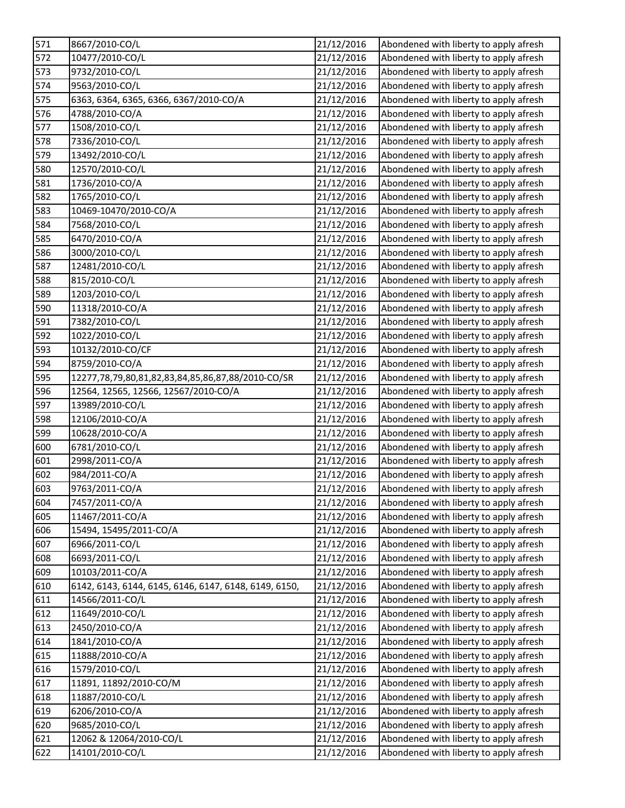| 571 | 8667/2010-CO/L                                        | 21/12/2016 | Abondened with liberty to apply afresh |
|-----|-------------------------------------------------------|------------|----------------------------------------|
| 572 | 10477/2010-CO/L                                       | 21/12/2016 | Abondened with liberty to apply afresh |
| 573 | 9732/2010-CO/L                                        | 21/12/2016 | Abondened with liberty to apply afresh |
| 574 | 9563/2010-CO/L                                        | 21/12/2016 | Abondened with liberty to apply afresh |
| 575 | 6363, 6364, 6365, 6366, 6367/2010-CO/A                | 21/12/2016 | Abondened with liberty to apply afresh |
| 576 | 4788/2010-CO/A                                        | 21/12/2016 | Abondened with liberty to apply afresh |
| 577 | 1508/2010-CO/L                                        | 21/12/2016 | Abondened with liberty to apply afresh |
| 578 | 7336/2010-CO/L                                        | 21/12/2016 | Abondened with liberty to apply afresh |
| 579 | 13492/2010-CO/L                                       | 21/12/2016 | Abondened with liberty to apply afresh |
| 580 | 12570/2010-CO/L                                       | 21/12/2016 | Abondened with liberty to apply afresh |
| 581 | 1736/2010-CO/A                                        | 21/12/2016 | Abondened with liberty to apply afresh |
| 582 | 1765/2010-CO/L                                        | 21/12/2016 | Abondened with liberty to apply afresh |
| 583 | 10469-10470/2010-CO/A                                 | 21/12/2016 | Abondened with liberty to apply afresh |
| 584 | 7568/2010-CO/L                                        | 21/12/2016 | Abondened with liberty to apply afresh |
| 585 | 6470/2010-CO/A                                        | 21/12/2016 | Abondened with liberty to apply afresh |
| 586 | 3000/2010-CO/L                                        | 21/12/2016 | Abondened with liberty to apply afresh |
| 587 | 12481/2010-CO/L                                       | 21/12/2016 | Abondened with liberty to apply afresh |
| 588 | 815/2010-CO/L                                         | 21/12/2016 | Abondened with liberty to apply afresh |
| 589 | 1203/2010-CO/L                                        | 21/12/2016 | Abondened with liberty to apply afresh |
| 590 | 11318/2010-CO/A                                       | 21/12/2016 | Abondened with liberty to apply afresh |
| 591 | 7382/2010-CO/L                                        | 21/12/2016 | Abondened with liberty to apply afresh |
| 592 | 1022/2010-CO/L                                        | 21/12/2016 | Abondened with liberty to apply afresh |
| 593 | 10132/2010-CO/CF                                      | 21/12/2016 | Abondened with liberty to apply afresh |
| 594 | 8759/2010-CO/A                                        | 21/12/2016 | Abondened with liberty to apply afresh |
| 595 | 12277,78,79,80,81,82,83,84,85,86,87,88/2010-CO/SR     | 21/12/2016 | Abondened with liberty to apply afresh |
| 596 | 12564, 12565, 12566, 12567/2010-CO/A                  | 21/12/2016 | Abondened with liberty to apply afresh |
| 597 | 13989/2010-CO/L                                       | 21/12/2016 | Abondened with liberty to apply afresh |
| 598 | 12106/2010-CO/A                                       | 21/12/2016 | Abondened with liberty to apply afresh |
| 599 | 10628/2010-CO/A                                       | 21/12/2016 | Abondened with liberty to apply afresh |
| 600 | 6781/2010-CO/L                                        | 21/12/2016 | Abondened with liberty to apply afresh |
| 601 | 2998/2011-CO/A                                        | 21/12/2016 | Abondened with liberty to apply afresh |
| 602 | 984/2011-CO/A                                         | 21/12/2016 | Abondened with liberty to apply afresh |
| 603 | 9763/2011-CO/A                                        | 21/12/2016 | Abondened with liberty to apply afresh |
| 604 | 7457/2011-CO/A                                        | 21/12/2016 | Abondened with liberty to apply afresh |
| 605 | 11467/2011-CO/A                                       | 21/12/2016 | Abondened with liberty to apply afresh |
| 606 | 15494, 15495/2011-CO/A                                | 21/12/2016 | Abondened with liberty to apply afresh |
| 607 | 6966/2011-CO/L                                        | 21/12/2016 | Abondened with liberty to apply afresh |
| 608 | 6693/2011-CO/L                                        | 21/12/2016 | Abondened with liberty to apply afresh |
| 609 | 10103/2011-CO/A                                       | 21/12/2016 | Abondened with liberty to apply afresh |
| 610 | 6142, 6143, 6144, 6145, 6146, 6147, 6148, 6149, 6150, | 21/12/2016 | Abondened with liberty to apply afresh |
| 611 | 14566/2011-CO/L                                       | 21/12/2016 | Abondened with liberty to apply afresh |
| 612 | 11649/2010-CO/L                                       | 21/12/2016 | Abondened with liberty to apply afresh |
| 613 | 2450/2010-CO/A                                        | 21/12/2016 | Abondened with liberty to apply afresh |
| 614 | 1841/2010-CO/A                                        | 21/12/2016 | Abondened with liberty to apply afresh |
| 615 | 11888/2010-CO/A                                       | 21/12/2016 | Abondened with liberty to apply afresh |
| 616 | 1579/2010-CO/L                                        | 21/12/2016 | Abondened with liberty to apply afresh |
| 617 | 11891, 11892/2010-CO/M                                | 21/12/2016 | Abondened with liberty to apply afresh |
| 618 | 11887/2010-CO/L                                       | 21/12/2016 | Abondened with liberty to apply afresh |
| 619 | 6206/2010-CO/A                                        | 21/12/2016 | Abondened with liberty to apply afresh |
| 620 | 9685/2010-CO/L                                        | 21/12/2016 | Abondened with liberty to apply afresh |
| 621 | 12062 & 12064/2010-CO/L                               | 21/12/2016 | Abondened with liberty to apply afresh |
| 622 | 14101/2010-CO/L                                       | 21/12/2016 | Abondened with liberty to apply afresh |
|     |                                                       |            |                                        |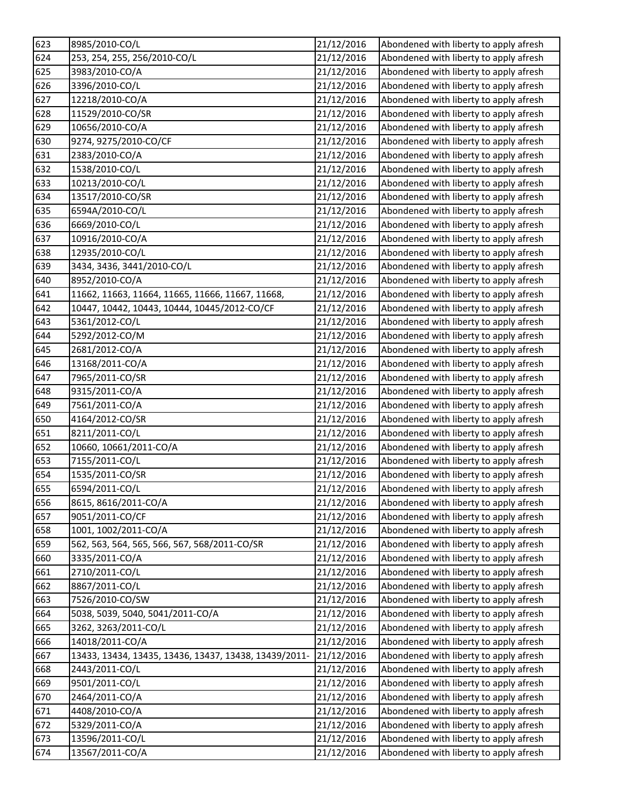| 623 | 8985/2010-CO/L                                        | 21/12/2016 | Abondened with liberty to apply afresh |
|-----|-------------------------------------------------------|------------|----------------------------------------|
| 624 | 253, 254, 255, 256/2010-CO/L                          | 21/12/2016 | Abondened with liberty to apply afresh |
| 625 | 3983/2010-CO/A                                        | 21/12/2016 | Abondened with liberty to apply afresh |
| 626 | 3396/2010-CO/L                                        | 21/12/2016 | Abondened with liberty to apply afresh |
| 627 | 12218/2010-CO/A                                       | 21/12/2016 | Abondened with liberty to apply afresh |
| 628 | 11529/2010-CO/SR                                      | 21/12/2016 | Abondened with liberty to apply afresh |
| 629 | 10656/2010-CO/A                                       | 21/12/2016 | Abondened with liberty to apply afresh |
| 630 | 9274, 9275/2010-CO/CF                                 | 21/12/2016 | Abondened with liberty to apply afresh |
| 631 | 2383/2010-CO/A                                        | 21/12/2016 | Abondened with liberty to apply afresh |
| 632 | 1538/2010-CO/L                                        | 21/12/2016 | Abondened with liberty to apply afresh |
| 633 | 10213/2010-CO/L                                       | 21/12/2016 | Abondened with liberty to apply afresh |
| 634 | 13517/2010-CO/SR                                      | 21/12/2016 | Abondened with liberty to apply afresh |
| 635 | 6594A/2010-CO/L                                       | 21/12/2016 | Abondened with liberty to apply afresh |
| 636 | 6669/2010-CO/L                                        | 21/12/2016 | Abondened with liberty to apply afresh |
| 637 | 10916/2010-CO/A                                       | 21/12/2016 | Abondened with liberty to apply afresh |
| 638 | 12935/2010-CO/L                                       | 21/12/2016 | Abondened with liberty to apply afresh |
| 639 | 3434, 3436, 3441/2010-CO/L                            | 21/12/2016 | Abondened with liberty to apply afresh |
| 640 | 8952/2010-CO/A                                        | 21/12/2016 | Abondened with liberty to apply afresh |
| 641 | 11662, 11663, 11664, 11665, 11666, 11667, 11668,      | 21/12/2016 | Abondened with liberty to apply afresh |
| 642 | 10447, 10442, 10443, 10444, 10445/2012-CO/CF          | 21/12/2016 | Abondened with liberty to apply afresh |
| 643 | 5361/2012-CO/L                                        | 21/12/2016 | Abondened with liberty to apply afresh |
| 644 | 5292/2012-CO/M                                        | 21/12/2016 | Abondened with liberty to apply afresh |
| 645 | 2681/2012-CO/A                                        | 21/12/2016 | Abondened with liberty to apply afresh |
| 646 | 13168/2011-CO/A                                       | 21/12/2016 | Abondened with liberty to apply afresh |
| 647 | 7965/2011-CO/SR                                       | 21/12/2016 | Abondened with liberty to apply afresh |
| 648 | 9315/2011-CO/A                                        | 21/12/2016 | Abondened with liberty to apply afresh |
| 649 | 7561/2011-CO/A                                        | 21/12/2016 | Abondened with liberty to apply afresh |
| 650 | 4164/2012-CO/SR                                       | 21/12/2016 | Abondened with liberty to apply afresh |
| 651 | 8211/2011-CO/L                                        | 21/12/2016 | Abondened with liberty to apply afresh |
| 652 | 10660, 10661/2011-CO/A                                | 21/12/2016 | Abondened with liberty to apply afresh |
| 653 | 7155/2011-CO/L                                        | 21/12/2016 | Abondened with liberty to apply afresh |
| 654 | 1535/2011-CO/SR                                       | 21/12/2016 | Abondened with liberty to apply afresh |
| 655 | 6594/2011-CO/L                                        | 21/12/2016 | Abondened with liberty to apply afresh |
| 656 | 8615, 8616/2011-CO/A                                  | 21/12/2016 | Abondened with liberty to apply afresh |
| 657 | 9051/2011-CO/CF                                       | 21/12/2016 | Abondened with liberty to apply afresh |
| 658 | 1001, 1002/2011-CO/A                                  | 21/12/2016 | Abondened with liberty to apply afresh |
| 659 | 562, 563, 564, 565, 566, 567, 568/2011-CO/SR          | 21/12/2016 | Abondened with liberty to apply afresh |
| 660 | 3335/2011-CO/A                                        | 21/12/2016 | Abondened with liberty to apply afresh |
| 661 | 2710/2011-CO/L                                        | 21/12/2016 | Abondened with liberty to apply afresh |
| 662 | 8867/2011-CO/L                                        | 21/12/2016 | Abondened with liberty to apply afresh |
| 663 | 7526/2010-CO/SW                                       | 21/12/2016 | Abondened with liberty to apply afresh |
| 664 | 5038, 5039, 5040, 5041/2011-CO/A                      | 21/12/2016 | Abondened with liberty to apply afresh |
| 665 | 3262, 3263/2011-CO/L                                  | 21/12/2016 | Abondened with liberty to apply afresh |
| 666 | 14018/2011-CO/A                                       | 21/12/2016 | Abondened with liberty to apply afresh |
| 667 | 13433, 13434, 13435, 13436, 13437, 13438, 13439/2011- | 21/12/2016 | Abondened with liberty to apply afresh |
| 668 | 2443/2011-CO/L                                        | 21/12/2016 | Abondened with liberty to apply afresh |
| 669 | 9501/2011-CO/L                                        | 21/12/2016 | Abondened with liberty to apply afresh |
| 670 | 2464/2011-CO/A                                        | 21/12/2016 | Abondened with liberty to apply afresh |
| 671 | 4408/2010-CO/A                                        | 21/12/2016 | Abondened with liberty to apply afresh |
| 672 | 5329/2011-CO/A                                        | 21/12/2016 | Abondened with liberty to apply afresh |
| 673 | 13596/2011-CO/L                                       | 21/12/2016 | Abondened with liberty to apply afresh |
| 674 | 13567/2011-CO/A                                       | 21/12/2016 | Abondened with liberty to apply afresh |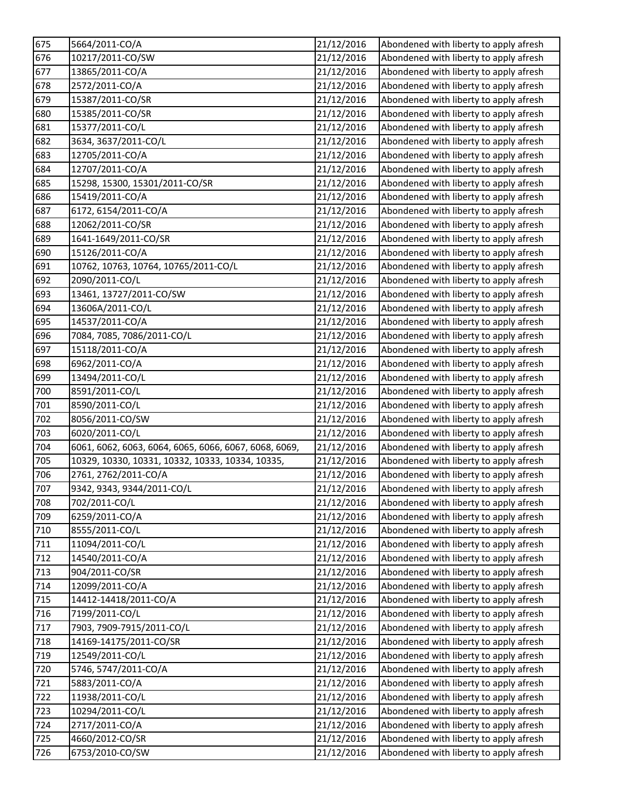| 675          | 5664/2011-CO/A                                        | 21/12/2016 | Abondened with liberty to apply afresh |
|--------------|-------------------------------------------------------|------------|----------------------------------------|
| 676          | 10217/2011-CO/SW                                      | 21/12/2016 | Abondened with liberty to apply afresh |
| 677          | 13865/2011-CO/A                                       | 21/12/2016 | Abondened with liberty to apply afresh |
| 678          | 2572/2011-CO/A                                        | 21/12/2016 | Abondened with liberty to apply afresh |
| 679          | 15387/2011-CO/SR                                      | 21/12/2016 | Abondened with liberty to apply afresh |
| 680          | 15385/2011-CO/SR                                      | 21/12/2016 | Abondened with liberty to apply afresh |
| 681          | 15377/2011-CO/L                                       | 21/12/2016 | Abondened with liberty to apply afresh |
| 682          | 3634, 3637/2011-CO/L                                  | 21/12/2016 | Abondened with liberty to apply afresh |
| 683          | 12705/2011-CO/A                                       | 21/12/2016 | Abondened with liberty to apply afresh |
| 684          | 12707/2011-CO/A                                       | 21/12/2016 | Abondened with liberty to apply afresh |
| 685          | 15298, 15300, 15301/2011-CO/SR                        | 21/12/2016 | Abondened with liberty to apply afresh |
| 686          | 15419/2011-CO/A                                       | 21/12/2016 | Abondened with liberty to apply afresh |
| 687          | 6172, 6154/2011-CO/A                                  | 21/12/2016 | Abondened with liberty to apply afresh |
| 688          | 12062/2011-CO/SR                                      | 21/12/2016 | Abondened with liberty to apply afresh |
| 689          | 1641-1649/2011-CO/SR                                  | 21/12/2016 | Abondened with liberty to apply afresh |
| 690          | 15126/2011-CO/A                                       | 21/12/2016 | Abondened with liberty to apply afresh |
| 691          | 10762, 10763, 10764, 10765/2011-CO/L                  | 21/12/2016 | Abondened with liberty to apply afresh |
| 692          | 2090/2011-CO/L                                        | 21/12/2016 | Abondened with liberty to apply afresh |
| 693          | 13461, 13727/2011-CO/SW                               | 21/12/2016 | Abondened with liberty to apply afresh |
| 694          | 13606A/2011-CO/L                                      | 21/12/2016 | Abondened with liberty to apply afresh |
| 695          | 14537/2011-CO/A                                       | 21/12/2016 | Abondened with liberty to apply afresh |
| 696          | 7084, 7085, 7086/2011-CO/L                            | 21/12/2016 | Abondened with liberty to apply afresh |
| 697          | 15118/2011-CO/A                                       | 21/12/2016 | Abondened with liberty to apply afresh |
| 698          | 6962/2011-CO/A                                        | 21/12/2016 | Abondened with liberty to apply afresh |
| 699          | 13494/2011-CO/L                                       | 21/12/2016 | Abondened with liberty to apply afresh |
| 700          | 8591/2011-CO/L                                        | 21/12/2016 | Abondened with liberty to apply afresh |
| 701          | 8590/2011-CO/L                                        | 21/12/2016 | Abondened with liberty to apply afresh |
| 702          | 8056/2011-CO/SW                                       | 21/12/2016 | Abondened with liberty to apply afresh |
| 703          | 6020/2011-CO/L                                        | 21/12/2016 | Abondened with liberty to apply afresh |
| 704          | 6061, 6062, 6063, 6064, 6065, 6066, 6067, 6068, 6069, | 21/12/2016 | Abondened with liberty to apply afresh |
| 705          | 10329, 10330, 10331, 10332, 10333, 10334, 10335,      | 21/12/2016 | Abondened with liberty to apply afresh |
| 706          | 2761, 2762/2011-CO/A                                  | 21/12/2016 | Abondened with liberty to apply afresh |
| 707          | 9342, 9343, 9344/2011-CO/L                            | 21/12/2016 | Abondened with liberty to apply afresh |
| 708          | 702/2011-CO/L                                         | 21/12/2016 | Abondened with liberty to apply afresh |
| 709          | 6259/2011-CO/A                                        | 21/12/2016 | Abondened with liberty to apply afresh |
| 710          | 8555/2011-CO/L                                        | 21/12/2016 | Abondened with liberty to apply afresh |
| 711          | 11094/2011-CO/L                                       | 21/12/2016 | Abondened with liberty to apply afresh |
| 712          | 14540/2011-CO/A                                       | 21/12/2016 | Abondened with liberty to apply afresh |
| 713          | 904/2011-CO/SR                                        | 21/12/2016 | Abondened with liberty to apply afresh |
| 714          | 12099/2011-CO/A                                       | 21/12/2016 | Abondened with liberty to apply afresh |
| $\sqrt{715}$ | 14412-14418/2011-CO/A                                 | 21/12/2016 | Abondened with liberty to apply afresh |
| 716          | 7199/2011-CO/L                                        | 21/12/2016 | Abondened with liberty to apply afresh |
| 717          | 7903, 7909-7915/2011-CO/L                             | 21/12/2016 | Abondened with liberty to apply afresh |
| 718          | 14169-14175/2011-CO/SR                                | 21/12/2016 | Abondened with liberty to apply afresh |
| 719          | 12549/2011-CO/L                                       | 21/12/2016 | Abondened with liberty to apply afresh |
| 720          | 5746, 5747/2011-CO/A                                  | 21/12/2016 | Abondened with liberty to apply afresh |
| 721          | 5883/2011-CO/A                                        | 21/12/2016 | Abondened with liberty to apply afresh |
| 722          | 11938/2011-CO/L                                       | 21/12/2016 | Abondened with liberty to apply afresh |
| 723          | 10294/2011-CO/L                                       | 21/12/2016 | Abondened with liberty to apply afresh |
| 724          | 2717/2011-CO/A                                        | 21/12/2016 | Abondened with liberty to apply afresh |
| 725          | 4660/2012-CO/SR                                       | 21/12/2016 | Abondened with liberty to apply afresh |
| 726          | 6753/2010-CO/SW                                       | 21/12/2016 | Abondened with liberty to apply afresh |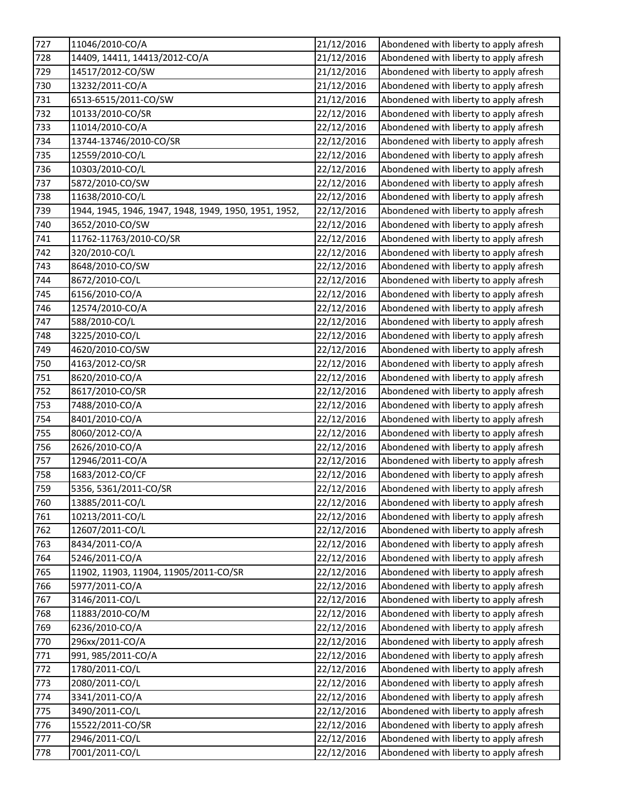| 727 | 11046/2010-CO/A                                       | 21/12/2016 | Abondened with liberty to apply afresh |
|-----|-------------------------------------------------------|------------|----------------------------------------|
| 728 | 14409, 14411, 14413/2012-CO/A                         | 21/12/2016 | Abondened with liberty to apply afresh |
| 729 | 14517/2012-CO/SW                                      | 21/12/2016 | Abondened with liberty to apply afresh |
| 730 | 13232/2011-CO/A                                       | 21/12/2016 | Abondened with liberty to apply afresh |
| 731 | 6513-6515/2011-CO/SW                                  | 21/12/2016 | Abondened with liberty to apply afresh |
| 732 | 10133/2010-CO/SR                                      | 22/12/2016 | Abondened with liberty to apply afresh |
| 733 | 11014/2010-CO/A                                       | 22/12/2016 | Abondened with liberty to apply afresh |
| 734 | 13744-13746/2010-CO/SR                                | 22/12/2016 | Abondened with liberty to apply afresh |
| 735 | 12559/2010-CO/L                                       | 22/12/2016 | Abondened with liberty to apply afresh |
| 736 | 10303/2010-CO/L                                       | 22/12/2016 | Abondened with liberty to apply afresh |
| 737 | 5872/2010-CO/SW                                       | 22/12/2016 | Abondened with liberty to apply afresh |
| 738 | 11638/2010-CO/L                                       | 22/12/2016 | Abondened with liberty to apply afresh |
| 739 | 1944, 1945, 1946, 1947, 1948, 1949, 1950, 1951, 1952, | 22/12/2016 | Abondened with liberty to apply afresh |
| 740 | 3652/2010-CO/SW                                       | 22/12/2016 | Abondened with liberty to apply afresh |
| 741 | 11762-11763/2010-CO/SR                                | 22/12/2016 | Abondened with liberty to apply afresh |
| 742 | 320/2010-CO/L                                         | 22/12/2016 | Abondened with liberty to apply afresh |
| 743 | 8648/2010-CO/SW                                       | 22/12/2016 | Abondened with liberty to apply afresh |
| 744 | 8672/2010-CO/L                                        | 22/12/2016 | Abondened with liberty to apply afresh |
| 745 | 6156/2010-CO/A                                        | 22/12/2016 | Abondened with liberty to apply afresh |
| 746 | 12574/2010-CO/A                                       | 22/12/2016 | Abondened with liberty to apply afresh |
| 747 | 588/2010-CO/L                                         | 22/12/2016 | Abondened with liberty to apply afresh |
| 748 | 3225/2010-CO/L                                        | 22/12/2016 | Abondened with liberty to apply afresh |
| 749 | 4620/2010-CO/SW                                       | 22/12/2016 | Abondened with liberty to apply afresh |
| 750 | 4163/2012-CO/SR                                       | 22/12/2016 | Abondened with liberty to apply afresh |
| 751 | 8620/2010-CO/A                                        | 22/12/2016 | Abondened with liberty to apply afresh |
| 752 | 8617/2010-CO/SR                                       | 22/12/2016 | Abondened with liberty to apply afresh |
| 753 | 7488/2010-CO/A                                        | 22/12/2016 | Abondened with liberty to apply afresh |
| 754 | 8401/2010-CO/A                                        | 22/12/2016 | Abondened with liberty to apply afresh |
| 755 | 8060/2012-CO/A                                        | 22/12/2016 | Abondened with liberty to apply afresh |
| 756 | 2626/2010-CO/A                                        | 22/12/2016 | Abondened with liberty to apply afresh |
| 757 | 12946/2011-CO/A                                       | 22/12/2016 | Abondened with liberty to apply afresh |
| 758 | 1683/2012-CO/CF                                       | 22/12/2016 | Abondened with liberty to apply afresh |
| 759 | 5356, 5361/2011-CO/SR                                 | 22/12/2016 | Abondened with liberty to apply afresh |
| 760 | 13885/2011-CO/L                                       | 22/12/2016 | Abondened with liberty to apply afresh |
| 761 | 10213/2011-CO/L                                       | 22/12/2016 | Abondened with liberty to apply afresh |
| 762 | 12607/2011-CO/L                                       | 22/12/2016 | Abondened with liberty to apply afresh |
| 763 | 8434/2011-CO/A                                        | 22/12/2016 | Abondened with liberty to apply afresh |
| 764 | 5246/2011-CO/A                                        | 22/12/2016 | Abondened with liberty to apply afresh |
| 765 | 11902, 11903, 11904, 11905/2011-CO/SR                 | 22/12/2016 | Abondened with liberty to apply afresh |
| 766 | 5977/2011-CO/A                                        | 22/12/2016 | Abondened with liberty to apply afresh |
| 767 | 3146/2011-CO/L                                        | 22/12/2016 | Abondened with liberty to apply afresh |
| 768 | 11883/2010-CO/M                                       | 22/12/2016 | Abondened with liberty to apply afresh |
| 769 | 6236/2010-CO/A                                        | 22/12/2016 | Abondened with liberty to apply afresh |
| 770 | 296xx/2011-CO/A                                       | 22/12/2016 | Abondened with liberty to apply afresh |
| 771 | 991, 985/2011-CO/A                                    | 22/12/2016 | Abondened with liberty to apply afresh |
| 772 | 1780/2011-CO/L                                        | 22/12/2016 | Abondened with liberty to apply afresh |
| 773 | 2080/2011-CO/L                                        | 22/12/2016 | Abondened with liberty to apply afresh |
| 774 | 3341/2011-CO/A                                        | 22/12/2016 | Abondened with liberty to apply afresh |
| 775 | 3490/2011-CO/L                                        | 22/12/2016 | Abondened with liberty to apply afresh |
| 776 | 15522/2011-CO/SR                                      | 22/12/2016 | Abondened with liberty to apply afresh |
| 777 | 2946/2011-CO/L                                        | 22/12/2016 | Abondened with liberty to apply afresh |
| 778 | 7001/2011-CO/L                                        | 22/12/2016 | Abondened with liberty to apply afresh |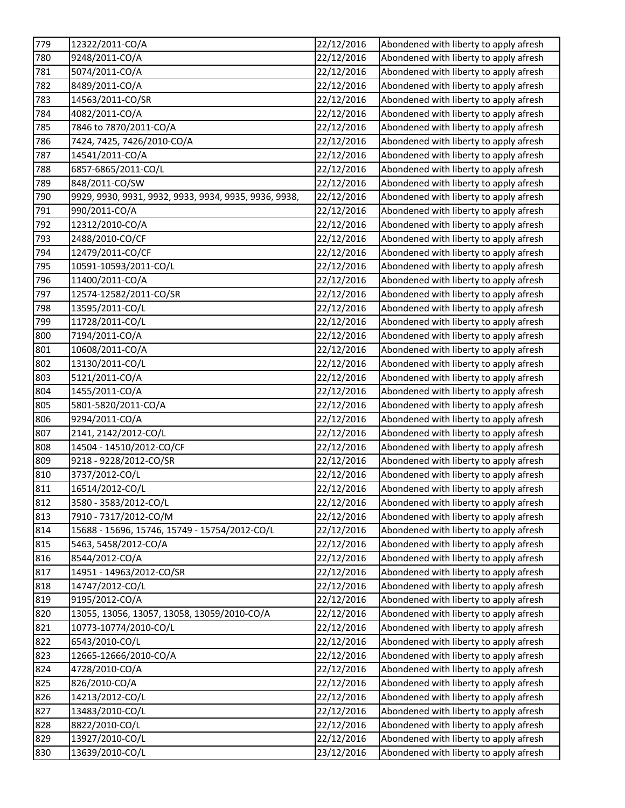| 22/12/2016<br>9248/2011-CO/A<br>Abondened with liberty to apply afresh<br>5074/2011-CO/A<br>22/12/2016<br>Abondened with liberty to apply afresh<br>Abondened with liberty to apply afresh<br>8489/2011-CO/A<br>22/12/2016<br>14563/2011-CO/SR<br>22/12/2016<br>Abondened with liberty to apply afresh<br>4082/2011-CO/A<br>22/12/2016<br>Abondened with liberty to apply afresh<br>7846 to 7870/2011-CO/A<br>22/12/2016<br>Abondened with liberty to apply afresh<br>7424, 7425, 7426/2010-CO/A<br>22/12/2016<br>Abondened with liberty to apply afresh<br>14541/2011-CO/A<br>22/12/2016<br>Abondened with liberty to apply afresh<br>6857-6865/2011-CO/L<br>22/12/2016<br>Abondened with liberty to apply afresh<br>848/2011-CO/SW<br>Abondened with liberty to apply afresh<br>22/12/2016<br>9929, 9930, 9931, 9932, 9933, 9934, 9935, 9936, 9938,<br>22/12/2016<br>Abondened with liberty to apply afresh<br>Abondened with liberty to apply afresh<br>990/2011-CO/A<br>22/12/2016<br>12312/2010-CO/A<br>22/12/2016<br>Abondened with liberty to apply afresh<br>2488/2010-CO/CF<br>22/12/2016<br>Abondened with liberty to apply afresh<br>12479/2011-CO/CF<br>22/12/2016<br>Abondened with liberty to apply afresh<br>Abondened with liberty to apply afresh<br>10591-10593/2011-CO/L<br>22/12/2016<br>11400/2011-CO/A<br>Abondened with liberty to apply afresh<br>22/12/2016<br>12574-12582/2011-CO/SR<br>22/12/2016<br>Abondened with liberty to apply afresh<br>798<br>13595/2011-CO/L<br>22/12/2016<br>Abondened with liberty to apply afresh<br>11728/2011-CO/L<br>22/12/2016<br>Abondened with liberty to apply afresh<br>800<br>7194/2011-CO/A<br>22/12/2016<br>Abondened with liberty to apply afresh<br>10608/2011-CO/A<br>22/12/2016<br>Abondened with liberty to apply afresh<br>802<br>13130/2011-CO/L<br>Abondened with liberty to apply afresh<br>22/12/2016<br>803<br>5121/2011-CO/A<br>Abondened with liberty to apply afresh<br>22/12/2016<br>804<br>1455/2011-CO/A<br>Abondened with liberty to apply afresh<br>22/12/2016<br>5801-5820/2011-CO/A<br>22/12/2016<br>Abondened with liberty to apply afresh<br>806<br>9294/2011-CO/A<br>22/12/2016<br>Abondened with liberty to apply afresh<br>807<br>2141, 2142/2012-CO/L<br>22/12/2016<br>Abondened with liberty to apply afresh<br>14504 - 14510/2012-CO/CF<br>22/12/2016<br>Abondened with liberty to apply afresh<br>9218 - 9228/2012-CO/SR<br>22/12/2016<br>Abondened with liberty to apply afresh<br>3737/2012-CO/L<br>Abondened with liberty to apply afresh<br>22/12/2016<br>16514/2012-CO/L<br>22/12/2016<br>Abondened with liberty to apply afresh<br>3580 - 3583/2012-CO/L<br>22/12/2016<br>Abondened with liberty to apply afresh<br>7910 - 7317/2012-CO/M<br>22/12/2016<br>Abondened with liberty to apply afresh<br>15688 - 15696, 15746, 15749 - 15754/2012-CO/L<br>Abondened with liberty to apply afresh<br>22/12/2016<br>5463, 5458/2012-CO/A<br>Abondened with liberty to apply afresh<br>22/12/2016<br>8544/2012-CO/A<br>22/12/2016<br>Abondened with liberty to apply afresh<br>Abondened with liberty to apply afresh<br>14951 - 14963/2012-CO/SR<br>22/12/2016<br>Abondened with liberty to apply afresh<br>14747/2012-CO/L<br>22/12/2016<br>22/12/2016<br>9195/2012-CO/A<br>Abondened with liberty to apply afresh<br>13055, 13056, 13057, 13058, 13059/2010-CO/A<br>22/12/2016<br>Abondened with liberty to apply afresh<br>Abondened with liberty to apply afresh<br>10773-10774/2010-CO/L<br>22/12/2016<br>822<br>6543/2010-CO/L<br>22/12/2016<br>Abondened with liberty to apply afresh<br>12665-12666/2010-CO/A<br>Abondened with liberty to apply afresh<br>22/12/2016<br>4728/2010-CO/A<br>22/12/2016<br>Abondened with liberty to apply afresh<br>826/2010-CO/A<br>Abondened with liberty to apply afresh<br>22/12/2016<br>22/12/2016<br>Abondened with liberty to apply afresh<br>14213/2012-CO/L<br>13483/2010-CO/L<br>22/12/2016<br>Abondened with liberty to apply afresh<br>Abondened with liberty to apply afresh<br>8822/2010-CO/L<br>22/12/2016<br>13927/2010-CO/L<br>Abondened with liberty to apply afresh<br>22/12/2016<br>13639/2010-CO/L<br>23/12/2016<br>Abondened with liberty to apply afresh | 779 | 12322/2011-CO/A | 22/12/2016 | Abondened with liberty to apply afresh |
|------------------------------------------------------------------------------------------------------------------------------------------------------------------------------------------------------------------------------------------------------------------------------------------------------------------------------------------------------------------------------------------------------------------------------------------------------------------------------------------------------------------------------------------------------------------------------------------------------------------------------------------------------------------------------------------------------------------------------------------------------------------------------------------------------------------------------------------------------------------------------------------------------------------------------------------------------------------------------------------------------------------------------------------------------------------------------------------------------------------------------------------------------------------------------------------------------------------------------------------------------------------------------------------------------------------------------------------------------------------------------------------------------------------------------------------------------------------------------------------------------------------------------------------------------------------------------------------------------------------------------------------------------------------------------------------------------------------------------------------------------------------------------------------------------------------------------------------------------------------------------------------------------------------------------------------------------------------------------------------------------------------------------------------------------------------------------------------------------------------------------------------------------------------------------------------------------------------------------------------------------------------------------------------------------------------------------------------------------------------------------------------------------------------------------------------------------------------------------------------------------------------------------------------------------------------------------------------------------------------------------------------------------------------------------------------------------------------------------------------------------------------------------------------------------------------------------------------------------------------------------------------------------------------------------------------------------------------------------------------------------------------------------------------------------------------------------------------------------------------------------------------------------------------------------------------------------------------------------------------------------------------------------------------------------------------------------------------------------------------------------------------------------------------------------------------------------------------------------------------------------------------------------------------------------------------------------------------------------------------------------------------------------------------------------------------------------------------------------------------------------------------------------------------------------------------------------------------------------------------------------------------------------------------------------------------------------------------------------------------------------------------------------------------------------------------------------------------------------------------------------------------------------------------------------------------------------------------------|-----|-----------------|------------|----------------------------------------|
|                                                                                                                                                                                                                                                                                                                                                                                                                                                                                                                                                                                                                                                                                                                                                                                                                                                                                                                                                                                                                                                                                                                                                                                                                                                                                                                                                                                                                                                                                                                                                                                                                                                                                                                                                                                                                                                                                                                                                                                                                                                                                                                                                                                                                                                                                                                                                                                                                                                                                                                                                                                                                                                                                                                                                                                                                                                                                                                                                                                                                                                                                                                                                                                                                                                                                                                                                                                                                                                                                                                                                                                                                                                                                                                                                                                                                                                                                                                                                                                                                                                                                                                                                                                                                        | 780 |                 |            |                                        |
|                                                                                                                                                                                                                                                                                                                                                                                                                                                                                                                                                                                                                                                                                                                                                                                                                                                                                                                                                                                                                                                                                                                                                                                                                                                                                                                                                                                                                                                                                                                                                                                                                                                                                                                                                                                                                                                                                                                                                                                                                                                                                                                                                                                                                                                                                                                                                                                                                                                                                                                                                                                                                                                                                                                                                                                                                                                                                                                                                                                                                                                                                                                                                                                                                                                                                                                                                                                                                                                                                                                                                                                                                                                                                                                                                                                                                                                                                                                                                                                                                                                                                                                                                                                                                        | 781 |                 |            |                                        |
|                                                                                                                                                                                                                                                                                                                                                                                                                                                                                                                                                                                                                                                                                                                                                                                                                                                                                                                                                                                                                                                                                                                                                                                                                                                                                                                                                                                                                                                                                                                                                                                                                                                                                                                                                                                                                                                                                                                                                                                                                                                                                                                                                                                                                                                                                                                                                                                                                                                                                                                                                                                                                                                                                                                                                                                                                                                                                                                                                                                                                                                                                                                                                                                                                                                                                                                                                                                                                                                                                                                                                                                                                                                                                                                                                                                                                                                                                                                                                                                                                                                                                                                                                                                                                        | 782 |                 |            |                                        |
|                                                                                                                                                                                                                                                                                                                                                                                                                                                                                                                                                                                                                                                                                                                                                                                                                                                                                                                                                                                                                                                                                                                                                                                                                                                                                                                                                                                                                                                                                                                                                                                                                                                                                                                                                                                                                                                                                                                                                                                                                                                                                                                                                                                                                                                                                                                                                                                                                                                                                                                                                                                                                                                                                                                                                                                                                                                                                                                                                                                                                                                                                                                                                                                                                                                                                                                                                                                                                                                                                                                                                                                                                                                                                                                                                                                                                                                                                                                                                                                                                                                                                                                                                                                                                        | 783 |                 |            |                                        |
|                                                                                                                                                                                                                                                                                                                                                                                                                                                                                                                                                                                                                                                                                                                                                                                                                                                                                                                                                                                                                                                                                                                                                                                                                                                                                                                                                                                                                                                                                                                                                                                                                                                                                                                                                                                                                                                                                                                                                                                                                                                                                                                                                                                                                                                                                                                                                                                                                                                                                                                                                                                                                                                                                                                                                                                                                                                                                                                                                                                                                                                                                                                                                                                                                                                                                                                                                                                                                                                                                                                                                                                                                                                                                                                                                                                                                                                                                                                                                                                                                                                                                                                                                                                                                        | 784 |                 |            |                                        |
|                                                                                                                                                                                                                                                                                                                                                                                                                                                                                                                                                                                                                                                                                                                                                                                                                                                                                                                                                                                                                                                                                                                                                                                                                                                                                                                                                                                                                                                                                                                                                                                                                                                                                                                                                                                                                                                                                                                                                                                                                                                                                                                                                                                                                                                                                                                                                                                                                                                                                                                                                                                                                                                                                                                                                                                                                                                                                                                                                                                                                                                                                                                                                                                                                                                                                                                                                                                                                                                                                                                                                                                                                                                                                                                                                                                                                                                                                                                                                                                                                                                                                                                                                                                                                        | 785 |                 |            |                                        |
|                                                                                                                                                                                                                                                                                                                                                                                                                                                                                                                                                                                                                                                                                                                                                                                                                                                                                                                                                                                                                                                                                                                                                                                                                                                                                                                                                                                                                                                                                                                                                                                                                                                                                                                                                                                                                                                                                                                                                                                                                                                                                                                                                                                                                                                                                                                                                                                                                                                                                                                                                                                                                                                                                                                                                                                                                                                                                                                                                                                                                                                                                                                                                                                                                                                                                                                                                                                                                                                                                                                                                                                                                                                                                                                                                                                                                                                                                                                                                                                                                                                                                                                                                                                                                        | 786 |                 |            |                                        |
|                                                                                                                                                                                                                                                                                                                                                                                                                                                                                                                                                                                                                                                                                                                                                                                                                                                                                                                                                                                                                                                                                                                                                                                                                                                                                                                                                                                                                                                                                                                                                                                                                                                                                                                                                                                                                                                                                                                                                                                                                                                                                                                                                                                                                                                                                                                                                                                                                                                                                                                                                                                                                                                                                                                                                                                                                                                                                                                                                                                                                                                                                                                                                                                                                                                                                                                                                                                                                                                                                                                                                                                                                                                                                                                                                                                                                                                                                                                                                                                                                                                                                                                                                                                                                        | 787 |                 |            |                                        |
|                                                                                                                                                                                                                                                                                                                                                                                                                                                                                                                                                                                                                                                                                                                                                                                                                                                                                                                                                                                                                                                                                                                                                                                                                                                                                                                                                                                                                                                                                                                                                                                                                                                                                                                                                                                                                                                                                                                                                                                                                                                                                                                                                                                                                                                                                                                                                                                                                                                                                                                                                                                                                                                                                                                                                                                                                                                                                                                                                                                                                                                                                                                                                                                                                                                                                                                                                                                                                                                                                                                                                                                                                                                                                                                                                                                                                                                                                                                                                                                                                                                                                                                                                                                                                        | 788 |                 |            |                                        |
|                                                                                                                                                                                                                                                                                                                                                                                                                                                                                                                                                                                                                                                                                                                                                                                                                                                                                                                                                                                                                                                                                                                                                                                                                                                                                                                                                                                                                                                                                                                                                                                                                                                                                                                                                                                                                                                                                                                                                                                                                                                                                                                                                                                                                                                                                                                                                                                                                                                                                                                                                                                                                                                                                                                                                                                                                                                                                                                                                                                                                                                                                                                                                                                                                                                                                                                                                                                                                                                                                                                                                                                                                                                                                                                                                                                                                                                                                                                                                                                                                                                                                                                                                                                                                        | 789 |                 |            |                                        |
|                                                                                                                                                                                                                                                                                                                                                                                                                                                                                                                                                                                                                                                                                                                                                                                                                                                                                                                                                                                                                                                                                                                                                                                                                                                                                                                                                                                                                                                                                                                                                                                                                                                                                                                                                                                                                                                                                                                                                                                                                                                                                                                                                                                                                                                                                                                                                                                                                                                                                                                                                                                                                                                                                                                                                                                                                                                                                                                                                                                                                                                                                                                                                                                                                                                                                                                                                                                                                                                                                                                                                                                                                                                                                                                                                                                                                                                                                                                                                                                                                                                                                                                                                                                                                        | 790 |                 |            |                                        |
|                                                                                                                                                                                                                                                                                                                                                                                                                                                                                                                                                                                                                                                                                                                                                                                                                                                                                                                                                                                                                                                                                                                                                                                                                                                                                                                                                                                                                                                                                                                                                                                                                                                                                                                                                                                                                                                                                                                                                                                                                                                                                                                                                                                                                                                                                                                                                                                                                                                                                                                                                                                                                                                                                                                                                                                                                                                                                                                                                                                                                                                                                                                                                                                                                                                                                                                                                                                                                                                                                                                                                                                                                                                                                                                                                                                                                                                                                                                                                                                                                                                                                                                                                                                                                        | 791 |                 |            |                                        |
|                                                                                                                                                                                                                                                                                                                                                                                                                                                                                                                                                                                                                                                                                                                                                                                                                                                                                                                                                                                                                                                                                                                                                                                                                                                                                                                                                                                                                                                                                                                                                                                                                                                                                                                                                                                                                                                                                                                                                                                                                                                                                                                                                                                                                                                                                                                                                                                                                                                                                                                                                                                                                                                                                                                                                                                                                                                                                                                                                                                                                                                                                                                                                                                                                                                                                                                                                                                                                                                                                                                                                                                                                                                                                                                                                                                                                                                                                                                                                                                                                                                                                                                                                                                                                        | 792 |                 |            |                                        |
|                                                                                                                                                                                                                                                                                                                                                                                                                                                                                                                                                                                                                                                                                                                                                                                                                                                                                                                                                                                                                                                                                                                                                                                                                                                                                                                                                                                                                                                                                                                                                                                                                                                                                                                                                                                                                                                                                                                                                                                                                                                                                                                                                                                                                                                                                                                                                                                                                                                                                                                                                                                                                                                                                                                                                                                                                                                                                                                                                                                                                                                                                                                                                                                                                                                                                                                                                                                                                                                                                                                                                                                                                                                                                                                                                                                                                                                                                                                                                                                                                                                                                                                                                                                                                        | 793 |                 |            |                                        |
|                                                                                                                                                                                                                                                                                                                                                                                                                                                                                                                                                                                                                                                                                                                                                                                                                                                                                                                                                                                                                                                                                                                                                                                                                                                                                                                                                                                                                                                                                                                                                                                                                                                                                                                                                                                                                                                                                                                                                                                                                                                                                                                                                                                                                                                                                                                                                                                                                                                                                                                                                                                                                                                                                                                                                                                                                                                                                                                                                                                                                                                                                                                                                                                                                                                                                                                                                                                                                                                                                                                                                                                                                                                                                                                                                                                                                                                                                                                                                                                                                                                                                                                                                                                                                        | 794 |                 |            |                                        |
|                                                                                                                                                                                                                                                                                                                                                                                                                                                                                                                                                                                                                                                                                                                                                                                                                                                                                                                                                                                                                                                                                                                                                                                                                                                                                                                                                                                                                                                                                                                                                                                                                                                                                                                                                                                                                                                                                                                                                                                                                                                                                                                                                                                                                                                                                                                                                                                                                                                                                                                                                                                                                                                                                                                                                                                                                                                                                                                                                                                                                                                                                                                                                                                                                                                                                                                                                                                                                                                                                                                                                                                                                                                                                                                                                                                                                                                                                                                                                                                                                                                                                                                                                                                                                        | 795 |                 |            |                                        |
|                                                                                                                                                                                                                                                                                                                                                                                                                                                                                                                                                                                                                                                                                                                                                                                                                                                                                                                                                                                                                                                                                                                                                                                                                                                                                                                                                                                                                                                                                                                                                                                                                                                                                                                                                                                                                                                                                                                                                                                                                                                                                                                                                                                                                                                                                                                                                                                                                                                                                                                                                                                                                                                                                                                                                                                                                                                                                                                                                                                                                                                                                                                                                                                                                                                                                                                                                                                                                                                                                                                                                                                                                                                                                                                                                                                                                                                                                                                                                                                                                                                                                                                                                                                                                        | 796 |                 |            |                                        |
|                                                                                                                                                                                                                                                                                                                                                                                                                                                                                                                                                                                                                                                                                                                                                                                                                                                                                                                                                                                                                                                                                                                                                                                                                                                                                                                                                                                                                                                                                                                                                                                                                                                                                                                                                                                                                                                                                                                                                                                                                                                                                                                                                                                                                                                                                                                                                                                                                                                                                                                                                                                                                                                                                                                                                                                                                                                                                                                                                                                                                                                                                                                                                                                                                                                                                                                                                                                                                                                                                                                                                                                                                                                                                                                                                                                                                                                                                                                                                                                                                                                                                                                                                                                                                        | 797 |                 |            |                                        |
|                                                                                                                                                                                                                                                                                                                                                                                                                                                                                                                                                                                                                                                                                                                                                                                                                                                                                                                                                                                                                                                                                                                                                                                                                                                                                                                                                                                                                                                                                                                                                                                                                                                                                                                                                                                                                                                                                                                                                                                                                                                                                                                                                                                                                                                                                                                                                                                                                                                                                                                                                                                                                                                                                                                                                                                                                                                                                                                                                                                                                                                                                                                                                                                                                                                                                                                                                                                                                                                                                                                                                                                                                                                                                                                                                                                                                                                                                                                                                                                                                                                                                                                                                                                                                        |     |                 |            |                                        |
|                                                                                                                                                                                                                                                                                                                                                                                                                                                                                                                                                                                                                                                                                                                                                                                                                                                                                                                                                                                                                                                                                                                                                                                                                                                                                                                                                                                                                                                                                                                                                                                                                                                                                                                                                                                                                                                                                                                                                                                                                                                                                                                                                                                                                                                                                                                                                                                                                                                                                                                                                                                                                                                                                                                                                                                                                                                                                                                                                                                                                                                                                                                                                                                                                                                                                                                                                                                                                                                                                                                                                                                                                                                                                                                                                                                                                                                                                                                                                                                                                                                                                                                                                                                                                        | 799 |                 |            |                                        |
|                                                                                                                                                                                                                                                                                                                                                                                                                                                                                                                                                                                                                                                                                                                                                                                                                                                                                                                                                                                                                                                                                                                                                                                                                                                                                                                                                                                                                                                                                                                                                                                                                                                                                                                                                                                                                                                                                                                                                                                                                                                                                                                                                                                                                                                                                                                                                                                                                                                                                                                                                                                                                                                                                                                                                                                                                                                                                                                                                                                                                                                                                                                                                                                                                                                                                                                                                                                                                                                                                                                                                                                                                                                                                                                                                                                                                                                                                                                                                                                                                                                                                                                                                                                                                        |     |                 |            |                                        |
|                                                                                                                                                                                                                                                                                                                                                                                                                                                                                                                                                                                                                                                                                                                                                                                                                                                                                                                                                                                                                                                                                                                                                                                                                                                                                                                                                                                                                                                                                                                                                                                                                                                                                                                                                                                                                                                                                                                                                                                                                                                                                                                                                                                                                                                                                                                                                                                                                                                                                                                                                                                                                                                                                                                                                                                                                                                                                                                                                                                                                                                                                                                                                                                                                                                                                                                                                                                                                                                                                                                                                                                                                                                                                                                                                                                                                                                                                                                                                                                                                                                                                                                                                                                                                        | 801 |                 |            |                                        |
|                                                                                                                                                                                                                                                                                                                                                                                                                                                                                                                                                                                                                                                                                                                                                                                                                                                                                                                                                                                                                                                                                                                                                                                                                                                                                                                                                                                                                                                                                                                                                                                                                                                                                                                                                                                                                                                                                                                                                                                                                                                                                                                                                                                                                                                                                                                                                                                                                                                                                                                                                                                                                                                                                                                                                                                                                                                                                                                                                                                                                                                                                                                                                                                                                                                                                                                                                                                                                                                                                                                                                                                                                                                                                                                                                                                                                                                                                                                                                                                                                                                                                                                                                                                                                        |     |                 |            |                                        |
|                                                                                                                                                                                                                                                                                                                                                                                                                                                                                                                                                                                                                                                                                                                                                                                                                                                                                                                                                                                                                                                                                                                                                                                                                                                                                                                                                                                                                                                                                                                                                                                                                                                                                                                                                                                                                                                                                                                                                                                                                                                                                                                                                                                                                                                                                                                                                                                                                                                                                                                                                                                                                                                                                                                                                                                                                                                                                                                                                                                                                                                                                                                                                                                                                                                                                                                                                                                                                                                                                                                                                                                                                                                                                                                                                                                                                                                                                                                                                                                                                                                                                                                                                                                                                        |     |                 |            |                                        |
|                                                                                                                                                                                                                                                                                                                                                                                                                                                                                                                                                                                                                                                                                                                                                                                                                                                                                                                                                                                                                                                                                                                                                                                                                                                                                                                                                                                                                                                                                                                                                                                                                                                                                                                                                                                                                                                                                                                                                                                                                                                                                                                                                                                                                                                                                                                                                                                                                                                                                                                                                                                                                                                                                                                                                                                                                                                                                                                                                                                                                                                                                                                                                                                                                                                                                                                                                                                                                                                                                                                                                                                                                                                                                                                                                                                                                                                                                                                                                                                                                                                                                                                                                                                                                        |     |                 |            |                                        |
|                                                                                                                                                                                                                                                                                                                                                                                                                                                                                                                                                                                                                                                                                                                                                                                                                                                                                                                                                                                                                                                                                                                                                                                                                                                                                                                                                                                                                                                                                                                                                                                                                                                                                                                                                                                                                                                                                                                                                                                                                                                                                                                                                                                                                                                                                                                                                                                                                                                                                                                                                                                                                                                                                                                                                                                                                                                                                                                                                                                                                                                                                                                                                                                                                                                                                                                                                                                                                                                                                                                                                                                                                                                                                                                                                                                                                                                                                                                                                                                                                                                                                                                                                                                                                        | 805 |                 |            |                                        |
|                                                                                                                                                                                                                                                                                                                                                                                                                                                                                                                                                                                                                                                                                                                                                                                                                                                                                                                                                                                                                                                                                                                                                                                                                                                                                                                                                                                                                                                                                                                                                                                                                                                                                                                                                                                                                                                                                                                                                                                                                                                                                                                                                                                                                                                                                                                                                                                                                                                                                                                                                                                                                                                                                                                                                                                                                                                                                                                                                                                                                                                                                                                                                                                                                                                                                                                                                                                                                                                                                                                                                                                                                                                                                                                                                                                                                                                                                                                                                                                                                                                                                                                                                                                                                        |     |                 |            |                                        |
|                                                                                                                                                                                                                                                                                                                                                                                                                                                                                                                                                                                                                                                                                                                                                                                                                                                                                                                                                                                                                                                                                                                                                                                                                                                                                                                                                                                                                                                                                                                                                                                                                                                                                                                                                                                                                                                                                                                                                                                                                                                                                                                                                                                                                                                                                                                                                                                                                                                                                                                                                                                                                                                                                                                                                                                                                                                                                                                                                                                                                                                                                                                                                                                                                                                                                                                                                                                                                                                                                                                                                                                                                                                                                                                                                                                                                                                                                                                                                                                                                                                                                                                                                                                                                        |     |                 |            |                                        |
|                                                                                                                                                                                                                                                                                                                                                                                                                                                                                                                                                                                                                                                                                                                                                                                                                                                                                                                                                                                                                                                                                                                                                                                                                                                                                                                                                                                                                                                                                                                                                                                                                                                                                                                                                                                                                                                                                                                                                                                                                                                                                                                                                                                                                                                                                                                                                                                                                                                                                                                                                                                                                                                                                                                                                                                                                                                                                                                                                                                                                                                                                                                                                                                                                                                                                                                                                                                                                                                                                                                                                                                                                                                                                                                                                                                                                                                                                                                                                                                                                                                                                                                                                                                                                        | 808 |                 |            |                                        |
|                                                                                                                                                                                                                                                                                                                                                                                                                                                                                                                                                                                                                                                                                                                                                                                                                                                                                                                                                                                                                                                                                                                                                                                                                                                                                                                                                                                                                                                                                                                                                                                                                                                                                                                                                                                                                                                                                                                                                                                                                                                                                                                                                                                                                                                                                                                                                                                                                                                                                                                                                                                                                                                                                                                                                                                                                                                                                                                                                                                                                                                                                                                                                                                                                                                                                                                                                                                                                                                                                                                                                                                                                                                                                                                                                                                                                                                                                                                                                                                                                                                                                                                                                                                                                        | 809 |                 |            |                                        |
|                                                                                                                                                                                                                                                                                                                                                                                                                                                                                                                                                                                                                                                                                                                                                                                                                                                                                                                                                                                                                                                                                                                                                                                                                                                                                                                                                                                                                                                                                                                                                                                                                                                                                                                                                                                                                                                                                                                                                                                                                                                                                                                                                                                                                                                                                                                                                                                                                                                                                                                                                                                                                                                                                                                                                                                                                                                                                                                                                                                                                                                                                                                                                                                                                                                                                                                                                                                                                                                                                                                                                                                                                                                                                                                                                                                                                                                                                                                                                                                                                                                                                                                                                                                                                        | 810 |                 |            |                                        |
|                                                                                                                                                                                                                                                                                                                                                                                                                                                                                                                                                                                                                                                                                                                                                                                                                                                                                                                                                                                                                                                                                                                                                                                                                                                                                                                                                                                                                                                                                                                                                                                                                                                                                                                                                                                                                                                                                                                                                                                                                                                                                                                                                                                                                                                                                                                                                                                                                                                                                                                                                                                                                                                                                                                                                                                                                                                                                                                                                                                                                                                                                                                                                                                                                                                                                                                                                                                                                                                                                                                                                                                                                                                                                                                                                                                                                                                                                                                                                                                                                                                                                                                                                                                                                        | 811 |                 |            |                                        |
|                                                                                                                                                                                                                                                                                                                                                                                                                                                                                                                                                                                                                                                                                                                                                                                                                                                                                                                                                                                                                                                                                                                                                                                                                                                                                                                                                                                                                                                                                                                                                                                                                                                                                                                                                                                                                                                                                                                                                                                                                                                                                                                                                                                                                                                                                                                                                                                                                                                                                                                                                                                                                                                                                                                                                                                                                                                                                                                                                                                                                                                                                                                                                                                                                                                                                                                                                                                                                                                                                                                                                                                                                                                                                                                                                                                                                                                                                                                                                                                                                                                                                                                                                                                                                        | 812 |                 |            |                                        |
|                                                                                                                                                                                                                                                                                                                                                                                                                                                                                                                                                                                                                                                                                                                                                                                                                                                                                                                                                                                                                                                                                                                                                                                                                                                                                                                                                                                                                                                                                                                                                                                                                                                                                                                                                                                                                                                                                                                                                                                                                                                                                                                                                                                                                                                                                                                                                                                                                                                                                                                                                                                                                                                                                                                                                                                                                                                                                                                                                                                                                                                                                                                                                                                                                                                                                                                                                                                                                                                                                                                                                                                                                                                                                                                                                                                                                                                                                                                                                                                                                                                                                                                                                                                                                        | 813 |                 |            |                                        |
|                                                                                                                                                                                                                                                                                                                                                                                                                                                                                                                                                                                                                                                                                                                                                                                                                                                                                                                                                                                                                                                                                                                                                                                                                                                                                                                                                                                                                                                                                                                                                                                                                                                                                                                                                                                                                                                                                                                                                                                                                                                                                                                                                                                                                                                                                                                                                                                                                                                                                                                                                                                                                                                                                                                                                                                                                                                                                                                                                                                                                                                                                                                                                                                                                                                                                                                                                                                                                                                                                                                                                                                                                                                                                                                                                                                                                                                                                                                                                                                                                                                                                                                                                                                                                        | 814 |                 |            |                                        |
|                                                                                                                                                                                                                                                                                                                                                                                                                                                                                                                                                                                                                                                                                                                                                                                                                                                                                                                                                                                                                                                                                                                                                                                                                                                                                                                                                                                                                                                                                                                                                                                                                                                                                                                                                                                                                                                                                                                                                                                                                                                                                                                                                                                                                                                                                                                                                                                                                                                                                                                                                                                                                                                                                                                                                                                                                                                                                                                                                                                                                                                                                                                                                                                                                                                                                                                                                                                                                                                                                                                                                                                                                                                                                                                                                                                                                                                                                                                                                                                                                                                                                                                                                                                                                        | 815 |                 |            |                                        |
|                                                                                                                                                                                                                                                                                                                                                                                                                                                                                                                                                                                                                                                                                                                                                                                                                                                                                                                                                                                                                                                                                                                                                                                                                                                                                                                                                                                                                                                                                                                                                                                                                                                                                                                                                                                                                                                                                                                                                                                                                                                                                                                                                                                                                                                                                                                                                                                                                                                                                                                                                                                                                                                                                                                                                                                                                                                                                                                                                                                                                                                                                                                                                                                                                                                                                                                                                                                                                                                                                                                                                                                                                                                                                                                                                                                                                                                                                                                                                                                                                                                                                                                                                                                                                        | 816 |                 |            |                                        |
|                                                                                                                                                                                                                                                                                                                                                                                                                                                                                                                                                                                                                                                                                                                                                                                                                                                                                                                                                                                                                                                                                                                                                                                                                                                                                                                                                                                                                                                                                                                                                                                                                                                                                                                                                                                                                                                                                                                                                                                                                                                                                                                                                                                                                                                                                                                                                                                                                                                                                                                                                                                                                                                                                                                                                                                                                                                                                                                                                                                                                                                                                                                                                                                                                                                                                                                                                                                                                                                                                                                                                                                                                                                                                                                                                                                                                                                                                                                                                                                                                                                                                                                                                                                                                        | 817 |                 |            |                                        |
|                                                                                                                                                                                                                                                                                                                                                                                                                                                                                                                                                                                                                                                                                                                                                                                                                                                                                                                                                                                                                                                                                                                                                                                                                                                                                                                                                                                                                                                                                                                                                                                                                                                                                                                                                                                                                                                                                                                                                                                                                                                                                                                                                                                                                                                                                                                                                                                                                                                                                                                                                                                                                                                                                                                                                                                                                                                                                                                                                                                                                                                                                                                                                                                                                                                                                                                                                                                                                                                                                                                                                                                                                                                                                                                                                                                                                                                                                                                                                                                                                                                                                                                                                                                                                        | 818 |                 |            |                                        |
|                                                                                                                                                                                                                                                                                                                                                                                                                                                                                                                                                                                                                                                                                                                                                                                                                                                                                                                                                                                                                                                                                                                                                                                                                                                                                                                                                                                                                                                                                                                                                                                                                                                                                                                                                                                                                                                                                                                                                                                                                                                                                                                                                                                                                                                                                                                                                                                                                                                                                                                                                                                                                                                                                                                                                                                                                                                                                                                                                                                                                                                                                                                                                                                                                                                                                                                                                                                                                                                                                                                                                                                                                                                                                                                                                                                                                                                                                                                                                                                                                                                                                                                                                                                                                        | 819 |                 |            |                                        |
|                                                                                                                                                                                                                                                                                                                                                                                                                                                                                                                                                                                                                                                                                                                                                                                                                                                                                                                                                                                                                                                                                                                                                                                                                                                                                                                                                                                                                                                                                                                                                                                                                                                                                                                                                                                                                                                                                                                                                                                                                                                                                                                                                                                                                                                                                                                                                                                                                                                                                                                                                                                                                                                                                                                                                                                                                                                                                                                                                                                                                                                                                                                                                                                                                                                                                                                                                                                                                                                                                                                                                                                                                                                                                                                                                                                                                                                                                                                                                                                                                                                                                                                                                                                                                        | 820 |                 |            |                                        |
|                                                                                                                                                                                                                                                                                                                                                                                                                                                                                                                                                                                                                                                                                                                                                                                                                                                                                                                                                                                                                                                                                                                                                                                                                                                                                                                                                                                                                                                                                                                                                                                                                                                                                                                                                                                                                                                                                                                                                                                                                                                                                                                                                                                                                                                                                                                                                                                                                                                                                                                                                                                                                                                                                                                                                                                                                                                                                                                                                                                                                                                                                                                                                                                                                                                                                                                                                                                                                                                                                                                                                                                                                                                                                                                                                                                                                                                                                                                                                                                                                                                                                                                                                                                                                        | 821 |                 |            |                                        |
|                                                                                                                                                                                                                                                                                                                                                                                                                                                                                                                                                                                                                                                                                                                                                                                                                                                                                                                                                                                                                                                                                                                                                                                                                                                                                                                                                                                                                                                                                                                                                                                                                                                                                                                                                                                                                                                                                                                                                                                                                                                                                                                                                                                                                                                                                                                                                                                                                                                                                                                                                                                                                                                                                                                                                                                                                                                                                                                                                                                                                                                                                                                                                                                                                                                                                                                                                                                                                                                                                                                                                                                                                                                                                                                                                                                                                                                                                                                                                                                                                                                                                                                                                                                                                        |     |                 |            |                                        |
|                                                                                                                                                                                                                                                                                                                                                                                                                                                                                                                                                                                                                                                                                                                                                                                                                                                                                                                                                                                                                                                                                                                                                                                                                                                                                                                                                                                                                                                                                                                                                                                                                                                                                                                                                                                                                                                                                                                                                                                                                                                                                                                                                                                                                                                                                                                                                                                                                                                                                                                                                                                                                                                                                                                                                                                                                                                                                                                                                                                                                                                                                                                                                                                                                                                                                                                                                                                                                                                                                                                                                                                                                                                                                                                                                                                                                                                                                                                                                                                                                                                                                                                                                                                                                        | 823 |                 |            |                                        |
|                                                                                                                                                                                                                                                                                                                                                                                                                                                                                                                                                                                                                                                                                                                                                                                                                                                                                                                                                                                                                                                                                                                                                                                                                                                                                                                                                                                                                                                                                                                                                                                                                                                                                                                                                                                                                                                                                                                                                                                                                                                                                                                                                                                                                                                                                                                                                                                                                                                                                                                                                                                                                                                                                                                                                                                                                                                                                                                                                                                                                                                                                                                                                                                                                                                                                                                                                                                                                                                                                                                                                                                                                                                                                                                                                                                                                                                                                                                                                                                                                                                                                                                                                                                                                        | 824 |                 |            |                                        |
|                                                                                                                                                                                                                                                                                                                                                                                                                                                                                                                                                                                                                                                                                                                                                                                                                                                                                                                                                                                                                                                                                                                                                                                                                                                                                                                                                                                                                                                                                                                                                                                                                                                                                                                                                                                                                                                                                                                                                                                                                                                                                                                                                                                                                                                                                                                                                                                                                                                                                                                                                                                                                                                                                                                                                                                                                                                                                                                                                                                                                                                                                                                                                                                                                                                                                                                                                                                                                                                                                                                                                                                                                                                                                                                                                                                                                                                                                                                                                                                                                                                                                                                                                                                                                        | 825 |                 |            |                                        |
|                                                                                                                                                                                                                                                                                                                                                                                                                                                                                                                                                                                                                                                                                                                                                                                                                                                                                                                                                                                                                                                                                                                                                                                                                                                                                                                                                                                                                                                                                                                                                                                                                                                                                                                                                                                                                                                                                                                                                                                                                                                                                                                                                                                                                                                                                                                                                                                                                                                                                                                                                                                                                                                                                                                                                                                                                                                                                                                                                                                                                                                                                                                                                                                                                                                                                                                                                                                                                                                                                                                                                                                                                                                                                                                                                                                                                                                                                                                                                                                                                                                                                                                                                                                                                        | 826 |                 |            |                                        |
|                                                                                                                                                                                                                                                                                                                                                                                                                                                                                                                                                                                                                                                                                                                                                                                                                                                                                                                                                                                                                                                                                                                                                                                                                                                                                                                                                                                                                                                                                                                                                                                                                                                                                                                                                                                                                                                                                                                                                                                                                                                                                                                                                                                                                                                                                                                                                                                                                                                                                                                                                                                                                                                                                                                                                                                                                                                                                                                                                                                                                                                                                                                                                                                                                                                                                                                                                                                                                                                                                                                                                                                                                                                                                                                                                                                                                                                                                                                                                                                                                                                                                                                                                                                                                        | 827 |                 |            |                                        |
|                                                                                                                                                                                                                                                                                                                                                                                                                                                                                                                                                                                                                                                                                                                                                                                                                                                                                                                                                                                                                                                                                                                                                                                                                                                                                                                                                                                                                                                                                                                                                                                                                                                                                                                                                                                                                                                                                                                                                                                                                                                                                                                                                                                                                                                                                                                                                                                                                                                                                                                                                                                                                                                                                                                                                                                                                                                                                                                                                                                                                                                                                                                                                                                                                                                                                                                                                                                                                                                                                                                                                                                                                                                                                                                                                                                                                                                                                                                                                                                                                                                                                                                                                                                                                        | 828 |                 |            |                                        |
|                                                                                                                                                                                                                                                                                                                                                                                                                                                                                                                                                                                                                                                                                                                                                                                                                                                                                                                                                                                                                                                                                                                                                                                                                                                                                                                                                                                                                                                                                                                                                                                                                                                                                                                                                                                                                                                                                                                                                                                                                                                                                                                                                                                                                                                                                                                                                                                                                                                                                                                                                                                                                                                                                                                                                                                                                                                                                                                                                                                                                                                                                                                                                                                                                                                                                                                                                                                                                                                                                                                                                                                                                                                                                                                                                                                                                                                                                                                                                                                                                                                                                                                                                                                                                        | 829 |                 |            |                                        |
|                                                                                                                                                                                                                                                                                                                                                                                                                                                                                                                                                                                                                                                                                                                                                                                                                                                                                                                                                                                                                                                                                                                                                                                                                                                                                                                                                                                                                                                                                                                                                                                                                                                                                                                                                                                                                                                                                                                                                                                                                                                                                                                                                                                                                                                                                                                                                                                                                                                                                                                                                                                                                                                                                                                                                                                                                                                                                                                                                                                                                                                                                                                                                                                                                                                                                                                                                                                                                                                                                                                                                                                                                                                                                                                                                                                                                                                                                                                                                                                                                                                                                                                                                                                                                        | 830 |                 |            |                                        |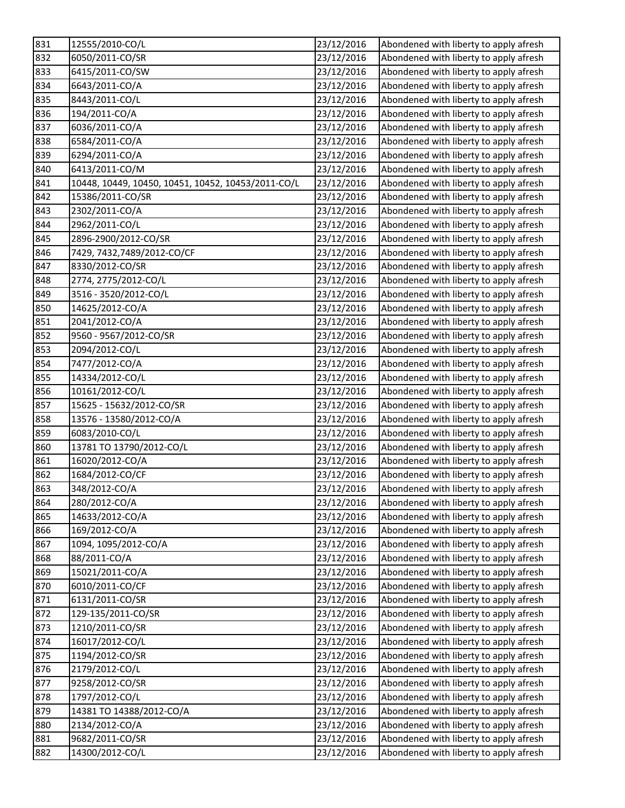| 831 | 12555/2010-CO/L                                    | 23/12/2016 | Abondened with liberty to apply afresh |
|-----|----------------------------------------------------|------------|----------------------------------------|
| 832 | 6050/2011-CO/SR                                    | 23/12/2016 | Abondened with liberty to apply afresh |
| 833 | 6415/2011-CO/SW                                    | 23/12/2016 | Abondened with liberty to apply afresh |
| 834 | 6643/2011-CO/A                                     | 23/12/2016 | Abondened with liberty to apply afresh |
| 835 | 8443/2011-CO/L                                     | 23/12/2016 | Abondened with liberty to apply afresh |
| 836 | 194/2011-CO/A                                      | 23/12/2016 | Abondened with liberty to apply afresh |
| 837 | 6036/2011-CO/A                                     | 23/12/2016 | Abondened with liberty to apply afresh |
| 838 | 6584/2011-CO/A                                     | 23/12/2016 | Abondened with liberty to apply afresh |
| 839 | 6294/2011-CO/A                                     | 23/12/2016 | Abondened with liberty to apply afresh |
| 840 | 6413/2011-CO/M                                     | 23/12/2016 | Abondened with liberty to apply afresh |
| 841 | 10448, 10449, 10450, 10451, 10452, 10453/2011-CO/L | 23/12/2016 | Abondened with liberty to apply afresh |
| 842 | 15386/2011-CO/SR                                   | 23/12/2016 | Abondened with liberty to apply afresh |
| 843 | 2302/2011-CO/A                                     | 23/12/2016 | Abondened with liberty to apply afresh |
| 844 | 2962/2011-CO/L                                     | 23/12/2016 | Abondened with liberty to apply afresh |
| 845 | 2896-2900/2012-CO/SR                               | 23/12/2016 | Abondened with liberty to apply afresh |
| 846 | 7429, 7432, 7489/2012-CO/CF                        | 23/12/2016 | Abondened with liberty to apply afresh |
| 847 | 8330/2012-CO/SR                                    | 23/12/2016 | Abondened with liberty to apply afresh |
| 848 | 2774, 2775/2012-CO/L                               | 23/12/2016 | Abondened with liberty to apply afresh |
| 849 | 3516 - 3520/2012-CO/L                              | 23/12/2016 | Abondened with liberty to apply afresh |
| 850 | 14625/2012-CO/A                                    | 23/12/2016 | Abondened with liberty to apply afresh |
| 851 | 2041/2012-CO/A                                     | 23/12/2016 | Abondened with liberty to apply afresh |
| 852 | 9560 - 9567/2012-CO/SR                             | 23/12/2016 | Abondened with liberty to apply afresh |
| 853 | 2094/2012-CO/L                                     | 23/12/2016 | Abondened with liberty to apply afresh |
| 854 | 7477/2012-CO/A                                     | 23/12/2016 | Abondened with liberty to apply afresh |
| 855 | 14334/2012-CO/L                                    | 23/12/2016 | Abondened with liberty to apply afresh |
| 856 | 10161/2012-CO/L                                    | 23/12/2016 | Abondened with liberty to apply afresh |
| 857 | 15625 - 15632/2012-CO/SR                           | 23/12/2016 | Abondened with liberty to apply afresh |
| 858 | 13576 - 13580/2012-CO/A                            | 23/12/2016 | Abondened with liberty to apply afresh |
| 859 | 6083/2010-CO/L                                     | 23/12/2016 | Abondened with liberty to apply afresh |
| 860 | 13781 TO 13790/2012-CO/L                           | 23/12/2016 | Abondened with liberty to apply afresh |
| 861 | 16020/2012-CO/A                                    | 23/12/2016 | Abondened with liberty to apply afresh |
| 862 | 1684/2012-CO/CF                                    | 23/12/2016 | Abondened with liberty to apply afresh |
| 863 | 348/2012-CO/A                                      | 23/12/2016 | Abondened with liberty to apply afresh |
| 864 | 280/2012-CO/A                                      | 23/12/2016 | Abondened with liberty to apply afresh |
| 865 | 14633/2012-CO/A                                    | 23/12/2016 | Abondened with liberty to apply afresh |
| 866 | 169/2012-CO/A                                      | 23/12/2016 | Abondened with liberty to apply afresh |
| 867 | 1094, 1095/2012-CO/A                               | 23/12/2016 | Abondened with liberty to apply afresh |
| 868 | 88/2011-CO/A                                       | 23/12/2016 | Abondened with liberty to apply afresh |
| 869 | 15021/2011-CO/A                                    | 23/12/2016 | Abondened with liberty to apply afresh |
| 870 | 6010/2011-CO/CF                                    | 23/12/2016 | Abondened with liberty to apply afresh |
| 871 | 6131/2011-CO/SR                                    | 23/12/2016 | Abondened with liberty to apply afresh |
| 872 | 129-135/2011-CO/SR                                 | 23/12/2016 | Abondened with liberty to apply afresh |
| 873 | 1210/2011-CO/SR                                    | 23/12/2016 | Abondened with liberty to apply afresh |
| 874 | 16017/2012-CO/L                                    | 23/12/2016 | Abondened with liberty to apply afresh |
| 875 | 1194/2012-CO/SR                                    | 23/12/2016 | Abondened with liberty to apply afresh |
| 876 | 2179/2012-CO/L                                     | 23/12/2016 | Abondened with liberty to apply afresh |
| 877 | 9258/2012-CO/SR                                    | 23/12/2016 | Abondened with liberty to apply afresh |
| 878 | 1797/2012-CO/L                                     | 23/12/2016 | Abondened with liberty to apply afresh |
| 879 | 14381 TO 14388/2012-CO/A                           | 23/12/2016 | Abondened with liberty to apply afresh |
| 880 | 2134/2012-CO/A                                     | 23/12/2016 | Abondened with liberty to apply afresh |
| 881 | 9682/2011-CO/SR                                    | 23/12/2016 | Abondened with liberty to apply afresh |
| 882 | 14300/2012-CO/L                                    | 23/12/2016 | Abondened with liberty to apply afresh |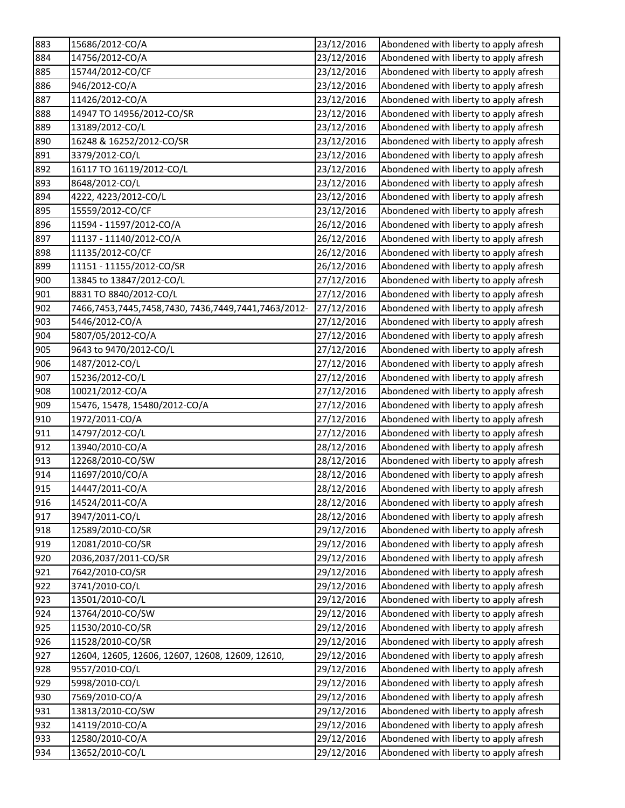| 883 | 15686/2012-CO/A                                     | 23/12/2016 | Abondened with liberty to apply afresh |
|-----|-----------------------------------------------------|------------|----------------------------------------|
| 884 | 14756/2012-CO/A                                     | 23/12/2016 | Abondened with liberty to apply afresh |
| 885 | 15744/2012-CO/CF                                    | 23/12/2016 | Abondened with liberty to apply afresh |
| 886 | 946/2012-CO/A                                       | 23/12/2016 | Abondened with liberty to apply afresh |
| 887 | 11426/2012-CO/A                                     | 23/12/2016 | Abondened with liberty to apply afresh |
| 888 | 14947 TO 14956/2012-CO/SR                           | 23/12/2016 | Abondened with liberty to apply afresh |
| 889 | 13189/2012-CO/L                                     | 23/12/2016 | Abondened with liberty to apply afresh |
| 890 | 16248 & 16252/2012-CO/SR                            | 23/12/2016 | Abondened with liberty to apply afresh |
| 891 | 3379/2012-CO/L                                      | 23/12/2016 | Abondened with liberty to apply afresh |
| 892 | 16117 TO 16119/2012-CO/L                            | 23/12/2016 | Abondened with liberty to apply afresh |
| 893 | 8648/2012-CO/L                                      | 23/12/2016 | Abondened with liberty to apply afresh |
| 894 | 4222, 4223/2012-CO/L                                | 23/12/2016 | Abondened with liberty to apply afresh |
| 895 | 15559/2012-CO/CF                                    | 23/12/2016 | Abondened with liberty to apply afresh |
| 896 | 11594 - 11597/2012-CO/A                             | 26/12/2016 | Abondened with liberty to apply afresh |
| 897 | 11137 - 11140/2012-CO/A                             | 26/12/2016 | Abondened with liberty to apply afresh |
| 898 | 11135/2012-CO/CF                                    | 26/12/2016 | Abondened with liberty to apply afresh |
| 899 | 11151 - 11155/2012-CO/SR                            | 26/12/2016 | Abondened with liberty to apply afresh |
| 900 | 13845 to 13847/2012-CO/L                            | 27/12/2016 | Abondened with liberty to apply afresh |
| 901 | 8831 TO 8840/2012-CO/L                              | 27/12/2016 | Abondened with liberty to apply afresh |
| 902 | 7466,7453,7445,7458,7430, 7436,7449,7441,7463/2012- | 27/12/2016 | Abondened with liberty to apply afresh |
| 903 | 5446/2012-CO/A                                      | 27/12/2016 | Abondened with liberty to apply afresh |
| 904 | 5807/05/2012-CO/A                                   | 27/12/2016 | Abondened with liberty to apply afresh |
| 905 | 9643 to 9470/2012-CO/L                              | 27/12/2016 | Abondened with liberty to apply afresh |
| 906 | 1487/2012-CO/L                                      | 27/12/2016 | Abondened with liberty to apply afresh |
| 907 | 15236/2012-CO/L                                     | 27/12/2016 | Abondened with liberty to apply afresh |
| 908 | 10021/2012-CO/A                                     | 27/12/2016 | Abondened with liberty to apply afresh |
| 909 | 15476, 15478, 15480/2012-CO/A                       | 27/12/2016 | Abondened with liberty to apply afresh |
| 910 | 1972/2011-CO/A                                      | 27/12/2016 | Abondened with liberty to apply afresh |
| 911 | 14797/2012-CO/L                                     | 27/12/2016 | Abondened with liberty to apply afresh |
| 912 | 13940/2010-CO/A                                     | 28/12/2016 | Abondened with liberty to apply afresh |
| 913 | 12268/2010-CO/SW                                    | 28/12/2016 | Abondened with liberty to apply afresh |
| 914 | 11697/2010/CO/A                                     | 28/12/2016 | Abondened with liberty to apply afresh |
| 915 | 14447/2011-CO/A                                     | 28/12/2016 | Abondened with liberty to apply afresh |
| 916 | 14524/2011-CO/A                                     | 28/12/2016 | Abondened with liberty to apply afresh |
| 917 | 3947/2011-CO/L                                      | 28/12/2016 | Abondened with liberty to apply afresh |
| 918 | 12589/2010-CO/SR                                    | 29/12/2016 | Abondened with liberty to apply afresh |
| 919 | 12081/2010-CO/SR                                    | 29/12/2016 | Abondened with liberty to apply afresh |
| 920 | 2036,2037/2011-CO/SR                                | 29/12/2016 | Abondened with liberty to apply afresh |
| 921 | 7642/2010-CO/SR                                     | 29/12/2016 | Abondened with liberty to apply afresh |
| 922 | 3741/2010-CO/L                                      | 29/12/2016 | Abondened with liberty to apply afresh |
| 923 | 13501/2010-CO/L                                     | 29/12/2016 | Abondened with liberty to apply afresh |
| 924 | 13764/2010-CO/SW                                    | 29/12/2016 | Abondened with liberty to apply afresh |
| 925 | 11530/2010-CO/SR                                    | 29/12/2016 | Abondened with liberty to apply afresh |
| 926 | 11528/2010-CO/SR                                    | 29/12/2016 | Abondened with liberty to apply afresh |
| 927 | 12604, 12605, 12606, 12607, 12608, 12609, 12610,    | 29/12/2016 | Abondened with liberty to apply afresh |
| 928 | 9557/2010-CO/L                                      | 29/12/2016 | Abondened with liberty to apply afresh |
| 929 | 5998/2010-CO/L                                      | 29/12/2016 | Abondened with liberty to apply afresh |
| 930 | 7569/2010-CO/A                                      | 29/12/2016 | Abondened with liberty to apply afresh |
| 931 | 13813/2010-CO/SW                                    | 29/12/2016 | Abondened with liberty to apply afresh |
| 932 | 14119/2010-CO/A                                     | 29/12/2016 | Abondened with liberty to apply afresh |
| 933 | 12580/2010-CO/A                                     | 29/12/2016 | Abondened with liberty to apply afresh |
| 934 | 13652/2010-CO/L                                     | 29/12/2016 | Abondened with liberty to apply afresh |
|     |                                                     |            |                                        |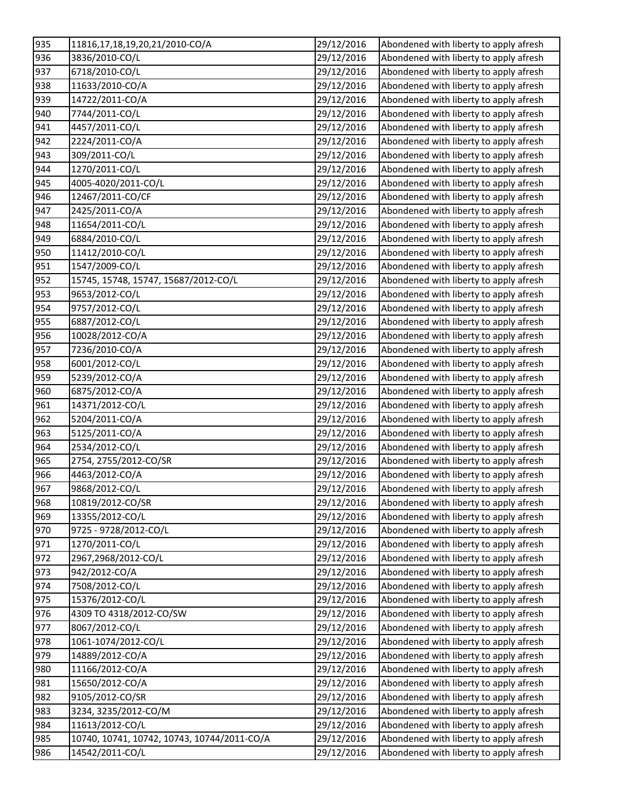| 935 | 11816,17,18,19,20,21/2010-CO/A              | 29/12/2016 | Abondened with liberty to apply afresh |
|-----|---------------------------------------------|------------|----------------------------------------|
| 936 | 3836/2010-CO/L                              | 29/12/2016 | Abondened with liberty to apply afresh |
| 937 | 6718/2010-CO/L                              | 29/12/2016 | Abondened with liberty to apply afresh |
| 938 | 11633/2010-CO/A                             | 29/12/2016 | Abondened with liberty to apply afresh |
| 939 | 14722/2011-CO/A                             | 29/12/2016 | Abondened with liberty to apply afresh |
| 940 | 7744/2011-CO/L                              | 29/12/2016 | Abondened with liberty to apply afresh |
| 941 | 4457/2011-CO/L                              | 29/12/2016 | Abondened with liberty to apply afresh |
| 942 | 2224/2011-CO/A                              | 29/12/2016 | Abondened with liberty to apply afresh |
| 943 | 309/2011-CO/L                               | 29/12/2016 | Abondened with liberty to apply afresh |
| 944 | 1270/2011-CO/L                              | 29/12/2016 | Abondened with liberty to apply afresh |
| 945 | 4005-4020/2011-CO/L                         | 29/12/2016 | Abondened with liberty to apply afresh |
| 946 | 12467/2011-CO/CF                            | 29/12/2016 | Abondened with liberty to apply afresh |
| 947 | 2425/2011-CO/A                              | 29/12/2016 | Abondened with liberty to apply afresh |
| 948 | 11654/2011-CO/L                             | 29/12/2016 | Abondened with liberty to apply afresh |
| 949 | 6884/2010-CO/L                              | 29/12/2016 | Abondened with liberty to apply afresh |
| 950 | 11412/2010-CO/L                             | 29/12/2016 | Abondened with liberty to apply afresh |
| 951 | 1547/2009-CO/L                              | 29/12/2016 | Abondened with liberty to apply afresh |
| 952 | 15745, 15748, 15747, 15687/2012-CO/L        | 29/12/2016 | Abondened with liberty to apply afresh |
| 953 | 9653/2012-CO/L                              | 29/12/2016 | Abondened with liberty to apply afresh |
| 954 | 9757/2012-CO/L                              | 29/12/2016 | Abondened with liberty to apply afresh |
| 955 | 6887/2012-CO/L                              | 29/12/2016 | Abondened with liberty to apply afresh |
| 956 | 10028/2012-CO/A                             | 29/12/2016 | Abondened with liberty to apply afresh |
| 957 | 7236/2010-CO/A                              | 29/12/2016 | Abondened with liberty to apply afresh |
| 958 | 6001/2012-CO/L                              | 29/12/2016 | Abondened with liberty to apply afresh |
| 959 | 5239/2012-CO/A                              | 29/12/2016 | Abondened with liberty to apply afresh |
| 960 | 6875/2012-CO/A                              | 29/12/2016 | Abondened with liberty to apply afresh |
| 961 | 14371/2012-CO/L                             | 29/12/2016 | Abondened with liberty to apply afresh |
| 962 | 5204/2011-CO/A                              | 29/12/2016 | Abondened with liberty to apply afresh |
| 963 | 5125/2011-CO/A                              | 29/12/2016 | Abondened with liberty to apply afresh |
| 964 | 2534/2012-CO/L                              | 29/12/2016 | Abondened with liberty to apply afresh |
| 965 | 2754, 2755/2012-CO/SR                       | 29/12/2016 | Abondened with liberty to apply afresh |
| 966 | 4463/2012-CO/A                              | 29/12/2016 | Abondened with liberty to apply afresh |
| 967 | 9868/2012-CO/L                              | 29/12/2016 | Abondened with liberty to apply afresh |
| 968 | 10819/2012-CO/SR                            | 29/12/2016 | Abondened with liberty to apply afresh |
| 969 | 13355/2012-CO/L                             | 29/12/2016 | Abondened with liberty to apply afresh |
| 970 | 9725 - 9728/2012-CO/L                       | 29/12/2016 | Abondened with liberty to apply afresh |
| 971 | 1270/2011-CO/L                              | 29/12/2016 | Abondened with liberty to apply afresh |
| 972 | 2967,2968/2012-CO/L                         | 29/12/2016 | Abondened with liberty to apply afresh |
| 973 | 942/2012-CO/A                               | 29/12/2016 | Abondened with liberty to apply afresh |
| 974 | 7508/2012-CO/L                              | 29/12/2016 | Abondened with liberty to apply afresh |
| 975 | 15376/2012-CO/L                             | 29/12/2016 | Abondened with liberty to apply afresh |
| 976 | 4309 TO 4318/2012-CO/SW                     | 29/12/2016 | Abondened with liberty to apply afresh |
| 977 | 8067/2012-CO/L                              | 29/12/2016 | Abondened with liberty to apply afresh |
| 978 | 1061-1074/2012-CO/L                         | 29/12/2016 | Abondened with liberty to apply afresh |
| 979 | 14889/2012-CO/A                             | 29/12/2016 | Abondened with liberty to apply afresh |
| 980 | 11166/2012-CO/A                             | 29/12/2016 | Abondened with liberty to apply afresh |
| 981 | 15650/2012-CO/A                             | 29/12/2016 | Abondened with liberty to apply afresh |
| 982 | 9105/2012-CO/SR                             | 29/12/2016 | Abondened with liberty to apply afresh |
| 983 | 3234, 3235/2012-CO/M                        | 29/12/2016 | Abondened with liberty to apply afresh |
| 984 | 11613/2012-CO/L                             | 29/12/2016 | Abondened with liberty to apply afresh |
| 985 | 10740, 10741, 10742, 10743, 10744/2011-CO/A | 29/12/2016 | Abondened with liberty to apply afresh |
| 986 | 14542/2011-CO/L                             | 29/12/2016 | Abondened with liberty to apply afresh |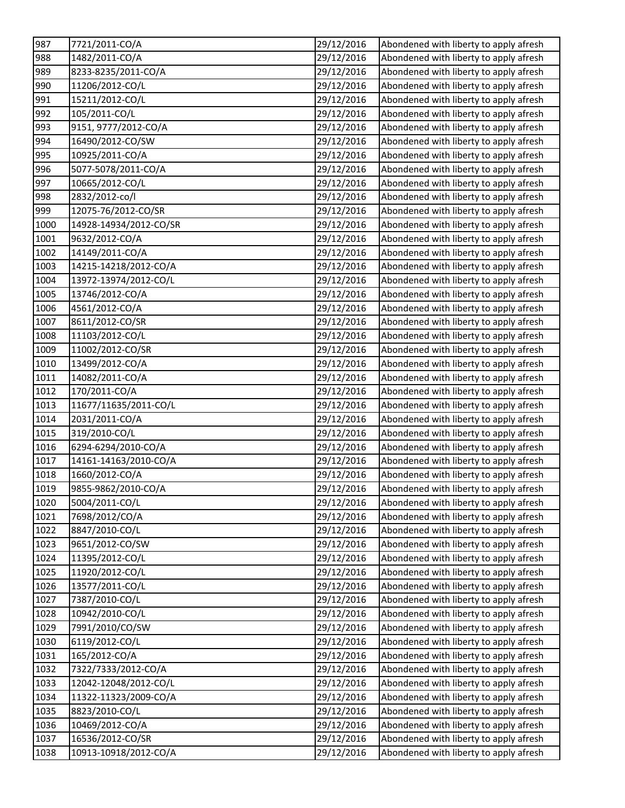| 987  | 7721/2011-CO/A         | 29/12/2016 | Abondened with liberty to apply afresh |
|------|------------------------|------------|----------------------------------------|
| 988  | 1482/2011-CO/A         | 29/12/2016 | Abondened with liberty to apply afresh |
| 989  | 8233-8235/2011-CO/A    | 29/12/2016 | Abondened with liberty to apply afresh |
| 990  | 11206/2012-CO/L        | 29/12/2016 | Abondened with liberty to apply afresh |
| 991  | 15211/2012-CO/L        | 29/12/2016 | Abondened with liberty to apply afresh |
| 992  | 105/2011-CO/L          | 29/12/2016 | Abondened with liberty to apply afresh |
| 993  | 9151, 9777/2012-CO/A   | 29/12/2016 | Abondened with liberty to apply afresh |
| 994  | 16490/2012-CO/SW       | 29/12/2016 | Abondened with liberty to apply afresh |
| 995  | 10925/2011-CO/A        | 29/12/2016 | Abondened with liberty to apply afresh |
| 996  | 5077-5078/2011-CO/A    | 29/12/2016 | Abondened with liberty to apply afresh |
| 997  | 10665/2012-CO/L        | 29/12/2016 | Abondened with liberty to apply afresh |
| 998  | 2832/2012-co/l         | 29/12/2016 | Abondened with liberty to apply afresh |
| 999  | 12075-76/2012-CO/SR    | 29/12/2016 | Abondened with liberty to apply afresh |
| 1000 | 14928-14934/2012-CO/SR | 29/12/2016 | Abondened with liberty to apply afresh |
| 1001 | 9632/2012-CO/A         | 29/12/2016 | Abondened with liberty to apply afresh |
| 1002 | 14149/2011-CO/A        | 29/12/2016 | Abondened with liberty to apply afresh |
| 1003 | 14215-14218/2012-CO/A  | 29/12/2016 | Abondened with liberty to apply afresh |
| 1004 | 13972-13974/2012-CO/L  | 29/12/2016 | Abondened with liberty to apply afresh |
| 1005 | 13746/2012-CO/A        | 29/12/2016 | Abondened with liberty to apply afresh |
| 1006 | 4561/2012-CO/A         | 29/12/2016 | Abondened with liberty to apply afresh |
| 1007 | 8611/2012-CO/SR        | 29/12/2016 | Abondened with liberty to apply afresh |
| 1008 | 11103/2012-CO/L        | 29/12/2016 | Abondened with liberty to apply afresh |
| 1009 | 11002/2012-CO/SR       | 29/12/2016 | Abondened with liberty to apply afresh |
| 1010 | 13499/2012-CO/A        | 29/12/2016 | Abondened with liberty to apply afresh |
| 1011 | 14082/2011-CO/A        | 29/12/2016 | Abondened with liberty to apply afresh |
| 1012 | 170/2011-CO/A          | 29/12/2016 | Abondened with liberty to apply afresh |
| 1013 | 11677/11635/2011-CO/L  | 29/12/2016 | Abondened with liberty to apply afresh |
| 1014 | 2031/2011-CO/A         | 29/12/2016 | Abondened with liberty to apply afresh |
| 1015 | 319/2010-CO/L          | 29/12/2016 | Abondened with liberty to apply afresh |
| 1016 | 6294-6294/2010-CO/A    | 29/12/2016 | Abondened with liberty to apply afresh |
| 1017 | 14161-14163/2010-CO/A  | 29/12/2016 | Abondened with liberty to apply afresh |
| 1018 | 1660/2012-CO/A         | 29/12/2016 | Abondened with liberty to apply afresh |
| 1019 | 9855-9862/2010-CO/A    | 29/12/2016 | Abondened with liberty to apply afresh |
| 1020 | 5004/2011-CO/L         | 29/12/2016 | Abondened with liberty to apply afresh |
| 1021 | 7698/2012/CO/A         | 29/12/2016 | Abondened with liberty to apply afresh |
| 1022 | 8847/2010-CO/L         | 29/12/2016 | Abondened with liberty to apply afresh |
| 1023 | 9651/2012-CO/SW        | 29/12/2016 | Abondened with liberty to apply afresh |
| 1024 | 11395/2012-CO/L        | 29/12/2016 | Abondened with liberty to apply afresh |
| 1025 | 11920/2012-CO/L        | 29/12/2016 | Abondened with liberty to apply afresh |
| 1026 | 13577/2011-CO/L        | 29/12/2016 | Abondened with liberty to apply afresh |
| 1027 | 7387/2010-CO/L         | 29/12/2016 | Abondened with liberty to apply afresh |
| 1028 | 10942/2010-CO/L        | 29/12/2016 | Abondened with liberty to apply afresh |
| 1029 | 7991/2010/CO/SW        | 29/12/2016 | Abondened with liberty to apply afresh |
| 1030 | 6119/2012-CO/L         | 29/12/2016 | Abondened with liberty to apply afresh |
| 1031 | 165/2012-CO/A          | 29/12/2016 | Abondened with liberty to apply afresh |
| 1032 | 7322/7333/2012-CO/A    | 29/12/2016 | Abondened with liberty to apply afresh |
| 1033 | 12042-12048/2012-CO/L  | 29/12/2016 | Abondened with liberty to apply afresh |
| 1034 | 11322-11323/2009-CO/A  | 29/12/2016 | Abondened with liberty to apply afresh |
| 1035 | 8823/2010-CO/L         | 29/12/2016 | Abondened with liberty to apply afresh |
| 1036 | 10469/2012-CO/A        | 29/12/2016 | Abondened with liberty to apply afresh |
| 1037 | 16536/2012-CO/SR       | 29/12/2016 | Abondened with liberty to apply afresh |
| 1038 | 10913-10918/2012-CO/A  | 29/12/2016 | Abondened with liberty to apply afresh |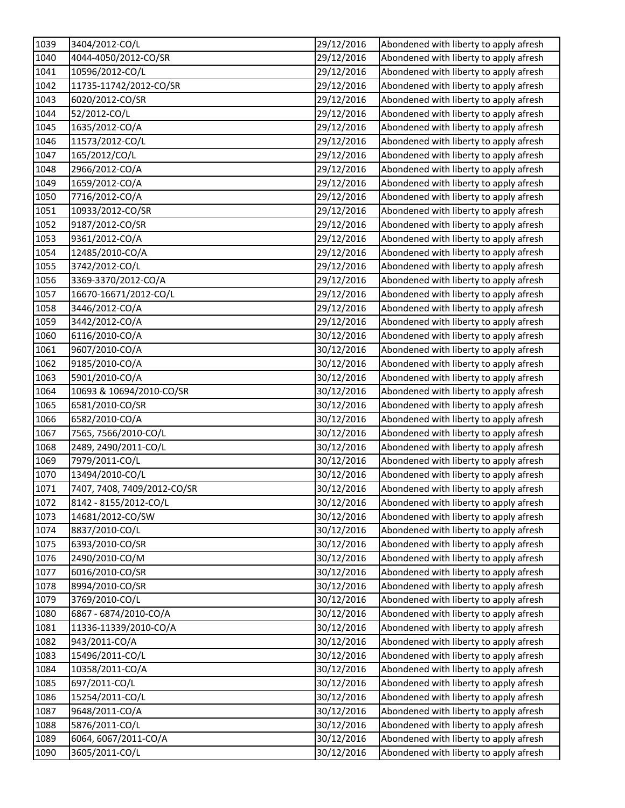| 1039 | 3404/2012-CO/L              | 29/12/2016 | Abondened with liberty to apply afresh |
|------|-----------------------------|------------|----------------------------------------|
| 1040 | 4044-4050/2012-CO/SR        | 29/12/2016 | Abondened with liberty to apply afresh |
| 1041 | 10596/2012-CO/L             | 29/12/2016 | Abondened with liberty to apply afresh |
| 1042 | 11735-11742/2012-CO/SR      | 29/12/2016 | Abondened with liberty to apply afresh |
| 1043 | 6020/2012-CO/SR             | 29/12/2016 | Abondened with liberty to apply afresh |
| 1044 | 52/2012-CO/L                | 29/12/2016 | Abondened with liberty to apply afresh |
| 1045 | 1635/2012-CO/A              | 29/12/2016 | Abondened with liberty to apply afresh |
| 1046 | 11573/2012-CO/L             | 29/12/2016 | Abondened with liberty to apply afresh |
| 1047 | 165/2012/CO/L               | 29/12/2016 | Abondened with liberty to apply afresh |
| 1048 | 2966/2012-CO/A              | 29/12/2016 | Abondened with liberty to apply afresh |
| 1049 | 1659/2012-CO/A              | 29/12/2016 | Abondened with liberty to apply afresh |
| 1050 | 7716/2012-CO/A              | 29/12/2016 | Abondened with liberty to apply afresh |
| 1051 | 10933/2012-CO/SR            | 29/12/2016 | Abondened with liberty to apply afresh |
| 1052 | 9187/2012-CO/SR             | 29/12/2016 | Abondened with liberty to apply afresh |
| 1053 | 9361/2012-CO/A              | 29/12/2016 | Abondened with liberty to apply afresh |
| 1054 | 12485/2010-CO/A             | 29/12/2016 | Abondened with liberty to apply afresh |
| 1055 | 3742/2012-CO/L              | 29/12/2016 | Abondened with liberty to apply afresh |
| 1056 | 3369-3370/2012-CO/A         | 29/12/2016 | Abondened with liberty to apply afresh |
| 1057 | 16670-16671/2012-CO/L       | 29/12/2016 | Abondened with liberty to apply afresh |
| 1058 | 3446/2012-CO/A              | 29/12/2016 | Abondened with liberty to apply afresh |
| 1059 | 3442/2012-CO/A              | 29/12/2016 | Abondened with liberty to apply afresh |
| 1060 | 6116/2010-CO/A              | 30/12/2016 | Abondened with liberty to apply afresh |
| 1061 | 9607/2010-CO/A              | 30/12/2016 | Abondened with liberty to apply afresh |
| 1062 | 9185/2010-CO/A              | 30/12/2016 | Abondened with liberty to apply afresh |
| 1063 | 5901/2010-CO/A              | 30/12/2016 | Abondened with liberty to apply afresh |
| 1064 | 10693 & 10694/2010-CO/SR    | 30/12/2016 | Abondened with liberty to apply afresh |
| 1065 | 6581/2010-CO/SR             | 30/12/2016 | Abondened with liberty to apply afresh |
| 1066 | 6582/2010-CO/A              | 30/12/2016 | Abondened with liberty to apply afresh |
| 1067 | 7565, 7566/2010-CO/L        | 30/12/2016 | Abondened with liberty to apply afresh |
| 1068 | 2489, 2490/2011-CO/L        | 30/12/2016 | Abondened with liberty to apply afresh |
| 1069 | 7979/2011-CO/L              | 30/12/2016 | Abondened with liberty to apply afresh |
| 1070 | 13494/2010-CO/L             | 30/12/2016 | Abondened with liberty to apply afresh |
| 1071 | 7407, 7408, 7409/2012-CO/SR | 30/12/2016 | Abondened with liberty to apply afresh |
| 1072 | 8142 - 8155/2012-CO/L       | 30/12/2016 | Abondened with liberty to apply afresh |
| 1073 | 14681/2012-CO/SW            | 30/12/2016 | Abondened with liberty to apply afresh |
| 1074 | 8837/2010-CO/L              | 30/12/2016 | Abondened with liberty to apply afresh |
| 1075 | 6393/2010-CO/SR             | 30/12/2016 | Abondened with liberty to apply afresh |
| 1076 | 2490/2010-CO/M              | 30/12/2016 | Abondened with liberty to apply afresh |
| 1077 | 6016/2010-CO/SR             | 30/12/2016 | Abondened with liberty to apply afresh |
| 1078 | 8994/2010-CO/SR             | 30/12/2016 | Abondened with liberty to apply afresh |
| 1079 | 3769/2010-CO/L              | 30/12/2016 | Abondened with liberty to apply afresh |
| 1080 | 6867 - 6874/2010-CO/A       | 30/12/2016 | Abondened with liberty to apply afresh |
| 1081 | 11336-11339/2010-CO/A       | 30/12/2016 | Abondened with liberty to apply afresh |
| 1082 | 943/2011-CO/A               | 30/12/2016 | Abondened with liberty to apply afresh |
| 1083 | 15496/2011-CO/L             | 30/12/2016 | Abondened with liberty to apply afresh |
| 1084 | 10358/2011-CO/A             | 30/12/2016 | Abondened with liberty to apply afresh |
| 1085 | 697/2011-CO/L               | 30/12/2016 | Abondened with liberty to apply afresh |
| 1086 | 15254/2011-CO/L             | 30/12/2016 | Abondened with liberty to apply afresh |
| 1087 | 9648/2011-CO/A              | 30/12/2016 | Abondened with liberty to apply afresh |
| 1088 | 5876/2011-CO/L              | 30/12/2016 | Abondened with liberty to apply afresh |
| 1089 | 6064, 6067/2011-CO/A        | 30/12/2016 | Abondened with liberty to apply afresh |
| 1090 | 3605/2011-CO/L              | 30/12/2016 | Abondened with liberty to apply afresh |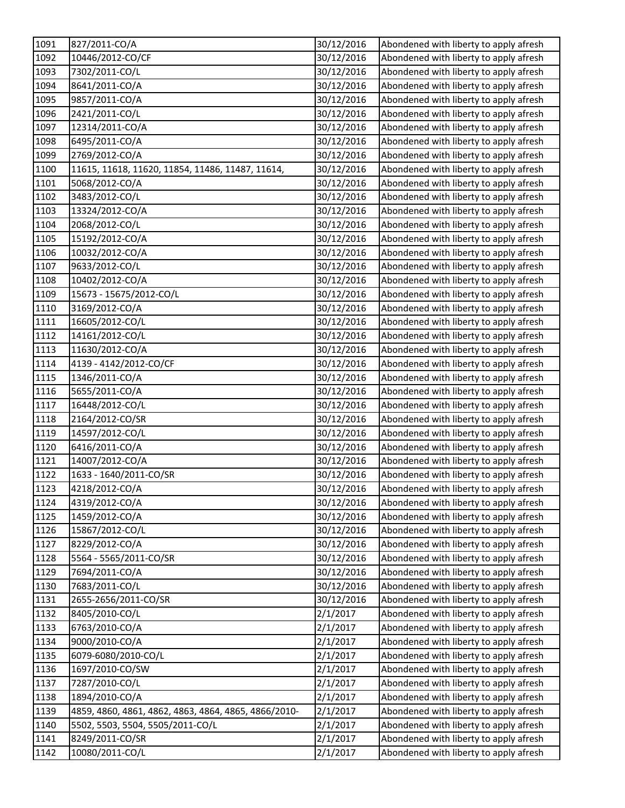| 1091 | 827/2011-CO/A                                        | 30/12/2016 | Abondened with liberty to apply afresh |
|------|------------------------------------------------------|------------|----------------------------------------|
| 1092 | 10446/2012-CO/CF                                     | 30/12/2016 | Abondened with liberty to apply afresh |
| 1093 | 7302/2011-CO/L                                       | 30/12/2016 | Abondened with liberty to apply afresh |
| 1094 | 8641/2011-CO/A                                       | 30/12/2016 | Abondened with liberty to apply afresh |
| 1095 | 9857/2011-CO/A                                       | 30/12/2016 | Abondened with liberty to apply afresh |
| 1096 | 2421/2011-CO/L                                       | 30/12/2016 | Abondened with liberty to apply afresh |
| 1097 | 12314/2011-CO/A                                      | 30/12/2016 | Abondened with liberty to apply afresh |
| 1098 | 6495/2011-CO/A                                       | 30/12/2016 | Abondened with liberty to apply afresh |
| 1099 | 2769/2012-CO/A                                       | 30/12/2016 | Abondened with liberty to apply afresh |
| 1100 | 11615, 11618, 11620, 11854, 11486, 11487, 11614,     | 30/12/2016 | Abondened with liberty to apply afresh |
| 1101 | 5068/2012-CO/A                                       | 30/12/2016 | Abondened with liberty to apply afresh |
| 1102 | 3483/2012-CO/L                                       | 30/12/2016 | Abondened with liberty to apply afresh |
| 1103 | 13324/2012-CO/A                                      | 30/12/2016 | Abondened with liberty to apply afresh |
| 1104 | 2068/2012-CO/L                                       | 30/12/2016 | Abondened with liberty to apply afresh |
| 1105 | 15192/2012-CO/A                                      | 30/12/2016 | Abondened with liberty to apply afresh |
| 1106 | 10032/2012-CO/A                                      | 30/12/2016 | Abondened with liberty to apply afresh |
| 1107 | 9633/2012-CO/L                                       | 30/12/2016 | Abondened with liberty to apply afresh |
| 1108 | 10402/2012-CO/A                                      | 30/12/2016 | Abondened with liberty to apply afresh |
| 1109 | 15673 - 15675/2012-CO/L                              | 30/12/2016 | Abondened with liberty to apply afresh |
| 1110 | 3169/2012-CO/A                                       | 30/12/2016 | Abondened with liberty to apply afresh |
| 1111 | 16605/2012-CO/L                                      | 30/12/2016 | Abondened with liberty to apply afresh |
| 1112 | 14161/2012-CO/L                                      | 30/12/2016 | Abondened with liberty to apply afresh |
| 1113 | 11630/2012-CO/A                                      | 30/12/2016 | Abondened with liberty to apply afresh |
| 1114 | 4139 - 4142/2012-CO/CF                               | 30/12/2016 | Abondened with liberty to apply afresh |
| 1115 | 1346/2011-CO/A                                       | 30/12/2016 | Abondened with liberty to apply afresh |
| 1116 | 5655/2011-CO/A                                       | 30/12/2016 | Abondened with liberty to apply afresh |
| 1117 | 16448/2012-CO/L                                      | 30/12/2016 | Abondened with liberty to apply afresh |
| 1118 | 2164/2012-CO/SR                                      | 30/12/2016 | Abondened with liberty to apply afresh |
| 1119 | 14597/2012-CO/L                                      | 30/12/2016 | Abondened with liberty to apply afresh |
| 1120 | 6416/2011-CO/A                                       | 30/12/2016 | Abondened with liberty to apply afresh |
| 1121 | 14007/2012-CO/A                                      | 30/12/2016 | Abondened with liberty to apply afresh |
| 1122 | 1633 - 1640/2011-CO/SR                               | 30/12/2016 | Abondened with liberty to apply afresh |
| 1123 | 4218/2012-CO/A                                       | 30/12/2016 | Abondened with liberty to apply afresh |
| 1124 | 4319/2012-CO/A                                       | 30/12/2016 | Abondened with liberty to apply afresh |
| 1125 | 1459/2012-CO/A                                       | 30/12/2016 | Abondened with liberty to apply afresh |
| 1126 | 15867/2012-CO/L                                      | 30/12/2016 | Abondened with liberty to apply afresh |
| 1127 | 8229/2012-CO/A                                       | 30/12/2016 | Abondened with liberty to apply afresh |
| 1128 | 5564 - 5565/2011-CO/SR                               | 30/12/2016 | Abondened with liberty to apply afresh |
| 1129 | 7694/2011-CO/A                                       | 30/12/2016 | Abondened with liberty to apply afresh |
| 1130 | 7683/2011-CO/L                                       | 30/12/2016 | Abondened with liberty to apply afresh |
| 1131 | 2655-2656/2011-CO/SR                                 | 30/12/2016 | Abondened with liberty to apply afresh |
| 1132 | 8405/2010-CO/L                                       | 2/1/2017   | Abondened with liberty to apply afresh |
| 1133 | 6763/2010-CO/A                                       | 2/1/2017   | Abondened with liberty to apply afresh |
| 1134 | 9000/2010-CO/A                                       | 2/1/2017   | Abondened with liberty to apply afresh |
| 1135 | 6079-6080/2010-CO/L                                  | 2/1/2017   | Abondened with liberty to apply afresh |
| 1136 | 1697/2010-CO/SW                                      | 2/1/2017   | Abondened with liberty to apply afresh |
| 1137 | 7287/2010-CO/L                                       | 2/1/2017   | Abondened with liberty to apply afresh |
| 1138 | 1894/2010-CO/A                                       | 2/1/2017   | Abondened with liberty to apply afresh |
| 1139 | 4859, 4860, 4861, 4862, 4863, 4864, 4865, 4866/2010- | 2/1/2017   | Abondened with liberty to apply afresh |
| 1140 | 5502, 5503, 5504, 5505/2011-CO/L                     | 2/1/2017   | Abondened with liberty to apply afresh |
| 1141 | 8249/2011-CO/SR                                      | 2/1/2017   | Abondened with liberty to apply afresh |
| 1142 | 10080/2011-CO/L                                      | 2/1/2017   | Abondened with liberty to apply afresh |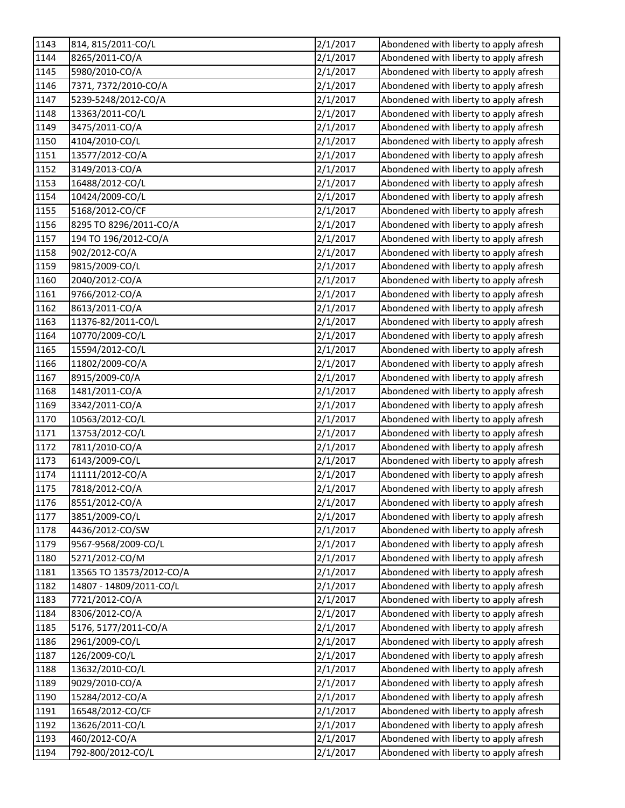| 1143 | 814, 815/2011-CO/L       | 2/1/2017 | Abondened with liberty to apply afresh |
|------|--------------------------|----------|----------------------------------------|
| 1144 | 8265/2011-CO/A           | 2/1/2017 | Abondened with liberty to apply afresh |
| 1145 | 5980/2010-CO/A           | 2/1/2017 | Abondened with liberty to apply afresh |
| 1146 | 7371, 7372/2010-CO/A     | 2/1/2017 | Abondened with liberty to apply afresh |
| 1147 | 5239-5248/2012-CO/A      | 2/1/2017 | Abondened with liberty to apply afresh |
| 1148 | 13363/2011-CO/L          | 2/1/2017 | Abondened with liberty to apply afresh |
| 1149 | 3475/2011-CO/A           | 2/1/2017 | Abondened with liberty to apply afresh |
| 1150 | 4104/2010-CO/L           | 2/1/2017 | Abondened with liberty to apply afresh |
| 1151 | 13577/2012-CO/A          | 2/1/2017 | Abondened with liberty to apply afresh |
| 1152 | 3149/2013-CO/A           | 2/1/2017 | Abondened with liberty to apply afresh |
| 1153 | 16488/2012-CO/L          | 2/1/2017 | Abondened with liberty to apply afresh |
| 1154 | 10424/2009-CO/L          | 2/1/2017 | Abondened with liberty to apply afresh |
| 1155 | 5168/2012-CO/CF          | 2/1/2017 | Abondened with liberty to apply afresh |
| 1156 | 8295 TO 8296/2011-CO/A   | 2/1/2017 | Abondened with liberty to apply afresh |
| 1157 | 194 TO 196/2012-CO/A     | 2/1/2017 | Abondened with liberty to apply afresh |
| 1158 | 902/2012-CO/A            | 2/1/2017 | Abondened with liberty to apply afresh |
| 1159 | 9815/2009-CO/L           | 2/1/2017 | Abondened with liberty to apply afresh |
| 1160 | 2040/2012-CO/A           | 2/1/2017 | Abondened with liberty to apply afresh |
| 1161 | 9766/2012-CO/A           | 2/1/2017 | Abondened with liberty to apply afresh |
| 1162 | 8613/2011-CO/A           | 2/1/2017 | Abondened with liberty to apply afresh |
| 1163 | 11376-82/2011-CO/L       | 2/1/2017 | Abondened with liberty to apply afresh |
| 1164 | 10770/2009-CO/L          | 2/1/2017 | Abondened with liberty to apply afresh |
| 1165 | 15594/2012-CO/L          | 2/1/2017 | Abondened with liberty to apply afresh |
| 1166 | 11802/2009-CO/A          | 2/1/2017 | Abondened with liberty to apply afresh |
| 1167 | 8915/2009-C0/A           | 2/1/2017 | Abondened with liberty to apply afresh |
| 1168 | 1481/2011-CO/A           | 2/1/2017 | Abondened with liberty to apply afresh |
| 1169 | 3342/2011-CO/A           | 2/1/2017 | Abondened with liberty to apply afresh |
| 1170 | 10563/2012-CO/L          | 2/1/2017 | Abondened with liberty to apply afresh |
| 1171 | 13753/2012-CO/L          | 2/1/2017 | Abondened with liberty to apply afresh |
| 1172 | 7811/2010-CO/A           | 2/1/2017 | Abondened with liberty to apply afresh |
| 1173 | 6143/2009-CO/L           | 2/1/2017 | Abondened with liberty to apply afresh |
| 1174 | 11111/2012-CO/A          | 2/1/2017 | Abondened with liberty to apply afresh |
| 1175 | 7818/2012-CO/A           | 2/1/2017 | Abondened with liberty to apply afresh |
| 1176 | 8551/2012-CO/A           | 2/1/2017 | Abondened with liberty to apply afresh |
| 1177 | 3851/2009-CO/L           | 2/1/2017 | Abondened with liberty to apply afresh |
| 1178 | 4436/2012-CO/SW          | 2/1/2017 | Abondened with liberty to apply afresh |
| 1179 | 9567-9568/2009-CO/L      | 2/1/2017 | Abondened with liberty to apply afresh |
| 1180 | 5271/2012-CO/M           | 2/1/2017 | Abondened with liberty to apply afresh |
| 1181 | 13565 TO 13573/2012-CO/A | 2/1/2017 | Abondened with liberty to apply afresh |
| 1182 | 14807 - 14809/2011-CO/L  | 2/1/2017 | Abondened with liberty to apply afresh |
| 1183 | 7721/2012-CO/A           | 2/1/2017 | Abondened with liberty to apply afresh |
| 1184 | 8306/2012-CO/A           | 2/1/2017 | Abondened with liberty to apply afresh |
| 1185 | 5176, 5177/2011-CO/A     | 2/1/2017 | Abondened with liberty to apply afresh |
| 1186 | 2961/2009-CO/L           | 2/1/2017 | Abondened with liberty to apply afresh |
| 1187 | 126/2009-CO/L            | 2/1/2017 | Abondened with liberty to apply afresh |
| 1188 | 13632/2010-CO/L          | 2/1/2017 | Abondened with liberty to apply afresh |
| 1189 | 9029/2010-CO/A           | 2/1/2017 | Abondened with liberty to apply afresh |
| 1190 | 15284/2012-CO/A          | 2/1/2017 | Abondened with liberty to apply afresh |
| 1191 | 16548/2012-CO/CF         | 2/1/2017 | Abondened with liberty to apply afresh |
| 1192 | 13626/2011-CO/L          | 2/1/2017 | Abondened with liberty to apply afresh |
| 1193 | 460/2012-CO/A            | 2/1/2017 | Abondened with liberty to apply afresh |
| 1194 | 792-800/2012-CO/L        | 2/1/2017 | Abondened with liberty to apply afresh |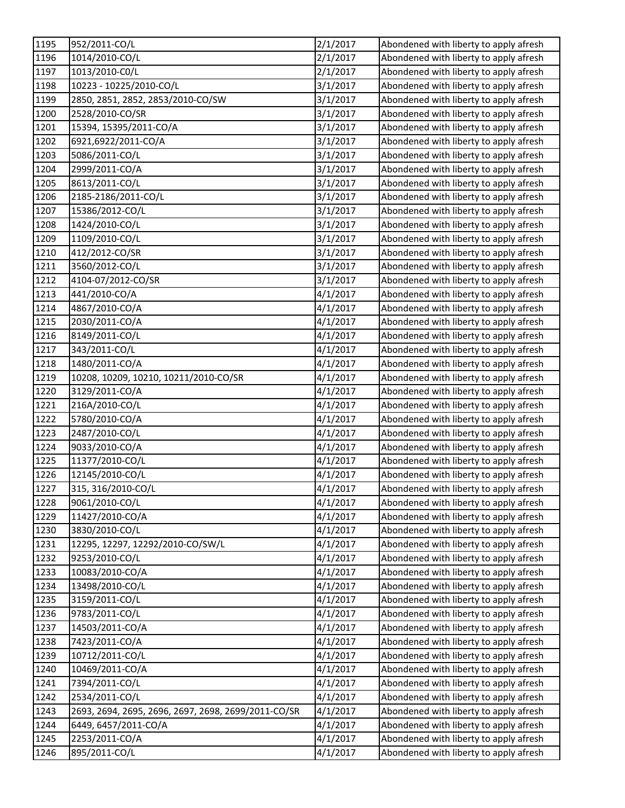| 1195 | 952/2011-CO/L                                       | 2/1/2017 | Abondened with liberty to apply afresh |
|------|-----------------------------------------------------|----------|----------------------------------------|
| 1196 | 1014/2010-CO/L                                      | 2/1/2017 | Abondened with liberty to apply afresh |
| 1197 | 1013/2010-C0/L                                      | 2/1/2017 | Abondened with liberty to apply afresh |
| 1198 | 10223 - 10225/2010-CO/L                             | 3/1/2017 | Abondened with liberty to apply afresh |
| 1199 | 2850, 2851, 2852, 2853/2010-CO/SW                   | 3/1/2017 | Abondened with liberty to apply afresh |
| 1200 | 2528/2010-CO/SR                                     | 3/1/2017 | Abondened with liberty to apply afresh |
| 1201 | 15394, 15395/2011-CO/A                              | 3/1/2017 | Abondened with liberty to apply afresh |
| 1202 | 6921,6922/2011-CO/A                                 | 3/1/2017 | Abondened with liberty to apply afresh |
| 1203 | 5086/2011-CO/L                                      | 3/1/2017 | Abondened with liberty to apply afresh |
| 1204 | 2999/2011-CO/A                                      | 3/1/2017 | Abondened with liberty to apply afresh |
| 1205 | 8613/2011-CO/L                                      | 3/1/2017 | Abondened with liberty to apply afresh |
| 1206 | 2185-2186/2011-CO/L                                 | 3/1/2017 | Abondened with liberty to apply afresh |
| 1207 | 15386/2012-CO/L                                     | 3/1/2017 | Abondened with liberty to apply afresh |
| 1208 | 1424/2010-CO/L                                      | 3/1/2017 | Abondened with liberty to apply afresh |
| 1209 | 1109/2010-CO/L                                      | 3/1/2017 | Abondened with liberty to apply afresh |
| 1210 | 412/2012-CO/SR                                      | 3/1/2017 | Abondened with liberty to apply afresh |
| 1211 | 3560/2012-CO/L                                      | 3/1/2017 | Abondened with liberty to apply afresh |
| 1212 | 4104-07/2012-CO/SR                                  | 3/1/2017 | Abondened with liberty to apply afresh |
| 1213 | 441/2010-CO/A                                       | 4/1/2017 | Abondened with liberty to apply afresh |
| 1214 | 4867/2010-CO/A                                      | 4/1/2017 | Abondened with liberty to apply afresh |
| 1215 | 2030/2011-CO/A                                      | 4/1/2017 | Abondened with liberty to apply afresh |
| 1216 | 8149/2011-CO/L                                      | 4/1/2017 | Abondened with liberty to apply afresh |
| 1217 | 343/2011-CO/L                                       | 4/1/2017 | Abondened with liberty to apply afresh |
| 1218 | 1480/2011-CO/A                                      | 4/1/2017 | Abondened with liberty to apply afresh |
| 1219 | 10208, 10209, 10210, 10211/2010-CO/SR               | 4/1/2017 | Abondened with liberty to apply afresh |
| 1220 | 3129/2011-CO/A                                      | 4/1/2017 | Abondened with liberty to apply afresh |
| 1221 | 216A/2010-CO/L                                      | 4/1/2017 | Abondened with liberty to apply afresh |
| 1222 | 5780/2010-CO/A                                      | 4/1/2017 | Abondened with liberty to apply afresh |
| 1223 | 2487/2010-CO/L                                      | 4/1/2017 | Abondened with liberty to apply afresh |
| 1224 | 9033/2010-CO/A                                      | 4/1/2017 | Abondened with liberty to apply afresh |
| 1225 | 11377/2010-CO/L                                     | 4/1/2017 | Abondened with liberty to apply afresh |
| 1226 | 12145/2010-CO/L                                     | 4/1/2017 | Abondened with liberty to apply afresh |
| 1227 | 315, 316/2010-CO/L                                  | 4/1/2017 | Abondened with liberty to apply afresh |
| 1228 | 9061/2010-CO/L                                      | 4/1/2017 | Abondened with liberty to apply afresh |
| 1229 | 11427/2010-CO/A                                     | 4/1/2017 | Abondened with liberty to apply afresh |
| 1230 | 3830/2010-CO/L                                      | 4/1/2017 | Abondened with liberty to apply afresh |
| 1231 | 12295, 12297, 12292/2010-CO/SW/L                    | 4/1/2017 | Abondened with liberty to apply afresh |
| 1232 | 9253/2010-CO/L                                      | 4/1/2017 | Abondened with liberty to apply afresh |
| 1233 | 10083/2010-CO/A                                     | 4/1/2017 | Abondened with liberty to apply afresh |
| 1234 | 13498/2010-CO/L                                     | 4/1/2017 | Abondened with liberty to apply afresh |
| 1235 | 3159/2011-CO/L                                      | 4/1/2017 | Abondened with liberty to apply afresh |
| 1236 | 9783/2011-CO/L                                      | 4/1/2017 | Abondened with liberty to apply afresh |
| 1237 | 14503/2011-CO/A                                     | 4/1/2017 | Abondened with liberty to apply afresh |
| 1238 | 7423/2011-CO/A                                      | 4/1/2017 | Abondened with liberty to apply afresh |
| 1239 | 10712/2011-CO/L                                     | 4/1/2017 | Abondened with liberty to apply afresh |
| 1240 | 10469/2011-CO/A                                     | 4/1/2017 | Abondened with liberty to apply afresh |
| 1241 | 7394/2011-CO/L                                      | 4/1/2017 | Abondened with liberty to apply afresh |
| 1242 | 2534/2011-CO/L                                      | 4/1/2017 | Abondened with liberty to apply afresh |
| 1243 | 2693, 2694, 2695, 2696, 2697, 2698, 2699/2011-CO/SR | 4/1/2017 | Abondened with liberty to apply afresh |
| 1244 | 6449, 6457/2011-CO/A                                | 4/1/2017 | Abondened with liberty to apply afresh |
| 1245 | 2253/2011-CO/A                                      | 4/1/2017 | Abondened with liberty to apply afresh |
| 1246 | 895/2011-CO/L                                       | 4/1/2017 | Abondened with liberty to apply afresh |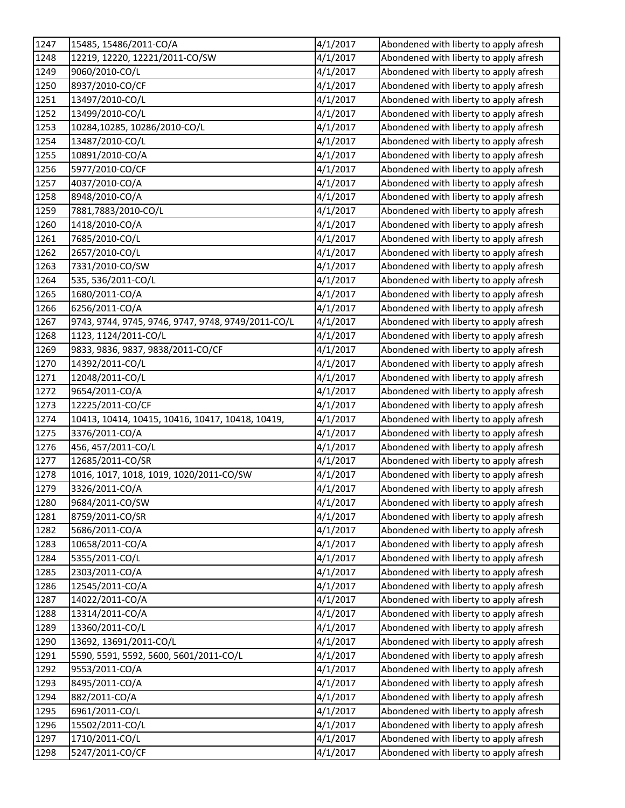| 1247 | 15485, 15486/2011-CO/A                             | 4/1/2017 | Abondened with liberty to apply afresh |
|------|----------------------------------------------------|----------|----------------------------------------|
| 1248 | 12219, 12220, 12221/2011-CO/SW                     | 4/1/2017 | Abondened with liberty to apply afresh |
| 1249 | 9060/2010-CO/L                                     | 4/1/2017 | Abondened with liberty to apply afresh |
| 1250 | 8937/2010-CO/CF                                    | 4/1/2017 | Abondened with liberty to apply afresh |
| 1251 | 13497/2010-CO/L                                    | 4/1/2017 | Abondened with liberty to apply afresh |
| 1252 | 13499/2010-CO/L                                    | 4/1/2017 | Abondened with liberty to apply afresh |
| 1253 | 10284,10285, 10286/2010-CO/L                       | 4/1/2017 | Abondened with liberty to apply afresh |
| 1254 | 13487/2010-CO/L                                    | 4/1/2017 | Abondened with liberty to apply afresh |
| 1255 | 10891/2010-CO/A                                    | 4/1/2017 | Abondened with liberty to apply afresh |
| 1256 | 5977/2010-CO/CF                                    | 4/1/2017 | Abondened with liberty to apply afresh |
| 1257 | 4037/2010-CO/A                                     | 4/1/2017 | Abondened with liberty to apply afresh |
| 1258 | 8948/2010-CO/A                                     | 4/1/2017 | Abondened with liberty to apply afresh |
| 1259 | 7881,7883/2010-CO/L                                | 4/1/2017 | Abondened with liberty to apply afresh |
| 1260 | 1418/2010-CO/A                                     | 4/1/2017 | Abondened with liberty to apply afresh |
| 1261 | 7685/2010-CO/L                                     | 4/1/2017 | Abondened with liberty to apply afresh |
| 1262 | 2657/2010-CO/L                                     | 4/1/2017 | Abondened with liberty to apply afresh |
| 1263 | 7331/2010-CO/SW                                    | 4/1/2017 | Abondened with liberty to apply afresh |
| 1264 | 535, 536/2011-CO/L                                 | 4/1/2017 | Abondened with liberty to apply afresh |
| 1265 | 1680/2011-CO/A                                     | 4/1/2017 | Abondened with liberty to apply afresh |
| 1266 | 6256/2011-CO/A                                     | 4/1/2017 | Abondened with liberty to apply afresh |
| 1267 | 9743, 9744, 9745, 9746, 9747, 9748, 9749/2011-CO/L | 4/1/2017 | Abondened with liberty to apply afresh |
| 1268 | 1123, 1124/2011-CO/L                               | 4/1/2017 | Abondened with liberty to apply afresh |
| 1269 | 9833, 9836, 9837, 9838/2011-CO/CF                  | 4/1/2017 | Abondened with liberty to apply afresh |
| 1270 | 14392/2011-CO/L                                    | 4/1/2017 | Abondened with liberty to apply afresh |
| 1271 | 12048/2011-CO/L                                    | 4/1/2017 | Abondened with liberty to apply afresh |
| 1272 | 9654/2011-CO/A                                     | 4/1/2017 | Abondened with liberty to apply afresh |
| 1273 | 12225/2011-CO/CF                                   | 4/1/2017 | Abondened with liberty to apply afresh |
| 1274 | 10413, 10414, 10415, 10416, 10417, 10418, 10419,   | 4/1/2017 | Abondened with liberty to apply afresh |
| 1275 | 3376/2011-CO/A                                     | 4/1/2017 | Abondened with liberty to apply afresh |
| 1276 | 456, 457/2011-CO/L                                 | 4/1/2017 | Abondened with liberty to apply afresh |
| 1277 | 12685/2011-CO/SR                                   | 4/1/2017 | Abondened with liberty to apply afresh |
| 1278 | 1016, 1017, 1018, 1019, 1020/2011-CO/SW            | 4/1/2017 | Abondened with liberty to apply afresh |
| 1279 | 3326/2011-CO/A                                     | 4/1/2017 | Abondened with liberty to apply afresh |
| 1280 | 9684/2011-CO/SW                                    | 4/1/2017 | Abondened with liberty to apply afresh |
| 1281 | 8759/2011-CO/SR                                    | 4/1/2017 | Abondened with liberty to apply afresh |
| 1282 | 5686/2011-CO/A                                     | 4/1/2017 | Abondened with liberty to apply afresh |
| 1283 | 10658/2011-CO/A                                    | 4/1/2017 | Abondened with liberty to apply afresh |
| 1284 | 5355/2011-CO/L                                     | 4/1/2017 | Abondened with liberty to apply afresh |
| 1285 | 2303/2011-CO/A                                     | 4/1/2017 | Abondened with liberty to apply afresh |
| 1286 | 12545/2011-CO/A                                    | 4/1/2017 | Abondened with liberty to apply afresh |
| 1287 | 14022/2011-CO/A                                    | 4/1/2017 | Abondened with liberty to apply afresh |
| 1288 | 13314/2011-CO/A                                    | 4/1/2017 | Abondened with liberty to apply afresh |
| 1289 | 13360/2011-CO/L                                    | 4/1/2017 | Abondened with liberty to apply afresh |
| 1290 | 13692, 13691/2011-CO/L                             | 4/1/2017 | Abondened with liberty to apply afresh |
| 1291 | 5590, 5591, 5592, 5600, 5601/2011-CO/L             | 4/1/2017 | Abondened with liberty to apply afresh |
| 1292 | 9553/2011-CO/A                                     | 4/1/2017 | Abondened with liberty to apply afresh |
| 1293 | 8495/2011-CO/A                                     | 4/1/2017 | Abondened with liberty to apply afresh |
| 1294 | 882/2011-CO/A                                      | 4/1/2017 | Abondened with liberty to apply afresh |
| 1295 | 6961/2011-CO/L                                     | 4/1/2017 | Abondened with liberty to apply afresh |
| 1296 | 15502/2011-CO/L                                    | 4/1/2017 | Abondened with liberty to apply afresh |
| 1297 | 1710/2011-CO/L                                     | 4/1/2017 | Abondened with liberty to apply afresh |
| 1298 | 5247/2011-CO/CF                                    | 4/1/2017 | Abondened with liberty to apply afresh |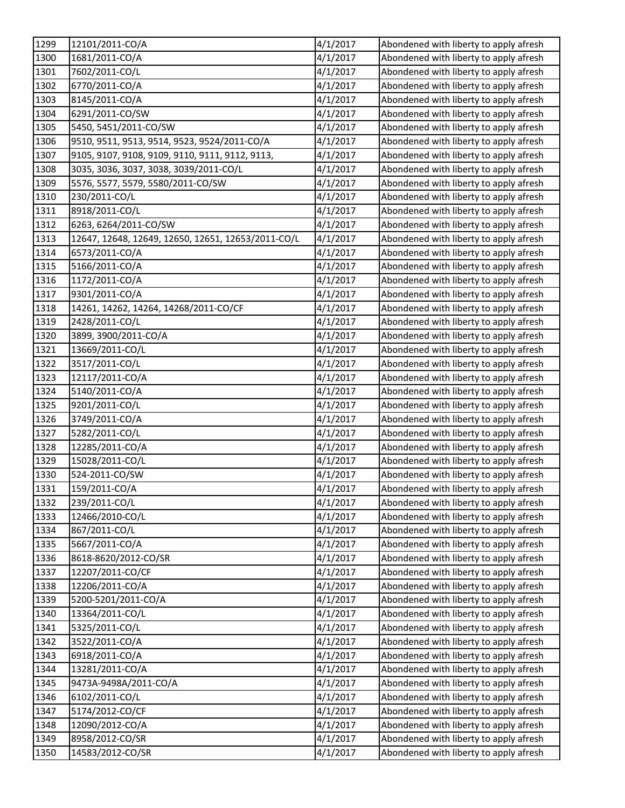| 1299 | 12101/2011-CO/A                                    | 4/1/2017 | Abondened with liberty to apply afresh |
|------|----------------------------------------------------|----------|----------------------------------------|
| 1300 | 1681/2011-CO/A                                     | 4/1/2017 | Abondened with liberty to apply afresh |
| 1301 | 7602/2011-CO/L                                     | 4/1/2017 | Abondened with liberty to apply afresh |
| 1302 | 6770/2011-CO/A                                     | 4/1/2017 | Abondened with liberty to apply afresh |
| 1303 | 8145/2011-CO/A                                     | 4/1/2017 | Abondened with liberty to apply afresh |
| 1304 | 6291/2011-CO/SW                                    | 4/1/2017 | Abondened with liberty to apply afresh |
| 1305 | 5450, 5451/2011-CO/SW                              | 4/1/2017 | Abondened with liberty to apply afresh |
| 1306 | 9510, 9511, 9513, 9514, 9523, 9524/2011-CO/A       | 4/1/2017 | Abondened with liberty to apply afresh |
| 1307 | 9105, 9107, 9108, 9109, 9110, 9111, 9112, 9113,    | 4/1/2017 | Abondened with liberty to apply afresh |
| 1308 | 3035, 3036, 3037, 3038, 3039/2011-CO/L             | 4/1/2017 | Abondened with liberty to apply afresh |
| 1309 | 5576, 5577, 5579, 5580/2011-CO/SW                  | 4/1/2017 | Abondened with liberty to apply afresh |
| 1310 | 230/2011-CO/L                                      | 4/1/2017 | Abondened with liberty to apply afresh |
| 1311 | 8918/2011-CO/L                                     | 4/1/2017 | Abondened with liberty to apply afresh |
| 1312 | 6263, 6264/2011-CO/SW                              | 4/1/2017 | Abondened with liberty to apply afresh |
| 1313 | 12647, 12648, 12649, 12650, 12651, 12653/2011-CO/L | 4/1/2017 | Abondened with liberty to apply afresh |
| 1314 | 6573/2011-CO/A                                     | 4/1/2017 | Abondened with liberty to apply afresh |
| 1315 | 5166/2011-CO/A                                     | 4/1/2017 | Abondened with liberty to apply afresh |
| 1316 | 1172/2011-CO/A                                     | 4/1/2017 | Abondened with liberty to apply afresh |
| 1317 | 9301/2011-CO/A                                     | 4/1/2017 | Abondened with liberty to apply afresh |
| 1318 | 14261, 14262, 14264, 14268/2011-CO/CF              | 4/1/2017 | Abondened with liberty to apply afresh |
| 1319 | 2428/2011-CO/L                                     | 4/1/2017 | Abondened with liberty to apply afresh |
| 1320 | 3899, 3900/2011-CO/A                               | 4/1/2017 | Abondened with liberty to apply afresh |
| 1321 | 13669/2011-CO/L                                    | 4/1/2017 | Abondened with liberty to apply afresh |
| 1322 | 3517/2011-CO/L                                     | 4/1/2017 | Abondened with liberty to apply afresh |
| 1323 | 12117/2011-CO/A                                    | 4/1/2017 | Abondened with liberty to apply afresh |
| 1324 | 5140/2011-CO/A                                     | 4/1/2017 | Abondened with liberty to apply afresh |
| 1325 | 9201/2011-CO/L                                     | 4/1/2017 | Abondened with liberty to apply afresh |
| 1326 | 3749/2011-CO/A                                     | 4/1/2017 | Abondened with liberty to apply afresh |
| 1327 | 5282/2011-CO/L                                     | 4/1/2017 | Abondened with liberty to apply afresh |
| 1328 | 12285/2011-CO/A                                    | 4/1/2017 | Abondened with liberty to apply afresh |
| 1329 | 15028/2011-CO/L                                    | 4/1/2017 | Abondened with liberty to apply afresh |
| 1330 | 524-2011-CO/SW                                     | 4/1/2017 | Abondened with liberty to apply afresh |
| 1331 | 159/2011-CO/A                                      | 4/1/2017 | Abondened with liberty to apply afresh |
| 1332 | 239/2011-CO/L                                      | 4/1/2017 | Abondened with liberty to apply afresh |
| 1333 | 12466/2010-CO/L                                    | 4/1/2017 | Abondened with liberty to apply afresh |
| 1334 | 867/2011-CO/L                                      | 4/1/2017 | Abondened with liberty to apply afresh |
| 1335 | 5667/2011-CO/A                                     | 4/1/2017 | Abondened with liberty to apply afresh |
| 1336 | 8618-8620/2012-CO/SR                               | 4/1/2017 | Abondened with liberty to apply afresh |
| 1337 | 12207/2011-CO/CF                                   | 4/1/2017 | Abondened with liberty to apply afresh |
| 1338 | 12206/2011-CO/A                                    | 4/1/2017 | Abondened with liberty to apply afresh |
| 1339 | 5200-5201/2011-CO/A                                | 4/1/2017 | Abondened with liberty to apply afresh |
| 1340 | 13364/2011-CO/L                                    | 4/1/2017 | Abondened with liberty to apply afresh |
| 1341 | 5325/2011-CO/L                                     | 4/1/2017 | Abondened with liberty to apply afresh |
| 1342 | 3522/2011-CO/A                                     | 4/1/2017 | Abondened with liberty to apply afresh |
| 1343 | 6918/2011-CO/A                                     | 4/1/2017 | Abondened with liberty to apply afresh |
| 1344 | 13281/2011-CO/A                                    | 4/1/2017 | Abondened with liberty to apply afresh |
| 1345 | 9473A-9498A/2011-CO/A                              | 4/1/2017 | Abondened with liberty to apply afresh |
| 1346 | 6102/2011-CO/L                                     | 4/1/2017 | Abondened with liberty to apply afresh |
| 1347 | 5174/2012-CO/CF                                    | 4/1/2017 | Abondened with liberty to apply afresh |
| 1348 | 12090/2012-CO/A                                    | 4/1/2017 | Abondened with liberty to apply afresh |
| 1349 | 8958/2012-CO/SR                                    | 4/1/2017 | Abondened with liberty to apply afresh |
| 1350 | 14583/2012-CO/SR                                   | 4/1/2017 | Abondened with liberty to apply afresh |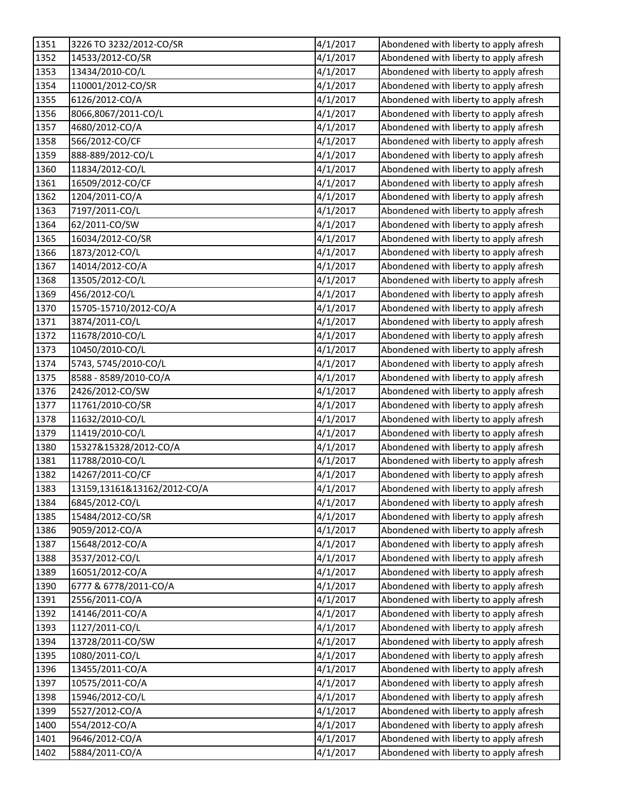| 1351 | 3226 TO 3232/2012-CO/SR     | 4/1/2017 | Abondened with liberty to apply afresh |
|------|-----------------------------|----------|----------------------------------------|
| 1352 | 14533/2012-CO/SR            | 4/1/2017 | Abondened with liberty to apply afresh |
| 1353 | 13434/2010-CO/L             | 4/1/2017 | Abondened with liberty to apply afresh |
| 1354 | 110001/2012-CO/SR           | 4/1/2017 | Abondened with liberty to apply afresh |
| 1355 | 6126/2012-CO/A              | 4/1/2017 | Abondened with liberty to apply afresh |
| 1356 | 8066,8067/2011-CO/L         | 4/1/2017 | Abondened with liberty to apply afresh |
| 1357 | 4680/2012-CO/A              | 4/1/2017 | Abondened with liberty to apply afresh |
| 1358 | 566/2012-CO/CF              | 4/1/2017 | Abondened with liberty to apply afresh |
| 1359 | 888-889/2012-CO/L           | 4/1/2017 | Abondened with liberty to apply afresh |
| 1360 | 11834/2012-CO/L             | 4/1/2017 | Abondened with liberty to apply afresh |
| 1361 | 16509/2012-CO/CF            | 4/1/2017 | Abondened with liberty to apply afresh |
| 1362 | 1204/2011-CO/A              | 4/1/2017 | Abondened with liberty to apply afresh |
| 1363 | 7197/2011-CO/L              | 4/1/2017 | Abondened with liberty to apply afresh |
| 1364 | 62/2011-CO/SW               | 4/1/2017 | Abondened with liberty to apply afresh |
| 1365 | 16034/2012-CO/SR            | 4/1/2017 | Abondened with liberty to apply afresh |
| 1366 | 1873/2012-CO/L              | 4/1/2017 | Abondened with liberty to apply afresh |
| 1367 | 14014/2012-CO/A             | 4/1/2017 | Abondened with liberty to apply afresh |
| 1368 | 13505/2012-CO/L             | 4/1/2017 | Abondened with liberty to apply afresh |
| 1369 | 456/2012-CO/L               | 4/1/2017 | Abondened with liberty to apply afresh |
| 1370 | 15705-15710/2012-CO/A       | 4/1/2017 | Abondened with liberty to apply afresh |
| 1371 | 3874/2011-CO/L              | 4/1/2017 | Abondened with liberty to apply afresh |
| 1372 | 11678/2010-CO/L             | 4/1/2017 | Abondened with liberty to apply afresh |
| 1373 | 10450/2010-CO/L             | 4/1/2017 | Abondened with liberty to apply afresh |
| 1374 | 5743, 5745/2010-CO/L        | 4/1/2017 | Abondened with liberty to apply afresh |
| 1375 | 8588 - 8589/2010-CO/A       | 4/1/2017 | Abondened with liberty to apply afresh |
| 1376 | 2426/2012-CO/SW             | 4/1/2017 | Abondened with liberty to apply afresh |
| 1377 | 11761/2010-CO/SR            | 4/1/2017 | Abondened with liberty to apply afresh |
| 1378 | 11632/2010-CO/L             | 4/1/2017 | Abondened with liberty to apply afresh |
| 1379 | 11419/2010-CO/L             | 4/1/2017 | Abondened with liberty to apply afresh |
| 1380 | 15327&15328/2012-CO/A       | 4/1/2017 | Abondened with liberty to apply afresh |
| 1381 | 11788/2010-CO/L             | 4/1/2017 | Abondened with liberty to apply afresh |
| 1382 | 14267/2011-CO/CF            | 4/1/2017 | Abondened with liberty to apply afresh |
| 1383 | 13159,13161&13162/2012-CO/A | 4/1/2017 | Abondened with liberty to apply afresh |
| 1384 | 6845/2012-CO/L              | 4/1/2017 | Abondened with liberty to apply afresh |
| 1385 | 15484/2012-CO/SR            | 4/1/2017 | Abondened with liberty to apply afresh |
| 1386 | 9059/2012-CO/A              | 4/1/2017 | Abondened with liberty to apply afresh |
| 1387 | 15648/2012-CO/A             | 4/1/2017 | Abondened with liberty to apply afresh |
| 1388 | 3537/2012-CO/L              | 4/1/2017 | Abondened with liberty to apply afresh |
| 1389 | 16051/2012-CO/A             | 4/1/2017 | Abondened with liberty to apply afresh |
| 1390 | 6777 & 6778/2011-CO/A       | 4/1/2017 | Abondened with liberty to apply afresh |
| 1391 | 2556/2011-CO/A              | 4/1/2017 | Abondened with liberty to apply afresh |
| 1392 | 14146/2011-CO/A             | 4/1/2017 | Abondened with liberty to apply afresh |
| 1393 | 1127/2011-CO/L              | 4/1/2017 | Abondened with liberty to apply afresh |
| 1394 | 13728/2011-CO/SW            | 4/1/2017 | Abondened with liberty to apply afresh |
| 1395 | 1080/2011-CO/L              | 4/1/2017 | Abondened with liberty to apply afresh |
| 1396 | 13455/2011-CO/A             | 4/1/2017 | Abondened with liberty to apply afresh |
| 1397 | 10575/2011-CO/A             | 4/1/2017 | Abondened with liberty to apply afresh |
| 1398 | 15946/2012-CO/L             | 4/1/2017 | Abondened with liberty to apply afresh |
| 1399 | 5527/2012-CO/A              | 4/1/2017 | Abondened with liberty to apply afresh |
| 1400 | 554/2012-CO/A               | 4/1/2017 | Abondened with liberty to apply afresh |
| 1401 | 9646/2012-CO/A              | 4/1/2017 | Abondened with liberty to apply afresh |
| 1402 | 5884/2011-CO/A              | 4/1/2017 | Abondened with liberty to apply afresh |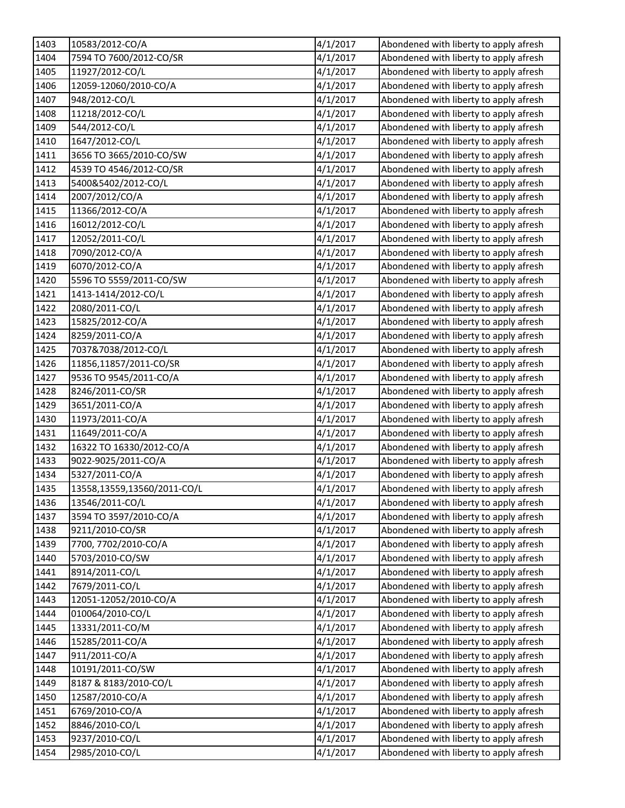| 1403 | 10583/2012-CO/A             | 4/1/2017 | Abondened with liberty to apply afresh |
|------|-----------------------------|----------|----------------------------------------|
| 1404 | 7594 TO 7600/2012-CO/SR     | 4/1/2017 | Abondened with liberty to apply afresh |
| 1405 | 11927/2012-CO/L             | 4/1/2017 | Abondened with liberty to apply afresh |
| 1406 | 12059-12060/2010-CO/A       | 4/1/2017 | Abondened with liberty to apply afresh |
| 1407 | 948/2012-CO/L               | 4/1/2017 | Abondened with liberty to apply afresh |
| 1408 | 11218/2012-CO/L             | 4/1/2017 | Abondened with liberty to apply afresh |
| 1409 | 544/2012-CO/L               | 4/1/2017 | Abondened with liberty to apply afresh |
| 1410 | 1647/2012-CO/L              | 4/1/2017 | Abondened with liberty to apply afresh |
| 1411 | 3656 TO 3665/2010-CO/SW     | 4/1/2017 | Abondened with liberty to apply afresh |
| 1412 | 4539 TO 4546/2012-CO/SR     | 4/1/2017 | Abondened with liberty to apply afresh |
| 1413 | 5400&5402/2012-CO/L         | 4/1/2017 | Abondened with liberty to apply afresh |
| 1414 | 2007/2012/CO/A              | 4/1/2017 | Abondened with liberty to apply afresh |
| 1415 | 11366/2012-CO/A             | 4/1/2017 | Abondened with liberty to apply afresh |
| 1416 | 16012/2012-CO/L             | 4/1/2017 | Abondened with liberty to apply afresh |
| 1417 | 12052/2011-CO/L             | 4/1/2017 | Abondened with liberty to apply afresh |
| 1418 | 7090/2012-CO/A              | 4/1/2017 | Abondened with liberty to apply afresh |
| 1419 | 6070/2012-CO/A              | 4/1/2017 | Abondened with liberty to apply afresh |
| 1420 | 5596 TO 5559/2011-CO/SW     | 4/1/2017 | Abondened with liberty to apply afresh |
| 1421 | 1413-1414/2012-CO/L         | 4/1/2017 | Abondened with liberty to apply afresh |
| 1422 | 2080/2011-CO/L              | 4/1/2017 | Abondened with liberty to apply afresh |
| 1423 | 15825/2012-CO/A             | 4/1/2017 | Abondened with liberty to apply afresh |
| 1424 | 8259/2011-CO/A              | 4/1/2017 | Abondened with liberty to apply afresh |
| 1425 | 7037&7038/2012-CO/L         | 4/1/2017 | Abondened with liberty to apply afresh |
| 1426 | 11856,11857/2011-CO/SR      | 4/1/2017 | Abondened with liberty to apply afresh |
| 1427 | 9536 TO 9545/2011-CO/A      | 4/1/2017 | Abondened with liberty to apply afresh |
| 1428 | 8246/2011-CO/SR             | 4/1/2017 | Abondened with liberty to apply afresh |
| 1429 | 3651/2011-CO/A              | 4/1/2017 | Abondened with liberty to apply afresh |
| 1430 | 11973/2011-CO/A             | 4/1/2017 | Abondened with liberty to apply afresh |
| 1431 | 11649/2011-CO/A             | 4/1/2017 | Abondened with liberty to apply afresh |
| 1432 | 16322 TO 16330/2012-CO/A    | 4/1/2017 | Abondened with liberty to apply afresh |
| 1433 | 9022-9025/2011-CO/A         | 4/1/2017 | Abondened with liberty to apply afresh |
| 1434 | 5327/2011-CO/A              | 4/1/2017 | Abondened with liberty to apply afresh |
| 1435 | 13558,13559,13560/2011-CO/L | 4/1/2017 | Abondened with liberty to apply afresh |
| 1436 | 13546/2011-CO/L             | 4/1/2017 | Abondened with liberty to apply afresh |
| 1437 | 3594 TO 3597/2010-CO/A      | 4/1/2017 | Abondened with liberty to apply afresh |
| 1438 | 9211/2010-CO/SR             | 4/1/2017 | Abondened with liberty to apply afresh |
| 1439 | 7700, 7702/2010-CO/A        | 4/1/2017 | Abondened with liberty to apply afresh |
| 1440 | 5703/2010-CO/SW             | 4/1/2017 | Abondened with liberty to apply afresh |
| 1441 | 8914/2011-CO/L              | 4/1/2017 | Abondened with liberty to apply afresh |
| 1442 | 7679/2011-CO/L              | 4/1/2017 | Abondened with liberty to apply afresh |
| 1443 | 12051-12052/2010-CO/A       | 4/1/2017 | Abondened with liberty to apply afresh |
| 1444 | 010064/2010-CO/L            | 4/1/2017 | Abondened with liberty to apply afresh |
| 1445 | 13331/2011-CO/M             | 4/1/2017 | Abondened with liberty to apply afresh |
| 1446 | 15285/2011-CO/A             | 4/1/2017 | Abondened with liberty to apply afresh |
| 1447 | 911/2011-CO/A               | 4/1/2017 | Abondened with liberty to apply afresh |
| 1448 | 10191/2011-CO/SW            | 4/1/2017 | Abondened with liberty to apply afresh |
| 1449 | 8187 & 8183/2010-CO/L       | 4/1/2017 | Abondened with liberty to apply afresh |
| 1450 | 12587/2010-CO/A             | 4/1/2017 | Abondened with liberty to apply afresh |
| 1451 | 6769/2010-CO/A              | 4/1/2017 | Abondened with liberty to apply afresh |
| 1452 | 8846/2010-CO/L              | 4/1/2017 | Abondened with liberty to apply afresh |
| 1453 | 9237/2010-CO/L              | 4/1/2017 | Abondened with liberty to apply afresh |
| 1454 | 2985/2010-CO/L              | 4/1/2017 | Abondened with liberty to apply afresh |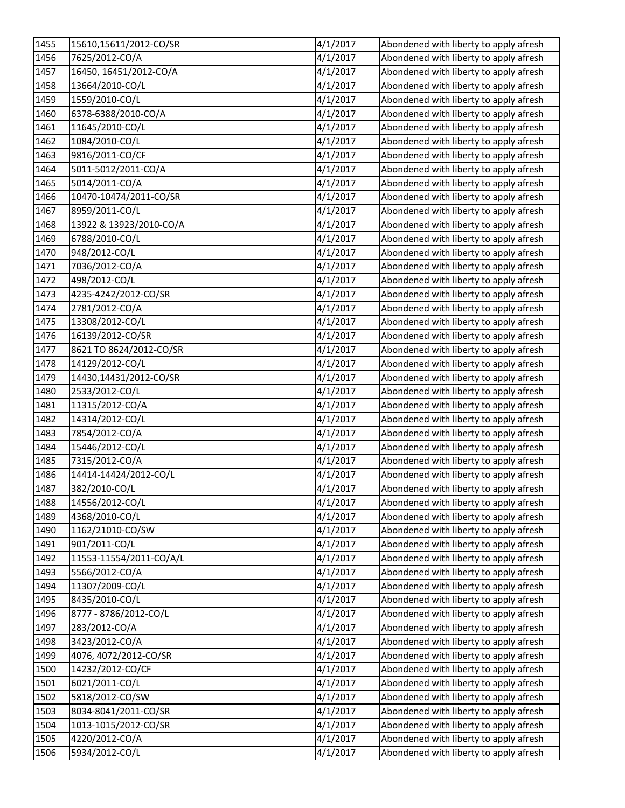| 1455 | 15610,15611/2012-CO/SR  | 4/1/2017 | Abondened with liberty to apply afresh |
|------|-------------------------|----------|----------------------------------------|
| 1456 | 7625/2012-CO/A          | 4/1/2017 | Abondened with liberty to apply afresh |
| 1457 | 16450, 16451/2012-CO/A  | 4/1/2017 | Abondened with liberty to apply afresh |
| 1458 | 13664/2010-CO/L         | 4/1/2017 | Abondened with liberty to apply afresh |
| 1459 | 1559/2010-CO/L          | 4/1/2017 | Abondened with liberty to apply afresh |
| 1460 | 6378-6388/2010-CO/A     | 4/1/2017 | Abondened with liberty to apply afresh |
| 1461 | 11645/2010-CO/L         | 4/1/2017 | Abondened with liberty to apply afresh |
| 1462 | 1084/2010-CO/L          | 4/1/2017 | Abondened with liberty to apply afresh |
| 1463 | 9816/2011-CO/CF         | 4/1/2017 | Abondened with liberty to apply afresh |
| 1464 | 5011-5012/2011-CO/A     | 4/1/2017 | Abondened with liberty to apply afresh |
| 1465 | 5014/2011-CO/A          | 4/1/2017 | Abondened with liberty to apply afresh |
| 1466 | 10470-10474/2011-CO/SR  | 4/1/2017 | Abondened with liberty to apply afresh |
| 1467 | 8959/2011-CO/L          | 4/1/2017 | Abondened with liberty to apply afresh |
| 1468 | 13922 & 13923/2010-CO/A | 4/1/2017 | Abondened with liberty to apply afresh |
| 1469 | 6788/2010-CO/L          | 4/1/2017 | Abondened with liberty to apply afresh |
| 1470 | 948/2012-CO/L           | 4/1/2017 | Abondened with liberty to apply afresh |
| 1471 | 7036/2012-CO/A          | 4/1/2017 | Abondened with liberty to apply afresh |
| 1472 | 498/2012-CO/L           | 4/1/2017 | Abondened with liberty to apply afresh |
| 1473 | 4235-4242/2012-CO/SR    | 4/1/2017 | Abondened with liberty to apply afresh |
| 1474 | 2781/2012-CO/A          | 4/1/2017 | Abondened with liberty to apply afresh |
| 1475 | 13308/2012-CO/L         | 4/1/2017 | Abondened with liberty to apply afresh |
| 1476 | 16139/2012-CO/SR        | 4/1/2017 | Abondened with liberty to apply afresh |
| 1477 | 8621 TO 8624/2012-CO/SR | 4/1/2017 | Abondened with liberty to apply afresh |
| 1478 | 14129/2012-CO/L         | 4/1/2017 | Abondened with liberty to apply afresh |
| 1479 | 14430,14431/2012-CO/SR  | 4/1/2017 | Abondened with liberty to apply afresh |
| 1480 | 2533/2012-CO/L          | 4/1/2017 | Abondened with liberty to apply afresh |
| 1481 | 11315/2012-CO/A         | 4/1/2017 | Abondened with liberty to apply afresh |
| 1482 | 14314/2012-CO/L         | 4/1/2017 | Abondened with liberty to apply afresh |
| 1483 | 7854/2012-CO/A          | 4/1/2017 | Abondened with liberty to apply afresh |
| 1484 | 15446/2012-CO/L         | 4/1/2017 | Abondened with liberty to apply afresh |
| 1485 | 7315/2012-CO/A          | 4/1/2017 | Abondened with liberty to apply afresh |
| 1486 | 14414-14424/2012-CO/L   | 4/1/2017 | Abondened with liberty to apply afresh |
| 1487 | 382/2010-CO/L           | 4/1/2017 | Abondened with liberty to apply afresh |
| 1488 | 14556/2012-CO/L         | 4/1/2017 | Abondened with liberty to apply afresh |
| 1489 | 4368/2010-CO/L          | 4/1/2017 | Abondened with liberty to apply afresh |
| 1490 | 1162/21010-CO/SW        | 4/1/2017 | Abondened with liberty to apply afresh |
| 1491 | 901/2011-CO/L           | 4/1/2017 | Abondened with liberty to apply afresh |
| 1492 | 11553-11554/2011-CO/A/L | 4/1/2017 | Abondened with liberty to apply afresh |
| 1493 | 5566/2012-CO/A          | 4/1/2017 | Abondened with liberty to apply afresh |
| 1494 | 11307/2009-CO/L         | 4/1/2017 | Abondened with liberty to apply afresh |
| 1495 | 8435/2010-CO/L          | 4/1/2017 | Abondened with liberty to apply afresh |
| 1496 | 8777 - 8786/2012-CO/L   | 4/1/2017 | Abondened with liberty to apply afresh |
| 1497 | 283/2012-CO/A           | 4/1/2017 | Abondened with liberty to apply afresh |
| 1498 | 3423/2012-CO/A          | 4/1/2017 | Abondened with liberty to apply afresh |
| 1499 | 4076, 4072/2012-CO/SR   | 4/1/2017 | Abondened with liberty to apply afresh |
| 1500 | 14232/2012-CO/CF        | 4/1/2017 | Abondened with liberty to apply afresh |
| 1501 | 6021/2011-CO/L          | 4/1/2017 | Abondened with liberty to apply afresh |
| 1502 | 5818/2012-CO/SW         | 4/1/2017 | Abondened with liberty to apply afresh |
| 1503 | 8034-8041/2011-CO/SR    | 4/1/2017 | Abondened with liberty to apply afresh |
| 1504 | 1013-1015/2012-CO/SR    | 4/1/2017 | Abondened with liberty to apply afresh |
| 1505 | 4220/2012-CO/A          | 4/1/2017 | Abondened with liberty to apply afresh |
| 1506 | 5934/2012-CO/L          | 4/1/2017 | Abondened with liberty to apply afresh |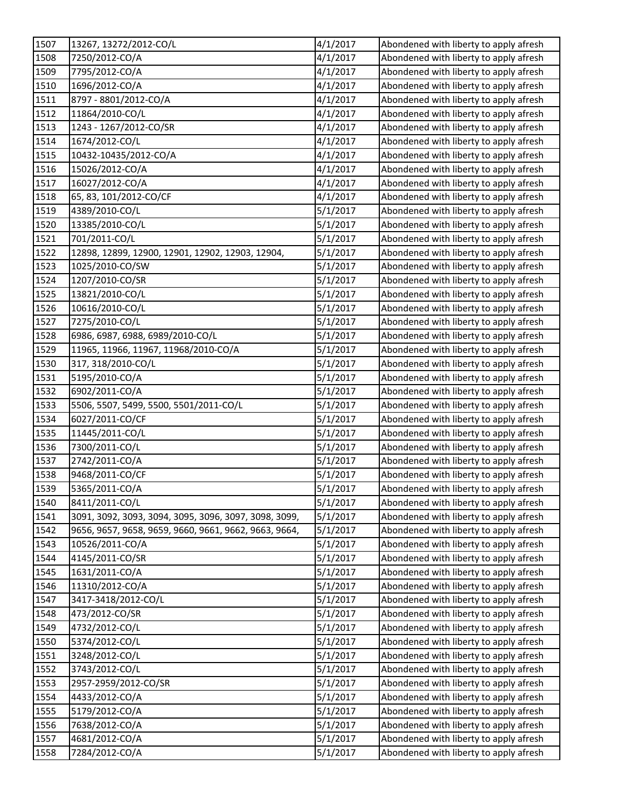| 1507 | 13267, 13272/2012-CO/L                                | 4/1/2017 | Abondened with liberty to apply afresh |
|------|-------------------------------------------------------|----------|----------------------------------------|
| 1508 | 7250/2012-CO/A                                        | 4/1/2017 | Abondened with liberty to apply afresh |
| 1509 | 7795/2012-CO/A                                        | 4/1/2017 | Abondened with liberty to apply afresh |
| 1510 | 1696/2012-CO/A                                        | 4/1/2017 | Abondened with liberty to apply afresh |
| 1511 | 8797 - 8801/2012-CO/A                                 | 4/1/2017 | Abondened with liberty to apply afresh |
| 1512 | 11864/2010-CO/L                                       | 4/1/2017 | Abondened with liberty to apply afresh |
| 1513 | 1243 - 1267/2012-CO/SR                                | 4/1/2017 | Abondened with liberty to apply afresh |
| 1514 | 1674/2012-CO/L                                        | 4/1/2017 | Abondened with liberty to apply afresh |
| 1515 | 10432-10435/2012-CO/A                                 | 4/1/2017 | Abondened with liberty to apply afresh |
| 1516 | 15026/2012-CO/A                                       | 4/1/2017 | Abondened with liberty to apply afresh |
| 1517 | 16027/2012-CO/A                                       | 4/1/2017 | Abondened with liberty to apply afresh |
| 1518 | 65, 83, 101/2012-CO/CF                                | 4/1/2017 | Abondened with liberty to apply afresh |
| 1519 | 4389/2010-CO/L                                        | 5/1/2017 | Abondened with liberty to apply afresh |
| 1520 | 13385/2010-CO/L                                       | 5/1/2017 | Abondened with liberty to apply afresh |
| 1521 | 701/2011-CO/L                                         | 5/1/2017 | Abondened with liberty to apply afresh |
| 1522 | 12898, 12899, 12900, 12901, 12902, 12903, 12904,      | 5/1/2017 | Abondened with liberty to apply afresh |
| 1523 | 1025/2010-CO/SW                                       | 5/1/2017 | Abondened with liberty to apply afresh |
| 1524 | 1207/2010-CO/SR                                       | 5/1/2017 | Abondened with liberty to apply afresh |
| 1525 | 13821/2010-CO/L                                       | 5/1/2017 | Abondened with liberty to apply afresh |
| 1526 | 10616/2010-CO/L                                       | 5/1/2017 | Abondened with liberty to apply afresh |
| 1527 | 7275/2010-CO/L                                        | 5/1/2017 | Abondened with liberty to apply afresh |
| 1528 | 6986, 6987, 6988, 6989/2010-CO/L                      | 5/1/2017 | Abondened with liberty to apply afresh |
| 1529 | 11965, 11966, 11967, 11968/2010-CO/A                  | 5/1/2017 | Abondened with liberty to apply afresh |
| 1530 | 317, 318/2010-CO/L                                    | 5/1/2017 | Abondened with liberty to apply afresh |
| 1531 | 5195/2010-CO/A                                        | 5/1/2017 | Abondened with liberty to apply afresh |
| 1532 | 6902/2011-CO/A                                        | 5/1/2017 | Abondened with liberty to apply afresh |
| 1533 | 5506, 5507, 5499, 5500, 5501/2011-CO/L                | 5/1/2017 | Abondened with liberty to apply afresh |
| 1534 | 6027/2011-CO/CF                                       | 5/1/2017 | Abondened with liberty to apply afresh |
| 1535 | 11445/2011-CO/L                                       | 5/1/2017 | Abondened with liberty to apply afresh |
| 1536 | 7300/2011-CO/L                                        | 5/1/2017 | Abondened with liberty to apply afresh |
| 1537 | 2742/2011-CO/A                                        | 5/1/2017 | Abondened with liberty to apply afresh |
| 1538 | 9468/2011-CO/CF                                       | 5/1/2017 | Abondened with liberty to apply afresh |
| 1539 | 5365/2011-CO/A                                        | 5/1/2017 | Abondened with liberty to apply afresh |
| 1540 | 8411/2011-CO/L                                        | 5/1/2017 | Abondened with liberty to apply afresh |
| 1541 | 3091, 3092, 3093, 3094, 3095, 3096, 3097, 3098, 3099, | 5/1/2017 | Abondened with liberty to apply afresh |
| 1542 | 9656, 9657, 9658, 9659, 9660, 9661, 9662, 9663, 9664, | 5/1/2017 | Abondened with liberty to apply afresh |
| 1543 | 10526/2011-CO/A                                       | 5/1/2017 | Abondened with liberty to apply afresh |
| 1544 | 4145/2011-CO/SR                                       | 5/1/2017 | Abondened with liberty to apply afresh |
| 1545 | 1631/2011-CO/A                                        | 5/1/2017 | Abondened with liberty to apply afresh |
| 1546 | 11310/2012-CO/A                                       | 5/1/2017 | Abondened with liberty to apply afresh |
| 1547 | 3417-3418/2012-CO/L                                   | 5/1/2017 | Abondened with liberty to apply afresh |
| 1548 | 473/2012-CO/SR                                        | 5/1/2017 | Abondened with liberty to apply afresh |
| 1549 | 4732/2012-CO/L                                        | 5/1/2017 | Abondened with liberty to apply afresh |
| 1550 | 5374/2012-CO/L                                        | 5/1/2017 | Abondened with liberty to apply afresh |
| 1551 | 3248/2012-CO/L                                        | 5/1/2017 | Abondened with liberty to apply afresh |
| 1552 | 3743/2012-CO/L                                        | 5/1/2017 | Abondened with liberty to apply afresh |
| 1553 | 2957-2959/2012-CO/SR                                  | 5/1/2017 | Abondened with liberty to apply afresh |
| 1554 | 4433/2012-CO/A                                        | 5/1/2017 | Abondened with liberty to apply afresh |
| 1555 | 5179/2012-CO/A                                        | 5/1/2017 | Abondened with liberty to apply afresh |
| 1556 | 7638/2012-CO/A                                        | 5/1/2017 | Abondened with liberty to apply afresh |
| 1557 | 4681/2012-CO/A                                        | 5/1/2017 | Abondened with liberty to apply afresh |
| 1558 | 7284/2012-CO/A                                        | 5/1/2017 | Abondened with liberty to apply afresh |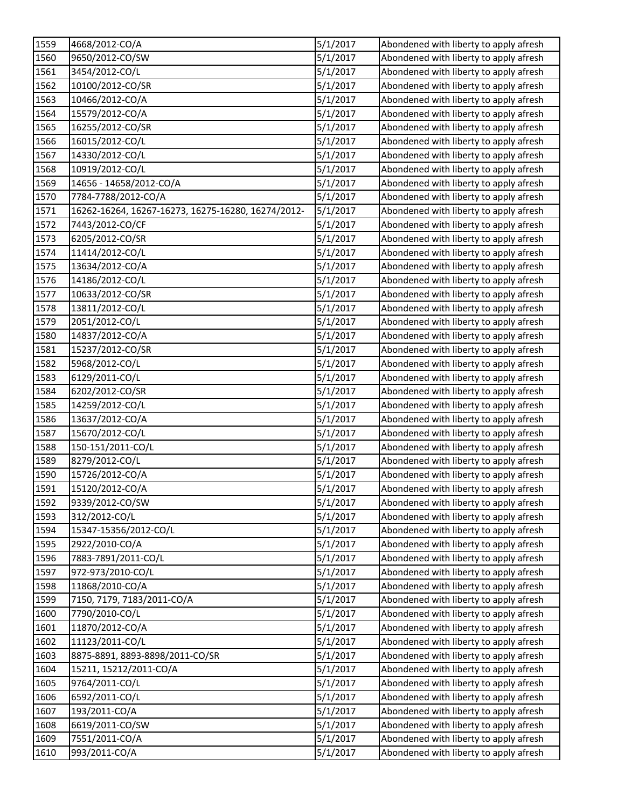| 1559 | 4668/2012-CO/A                                     | 5/1/2017 | Abondened with liberty to apply afresh |
|------|----------------------------------------------------|----------|----------------------------------------|
| 1560 | 9650/2012-CO/SW                                    | 5/1/2017 | Abondened with liberty to apply afresh |
| 1561 | 3454/2012-CO/L                                     | 5/1/2017 | Abondened with liberty to apply afresh |
| 1562 | 10100/2012-CO/SR                                   | 5/1/2017 | Abondened with liberty to apply afresh |
| 1563 | 10466/2012-CO/A                                    | 5/1/2017 | Abondened with liberty to apply afresh |
| 1564 | 15579/2012-CO/A                                    | 5/1/2017 | Abondened with liberty to apply afresh |
| 1565 | 16255/2012-CO/SR                                   | 5/1/2017 | Abondened with liberty to apply afresh |
| 1566 | 16015/2012-CO/L                                    | 5/1/2017 | Abondened with liberty to apply afresh |
| 1567 | 14330/2012-CO/L                                    | 5/1/2017 | Abondened with liberty to apply afresh |
| 1568 | 10919/2012-CO/L                                    | 5/1/2017 | Abondened with liberty to apply afresh |
| 1569 | 14656 - 14658/2012-CO/A                            | 5/1/2017 | Abondened with liberty to apply afresh |
| 1570 | 7784-7788/2012-CO/A                                | 5/1/2017 | Abondened with liberty to apply afresh |
| 1571 | 16262-16264, 16267-16273, 16275-16280, 16274/2012- | 5/1/2017 | Abondened with liberty to apply afresh |
| 1572 | 7443/2012-CO/CF                                    | 5/1/2017 | Abondened with liberty to apply afresh |
| 1573 | 6205/2012-CO/SR                                    | 5/1/2017 | Abondened with liberty to apply afresh |
| 1574 | 11414/2012-CO/L                                    | 5/1/2017 | Abondened with liberty to apply afresh |
| 1575 | 13634/2012-CO/A                                    | 5/1/2017 | Abondened with liberty to apply afresh |
| 1576 | 14186/2012-CO/L                                    | 5/1/2017 | Abondened with liberty to apply afresh |
| 1577 | 10633/2012-CO/SR                                   | 5/1/2017 | Abondened with liberty to apply afresh |
| 1578 | 13811/2012-CO/L                                    | 5/1/2017 | Abondened with liberty to apply afresh |
| 1579 | 2051/2012-CO/L                                     | 5/1/2017 | Abondened with liberty to apply afresh |
| 1580 | 14837/2012-CO/A                                    | 5/1/2017 | Abondened with liberty to apply afresh |
| 1581 | 15237/2012-CO/SR                                   | 5/1/2017 | Abondened with liberty to apply afresh |
| 1582 | 5968/2012-CO/L                                     | 5/1/2017 | Abondened with liberty to apply afresh |
| 1583 | 6129/2011-CO/L                                     | 5/1/2017 | Abondened with liberty to apply afresh |
| 1584 | 6202/2012-CO/SR                                    | 5/1/2017 | Abondened with liberty to apply afresh |
| 1585 | 14259/2012-CO/L                                    | 5/1/2017 | Abondened with liberty to apply afresh |
| 1586 | 13637/2012-CO/A                                    | 5/1/2017 | Abondened with liberty to apply afresh |
| 1587 | 15670/2012-CO/L                                    | 5/1/2017 | Abondened with liberty to apply afresh |
| 1588 | 150-151/2011-CO/L                                  | 5/1/2017 | Abondened with liberty to apply afresh |
| 1589 | 8279/2012-CO/L                                     | 5/1/2017 | Abondened with liberty to apply afresh |
| 1590 | 15726/2012-CO/A                                    | 5/1/2017 | Abondened with liberty to apply afresh |
| 1591 | 15120/2012-CO/A                                    | 5/1/2017 | Abondened with liberty to apply afresh |
| 1592 | 9339/2012-CO/SW                                    | 5/1/2017 | Abondened with liberty to apply afresh |
| 1593 | 312/2012-CO/L                                      | 5/1/2017 | Abondened with liberty to apply afresh |
| 1594 | 15347-15356/2012-CO/L                              | 5/1/2017 | Abondened with liberty to apply afresh |
| 1595 | 2922/2010-CO/A                                     | 5/1/2017 | Abondened with liberty to apply afresh |
| 1596 | 7883-7891/2011-CO/L                                | 5/1/2017 | Abondened with liberty to apply afresh |
| 1597 | 972-973/2010-CO/L                                  | 5/1/2017 | Abondened with liberty to apply afresh |
| 1598 | 11868/2010-CO/A                                    | 5/1/2017 | Abondened with liberty to apply afresh |
| 1599 | 7150, 7179, 7183/2011-CO/A                         | 5/1/2017 | Abondened with liberty to apply afresh |
| 1600 | 7790/2010-CO/L                                     | 5/1/2017 | Abondened with liberty to apply afresh |
| 1601 | 11870/2012-CO/A                                    | 5/1/2017 | Abondened with liberty to apply afresh |
| 1602 | 11123/2011-CO/L                                    | 5/1/2017 | Abondened with liberty to apply afresh |
| 1603 | 8875-8891, 8893-8898/2011-CO/SR                    | 5/1/2017 | Abondened with liberty to apply afresh |
| 1604 | 15211, 15212/2011-CO/A                             | 5/1/2017 | Abondened with liberty to apply afresh |
| 1605 | 9764/2011-CO/L                                     | 5/1/2017 | Abondened with liberty to apply afresh |
| 1606 | 6592/2011-CO/L                                     | 5/1/2017 | Abondened with liberty to apply afresh |
| 1607 | 193/2011-CO/A                                      | 5/1/2017 | Abondened with liberty to apply afresh |
| 1608 | 6619/2011-CO/SW                                    | 5/1/2017 | Abondened with liberty to apply afresh |
| 1609 | 7551/2011-CO/A                                     | 5/1/2017 | Abondened with liberty to apply afresh |
| 1610 | 993/2011-CO/A                                      | 5/1/2017 | Abondened with liberty to apply afresh |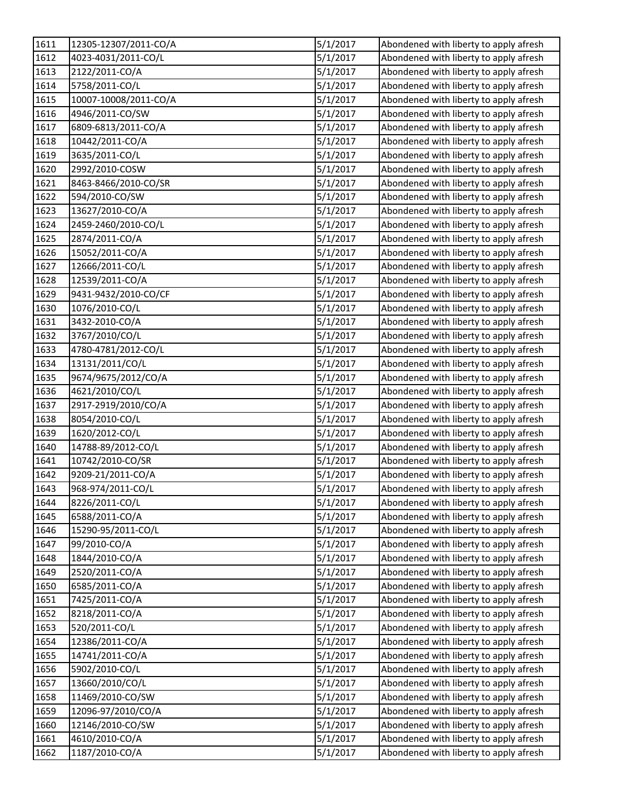| 1611 | 12305-12307/2011-CO/A | 5/1/2017 | Abondened with liberty to apply afresh |
|------|-----------------------|----------|----------------------------------------|
| 1612 | 4023-4031/2011-CO/L   | 5/1/2017 | Abondened with liberty to apply afresh |
| 1613 | 2122/2011-CO/A        | 5/1/2017 | Abondened with liberty to apply afresh |
| 1614 | 5758/2011-CO/L        | 5/1/2017 | Abondened with liberty to apply afresh |
| 1615 | 10007-10008/2011-CO/A | 5/1/2017 | Abondened with liberty to apply afresh |
| 1616 | 4946/2011-CO/SW       | 5/1/2017 | Abondened with liberty to apply afresh |
| 1617 | 6809-6813/2011-CO/A   | 5/1/2017 | Abondened with liberty to apply afresh |
| 1618 | 10442/2011-CO/A       | 5/1/2017 | Abondened with liberty to apply afresh |
| 1619 | 3635/2011-CO/L        | 5/1/2017 | Abondened with liberty to apply afresh |
| 1620 | 2992/2010-COSW        | 5/1/2017 | Abondened with liberty to apply afresh |
| 1621 | 8463-8466/2010-CO/SR  | 5/1/2017 | Abondened with liberty to apply afresh |
| 1622 | 594/2010-CO/SW        | 5/1/2017 | Abondened with liberty to apply afresh |
| 1623 | 13627/2010-CO/A       | 5/1/2017 | Abondened with liberty to apply afresh |
| 1624 | 2459-2460/2010-CO/L   | 5/1/2017 | Abondened with liberty to apply afresh |
| 1625 | 2874/2011-CO/A        | 5/1/2017 | Abondened with liberty to apply afresh |
| 1626 | 15052/2011-CO/A       | 5/1/2017 | Abondened with liberty to apply afresh |
| 1627 | 12666/2011-CO/L       | 5/1/2017 | Abondened with liberty to apply afresh |
| 1628 | 12539/2011-CO/A       | 5/1/2017 | Abondened with liberty to apply afresh |
| 1629 | 9431-9432/2010-CO/CF  | 5/1/2017 | Abondened with liberty to apply afresh |
| 1630 | 1076/2010-CO/L        | 5/1/2017 | Abondened with liberty to apply afresh |
| 1631 | 3432-2010-CO/A        | 5/1/2017 | Abondened with liberty to apply afresh |
| 1632 | 3767/2010/CO/L        | 5/1/2017 | Abondened with liberty to apply afresh |
| 1633 | 4780-4781/2012-CO/L   | 5/1/2017 | Abondened with liberty to apply afresh |
| 1634 | 13131/2011/CO/L       | 5/1/2017 | Abondened with liberty to apply afresh |
| 1635 | 9674/9675/2012/CO/A   | 5/1/2017 | Abondened with liberty to apply afresh |
| 1636 | 4621/2010/CO/L        | 5/1/2017 | Abondened with liberty to apply afresh |
| 1637 | 2917-2919/2010/CO/A   | 5/1/2017 | Abondened with liberty to apply afresh |
| 1638 | 8054/2010-CO/L        | 5/1/2017 | Abondened with liberty to apply afresh |
| 1639 | 1620/2012-CO/L        | 5/1/2017 | Abondened with liberty to apply afresh |
| 1640 | 14788-89/2012-CO/L    | 5/1/2017 | Abondened with liberty to apply afresh |
| 1641 | 10742/2010-CO/SR      | 5/1/2017 | Abondened with liberty to apply afresh |
| 1642 | 9209-21/2011-CO/A     | 5/1/2017 | Abondened with liberty to apply afresh |
| 1643 | 968-974/2011-CO/L     | 5/1/2017 | Abondened with liberty to apply afresh |
| 1644 | 8226/2011-CO/L        | 5/1/2017 | Abondened with liberty to apply afresh |
| 1645 | 6588/2011-CO/A        | 5/1/2017 | Abondened with liberty to apply afresh |
| 1646 | 15290-95/2011-CO/L    | 5/1/2017 | Abondened with liberty to apply afresh |
| 1647 | 99/2010-CO/A          | 5/1/2017 | Abondened with liberty to apply afresh |
| 1648 | 1844/2010-CO/A        | 5/1/2017 | Abondened with liberty to apply afresh |
| 1649 | 2520/2011-CO/A        | 5/1/2017 | Abondened with liberty to apply afresh |
| 1650 | 6585/2011-CO/A        | 5/1/2017 | Abondened with liberty to apply afresh |
| 1651 | 7425/2011-CO/A        | 5/1/2017 | Abondened with liberty to apply afresh |
| 1652 | 8218/2011-CO/A        | 5/1/2017 | Abondened with liberty to apply afresh |
| 1653 | 520/2011-CO/L         | 5/1/2017 | Abondened with liberty to apply afresh |
| 1654 | 12386/2011-CO/A       | 5/1/2017 | Abondened with liberty to apply afresh |
| 1655 | 14741/2011-CO/A       | 5/1/2017 | Abondened with liberty to apply afresh |
| 1656 | 5902/2010-CO/L        | 5/1/2017 | Abondened with liberty to apply afresh |
| 1657 | 13660/2010/CO/L       | 5/1/2017 | Abondened with liberty to apply afresh |
| 1658 | 11469/2010-CO/SW      | 5/1/2017 | Abondened with liberty to apply afresh |
| 1659 | 12096-97/2010/CO/A    | 5/1/2017 | Abondened with liberty to apply afresh |
| 1660 | 12146/2010-CO/SW      | 5/1/2017 | Abondened with liberty to apply afresh |
| 1661 | 4610/2010-CO/A        | 5/1/2017 | Abondened with liberty to apply afresh |
| 1662 | 1187/2010-CO/A        | 5/1/2017 | Abondened with liberty to apply afresh |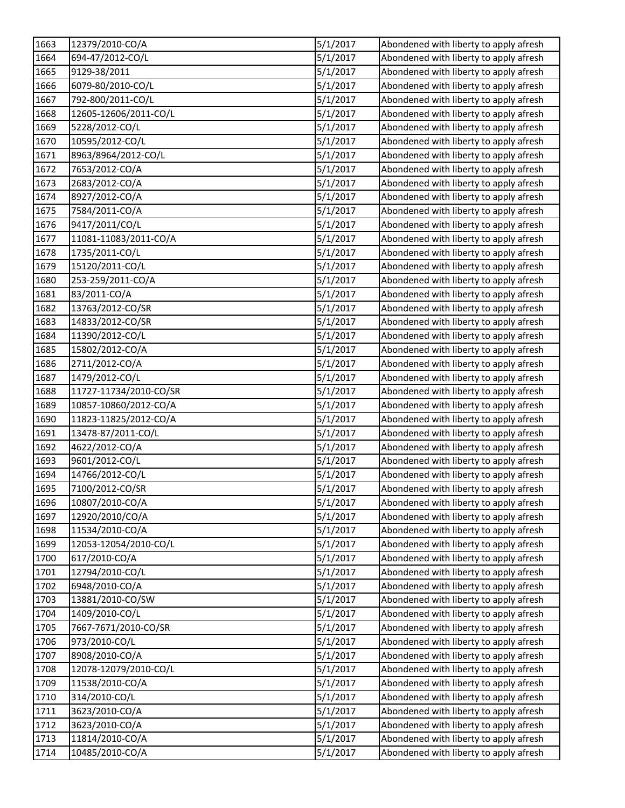| 1663 | 12379/2010-CO/A        | 5/1/2017 | Abondened with liberty to apply afresh |
|------|------------------------|----------|----------------------------------------|
| 1664 | 694-47/2012-CO/L       | 5/1/2017 | Abondened with liberty to apply afresh |
| 1665 | 9129-38/2011           | 5/1/2017 | Abondened with liberty to apply afresh |
| 1666 | 6079-80/2010-CO/L      | 5/1/2017 | Abondened with liberty to apply afresh |
| 1667 | 792-800/2011-CO/L      | 5/1/2017 | Abondened with liberty to apply afresh |
| 1668 | 12605-12606/2011-CO/L  | 5/1/2017 | Abondened with liberty to apply afresh |
| 1669 | 5228/2012-CO/L         | 5/1/2017 | Abondened with liberty to apply afresh |
| 1670 | 10595/2012-CO/L        | 5/1/2017 | Abondened with liberty to apply afresh |
| 1671 | 8963/8964/2012-CO/L    | 5/1/2017 | Abondened with liberty to apply afresh |
| 1672 | 7653/2012-CO/A         | 5/1/2017 | Abondened with liberty to apply afresh |
| 1673 | 2683/2012-CO/A         | 5/1/2017 | Abondened with liberty to apply afresh |
| 1674 | 8927/2012-CO/A         | 5/1/2017 | Abondened with liberty to apply afresh |
| 1675 | 7584/2011-CO/A         | 5/1/2017 | Abondened with liberty to apply afresh |
| 1676 | 9417/2011/CO/L         | 5/1/2017 | Abondened with liberty to apply afresh |
| 1677 | 11081-11083/2011-CO/A  | 5/1/2017 | Abondened with liberty to apply afresh |
| 1678 | 1735/2011-CO/L         | 5/1/2017 | Abondened with liberty to apply afresh |
| 1679 | 15120/2011-CO/L        | 5/1/2017 | Abondened with liberty to apply afresh |
| 1680 | 253-259/2011-CO/A      | 5/1/2017 | Abondened with liberty to apply afresh |
| 1681 | 83/2011-CO/A           | 5/1/2017 | Abondened with liberty to apply afresh |
| 1682 | 13763/2012-CO/SR       | 5/1/2017 | Abondened with liberty to apply afresh |
| 1683 | 14833/2012-CO/SR       | 5/1/2017 | Abondened with liberty to apply afresh |
| 1684 | 11390/2012-CO/L        | 5/1/2017 | Abondened with liberty to apply afresh |
| 1685 | 15802/2012-CO/A        | 5/1/2017 | Abondened with liberty to apply afresh |
| 1686 | 2711/2012-CO/A         | 5/1/2017 | Abondened with liberty to apply afresh |
| 1687 | 1479/2012-CO/L         | 5/1/2017 | Abondened with liberty to apply afresh |
| 1688 | 11727-11734/2010-CO/SR | 5/1/2017 | Abondened with liberty to apply afresh |
| 1689 | 10857-10860/2012-CO/A  | 5/1/2017 | Abondened with liberty to apply afresh |
| 1690 | 11823-11825/2012-CO/A  | 5/1/2017 | Abondened with liberty to apply afresh |
| 1691 | 13478-87/2011-CO/L     | 5/1/2017 | Abondened with liberty to apply afresh |
| 1692 | 4622/2012-CO/A         | 5/1/2017 | Abondened with liberty to apply afresh |
| 1693 | 9601/2012-CO/L         | 5/1/2017 | Abondened with liberty to apply afresh |
| 1694 | 14766/2012-CO/L        | 5/1/2017 | Abondened with liberty to apply afresh |
| 1695 | 7100/2012-CO/SR        | 5/1/2017 | Abondened with liberty to apply afresh |
| 1696 | 10807/2010-CO/A        | 5/1/2017 | Abondened with liberty to apply afresh |
| 1697 | 12920/2010/CO/A        | 5/1/2017 | Abondened with liberty to apply afresh |
| 1698 | 11534/2010-CO/A        | 5/1/2017 | Abondened with liberty to apply afresh |
| 1699 | 12053-12054/2010-CO/L  | 5/1/2017 | Abondened with liberty to apply afresh |
| 1700 | 617/2010-CO/A          | 5/1/2017 | Abondened with liberty to apply afresh |
| 1701 | 12794/2010-CO/L        | 5/1/2017 | Abondened with liberty to apply afresh |
| 1702 | 6948/2010-CO/A         | 5/1/2017 | Abondened with liberty to apply afresh |
| 1703 | 13881/2010-CO/SW       | 5/1/2017 | Abondened with liberty to apply afresh |
| 1704 | 1409/2010-CO/L         | 5/1/2017 | Abondened with liberty to apply afresh |
| 1705 | 7667-7671/2010-CO/SR   | 5/1/2017 | Abondened with liberty to apply afresh |
| 1706 | 973/2010-CO/L          | 5/1/2017 | Abondened with liberty to apply afresh |
| 1707 | 8908/2010-CO/A         | 5/1/2017 | Abondened with liberty to apply afresh |
| 1708 | 12078-12079/2010-CO/L  | 5/1/2017 | Abondened with liberty to apply afresh |
| 1709 | 11538/2010-CO/A        | 5/1/2017 | Abondened with liberty to apply afresh |
| 1710 | 314/2010-CO/L          | 5/1/2017 | Abondened with liberty to apply afresh |
| 1711 | 3623/2010-CO/A         | 5/1/2017 | Abondened with liberty to apply afresh |
| 1712 | 3623/2010-CO/A         | 5/1/2017 | Abondened with liberty to apply afresh |
| 1713 | 11814/2010-CO/A        | 5/1/2017 | Abondened with liberty to apply afresh |
| 1714 | 10485/2010-CO/A        | 5/1/2017 | Abondened with liberty to apply afresh |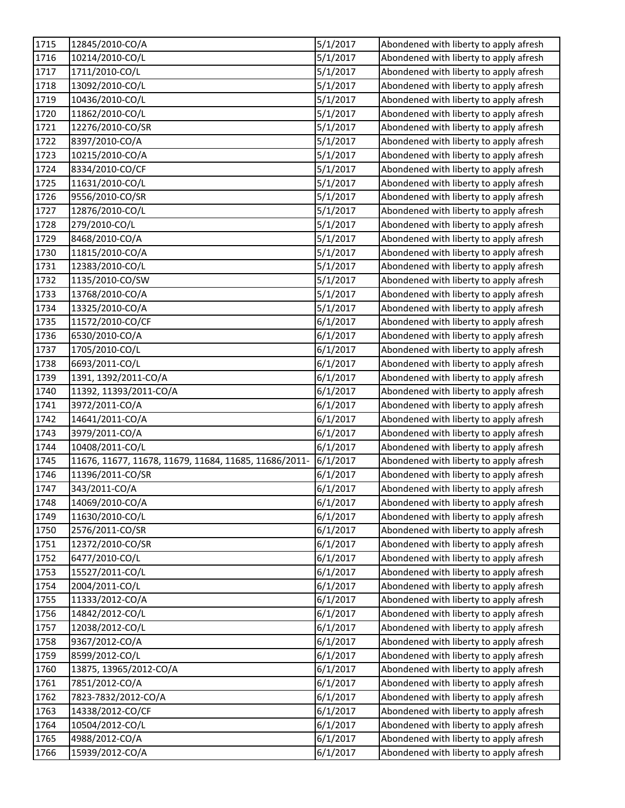| 1715 | 12845/2010-CO/A                                       | 5/1/2017 | Abondened with liberty to apply afresh |
|------|-------------------------------------------------------|----------|----------------------------------------|
| 1716 | 10214/2010-CO/L                                       | 5/1/2017 | Abondened with liberty to apply afresh |
| 1717 | 1711/2010-CO/L                                        | 5/1/2017 | Abondened with liberty to apply afresh |
| 1718 | 13092/2010-CO/L                                       | 5/1/2017 | Abondened with liberty to apply afresh |
| 1719 | 10436/2010-CO/L                                       | 5/1/2017 | Abondened with liberty to apply afresh |
| 1720 | 11862/2010-CO/L                                       | 5/1/2017 | Abondened with liberty to apply afresh |
| 1721 | 12276/2010-CO/SR                                      | 5/1/2017 | Abondened with liberty to apply afresh |
| 1722 | 8397/2010-CO/A                                        | 5/1/2017 | Abondened with liberty to apply afresh |
| 1723 | 10215/2010-CO/A                                       | 5/1/2017 | Abondened with liberty to apply afresh |
| 1724 | 8334/2010-CO/CF                                       | 5/1/2017 | Abondened with liberty to apply afresh |
| 1725 | 11631/2010-CO/L                                       | 5/1/2017 | Abondened with liberty to apply afresh |
| 1726 | 9556/2010-CO/SR                                       | 5/1/2017 | Abondened with liberty to apply afresh |
| 1727 | 12876/2010-CO/L                                       | 5/1/2017 | Abondened with liberty to apply afresh |
| 1728 | 279/2010-CO/L                                         | 5/1/2017 | Abondened with liberty to apply afresh |
| 1729 | 8468/2010-CO/A                                        | 5/1/2017 | Abondened with liberty to apply afresh |
| 1730 | 11815/2010-CO/A                                       | 5/1/2017 | Abondened with liberty to apply afresh |
| 1731 | 12383/2010-CO/L                                       | 5/1/2017 | Abondened with liberty to apply afresh |
| 1732 | 1135/2010-CO/SW                                       | 5/1/2017 | Abondened with liberty to apply afresh |
| 1733 | 13768/2010-CO/A                                       | 5/1/2017 | Abondened with liberty to apply afresh |
| 1734 | 13325/2010-CO/A                                       | 5/1/2017 | Abondened with liberty to apply afresh |
| 1735 | 11572/2010-CO/CF                                      | 6/1/2017 | Abondened with liberty to apply afresh |
| 1736 | 6530/2010-CO/A                                        | 6/1/2017 | Abondened with liberty to apply afresh |
| 1737 | 1705/2010-CO/L                                        | 6/1/2017 | Abondened with liberty to apply afresh |
| 1738 | 6693/2011-CO/L                                        | 6/1/2017 | Abondened with liberty to apply afresh |
| 1739 | 1391, 1392/2011-CO/A                                  | 6/1/2017 | Abondened with liberty to apply afresh |
| 1740 | 11392, 11393/2011-CO/A                                | 6/1/2017 | Abondened with liberty to apply afresh |
| 1741 | 3972/2011-CO/A                                        | 6/1/2017 | Abondened with liberty to apply afresh |
| 1742 | 14641/2011-CO/A                                       | 6/1/2017 | Abondened with liberty to apply afresh |
| 1743 | 3979/2011-CO/A                                        | 6/1/2017 | Abondened with liberty to apply afresh |
| 1744 | 10408/2011-CO/L                                       | 6/1/2017 | Abondened with liberty to apply afresh |
| 1745 | 11676, 11677, 11678, 11679, 11684, 11685, 11686/2011- | 6/1/2017 | Abondened with liberty to apply afresh |
| 1746 | 11396/2011-CO/SR                                      | 6/1/2017 | Abondened with liberty to apply afresh |
| 1747 | 343/2011-CO/A                                         | 6/1/2017 | Abondened with liberty to apply afresh |
| 1748 | 14069/2010-CO/A                                       | 6/1/2017 | Abondened with liberty to apply afresh |
| 1749 | 11630/2010-CO/L                                       | 6/1/2017 | Abondened with liberty to apply afresh |
| 1750 | 2576/2011-CO/SR                                       | 6/1/2017 | Abondened with liberty to apply afresh |
| 1751 | 12372/2010-CO/SR                                      | 6/1/2017 | Abondened with liberty to apply afresh |
| 1752 | 6477/2010-CO/L                                        | 6/1/2017 | Abondened with liberty to apply afresh |
| 1753 | 15527/2011-CO/L                                       | 6/1/2017 | Abondened with liberty to apply afresh |
| 1754 | 2004/2011-CO/L                                        | 6/1/2017 | Abondened with liberty to apply afresh |
| 1755 | 11333/2012-CO/A                                       | 6/1/2017 | Abondened with liberty to apply afresh |
| 1756 | 14842/2012-CO/L                                       | 6/1/2017 | Abondened with liberty to apply afresh |
| 1757 | 12038/2012-CO/L                                       | 6/1/2017 | Abondened with liberty to apply afresh |
| 1758 | 9367/2012-CO/A                                        | 6/1/2017 | Abondened with liberty to apply afresh |
| 1759 | 8599/2012-CO/L                                        | 6/1/2017 | Abondened with liberty to apply afresh |
| 1760 | 13875, 13965/2012-CO/A                                | 6/1/2017 | Abondened with liberty to apply afresh |
| 1761 | 7851/2012-CO/A                                        | 6/1/2017 | Abondened with liberty to apply afresh |
| 1762 | 7823-7832/2012-CO/A                                   | 6/1/2017 | Abondened with liberty to apply afresh |
| 1763 | 14338/2012-CO/CF                                      | 6/1/2017 | Abondened with liberty to apply afresh |
| 1764 | 10504/2012-CO/L                                       | 6/1/2017 | Abondened with liberty to apply afresh |
| 1765 | 4988/2012-CO/A                                        | 6/1/2017 | Abondened with liberty to apply afresh |
| 1766 | 15939/2012-CO/A                                       | 6/1/2017 | Abondened with liberty to apply afresh |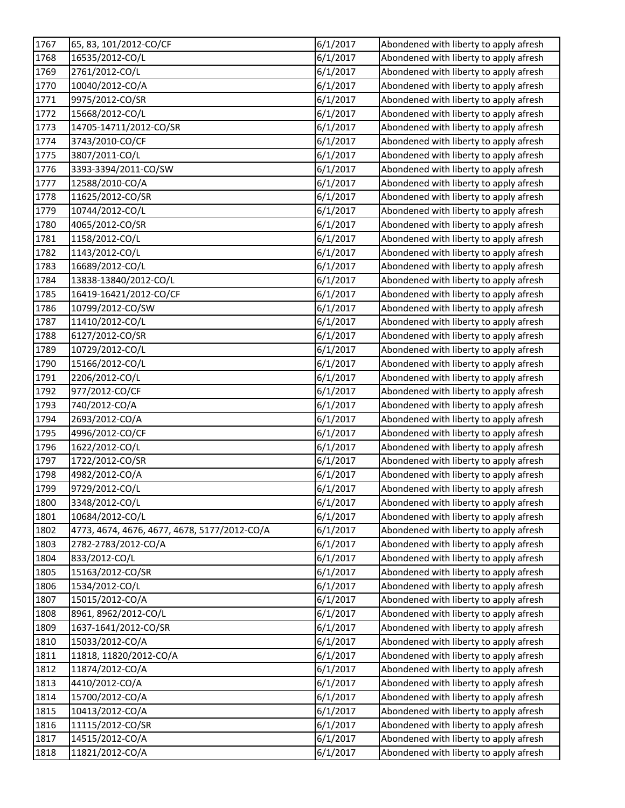| 1767 | 65, 83, 101/2012-CO/CF                       | 6/1/2017 | Abondened with liberty to apply afresh |
|------|----------------------------------------------|----------|----------------------------------------|
| 1768 | 16535/2012-CO/L                              | 6/1/2017 | Abondened with liberty to apply afresh |
| 1769 | 2761/2012-CO/L                               | 6/1/2017 | Abondened with liberty to apply afresh |
| 1770 | 10040/2012-CO/A                              | 6/1/2017 | Abondened with liberty to apply afresh |
| 1771 | 9975/2012-CO/SR                              | 6/1/2017 | Abondened with liberty to apply afresh |
| 1772 | 15668/2012-CO/L                              | 6/1/2017 | Abondened with liberty to apply afresh |
| 1773 | 14705-14711/2012-CO/SR                       | 6/1/2017 | Abondened with liberty to apply afresh |
| 1774 | 3743/2010-CO/CF                              | 6/1/2017 | Abondened with liberty to apply afresh |
| 1775 | 3807/2011-CO/L                               | 6/1/2017 | Abondened with liberty to apply afresh |
| 1776 | 3393-3394/2011-CO/SW                         | 6/1/2017 | Abondened with liberty to apply afresh |
| 1777 | 12588/2010-CO/A                              | 6/1/2017 | Abondened with liberty to apply afresh |
| 1778 | 11625/2012-CO/SR                             | 6/1/2017 | Abondened with liberty to apply afresh |
| 1779 | 10744/2012-CO/L                              | 6/1/2017 | Abondened with liberty to apply afresh |
| 1780 | 4065/2012-CO/SR                              | 6/1/2017 | Abondened with liberty to apply afresh |
| 1781 | 1158/2012-CO/L                               | 6/1/2017 | Abondened with liberty to apply afresh |
| 1782 | 1143/2012-CO/L                               | 6/1/2017 | Abondened with liberty to apply afresh |
| 1783 | 16689/2012-CO/L                              | 6/1/2017 | Abondened with liberty to apply afresh |
| 1784 | 13838-13840/2012-CO/L                        | 6/1/2017 | Abondened with liberty to apply afresh |
| 1785 | 16419-16421/2012-CO/CF                       | 6/1/2017 | Abondened with liberty to apply afresh |
| 1786 | 10799/2012-CO/SW                             | 6/1/2017 | Abondened with liberty to apply afresh |
| 1787 | 11410/2012-CO/L                              | 6/1/2017 | Abondened with liberty to apply afresh |
| 1788 | 6127/2012-CO/SR                              | 6/1/2017 | Abondened with liberty to apply afresh |
| 1789 | 10729/2012-CO/L                              | 6/1/2017 | Abondened with liberty to apply afresh |
| 1790 | 15166/2012-CO/L                              | 6/1/2017 | Abondened with liberty to apply afresh |
| 1791 | 2206/2012-CO/L                               | 6/1/2017 | Abondened with liberty to apply afresh |
| 1792 | 977/2012-CO/CF                               | 6/1/2017 | Abondened with liberty to apply afresh |
| 1793 | 740/2012-CO/A                                | 6/1/2017 | Abondened with liberty to apply afresh |
| 1794 | 2693/2012-CO/A                               | 6/1/2017 | Abondened with liberty to apply afresh |
| 1795 | 4996/2012-CO/CF                              | 6/1/2017 | Abondened with liberty to apply afresh |
| 1796 | 1622/2012-CO/L                               | 6/1/2017 | Abondened with liberty to apply afresh |
| 1797 | 1722/2012-CO/SR                              | 6/1/2017 | Abondened with liberty to apply afresh |
| 1798 | 4982/2012-CO/A                               | 6/1/2017 | Abondened with liberty to apply afresh |
| 1799 | 9729/2012-CO/L                               | 6/1/2017 | Abondened with liberty to apply afresh |
| 1800 | 3348/2012-CO/L                               | 6/1/2017 | Abondened with liberty to apply afresh |
| 1801 | 10684/2012-CO/L                              | 6/1/2017 | Abondened with liberty to apply afresh |
| 1802 | 4773, 4674, 4676, 4677, 4678, 5177/2012-CO/A | 6/1/2017 | Abondened with liberty to apply afresh |
| 1803 | 2782-2783/2012-CO/A                          | 6/1/2017 | Abondened with liberty to apply afresh |
| 1804 | 833/2012-CO/L                                | 6/1/2017 | Abondened with liberty to apply afresh |
| 1805 | 15163/2012-CO/SR                             | 6/1/2017 | Abondened with liberty to apply afresh |
| 1806 | 1534/2012-CO/L                               | 6/1/2017 | Abondened with liberty to apply afresh |
| 1807 | 15015/2012-CO/A                              | 6/1/2017 | Abondened with liberty to apply afresh |
| 1808 | 8961, 8962/2012-CO/L                         | 6/1/2017 | Abondened with liberty to apply afresh |
| 1809 | 1637-1641/2012-CO/SR                         | 6/1/2017 | Abondened with liberty to apply afresh |
| 1810 | 15033/2012-CO/A                              | 6/1/2017 | Abondened with liberty to apply afresh |
| 1811 | 11818, 11820/2012-CO/A                       | 6/1/2017 | Abondened with liberty to apply afresh |
| 1812 | 11874/2012-CO/A                              | 6/1/2017 | Abondened with liberty to apply afresh |
| 1813 | 4410/2012-CO/A                               | 6/1/2017 | Abondened with liberty to apply afresh |
| 1814 | 15700/2012-CO/A                              | 6/1/2017 | Abondened with liberty to apply afresh |
| 1815 | 10413/2012-CO/A                              | 6/1/2017 | Abondened with liberty to apply afresh |
| 1816 | 11115/2012-CO/SR                             | 6/1/2017 | Abondened with liberty to apply afresh |
| 1817 | 14515/2012-CO/A                              | 6/1/2017 | Abondened with liberty to apply afresh |
| 1818 | 11821/2012-CO/A                              | 6/1/2017 | Abondened with liberty to apply afresh |